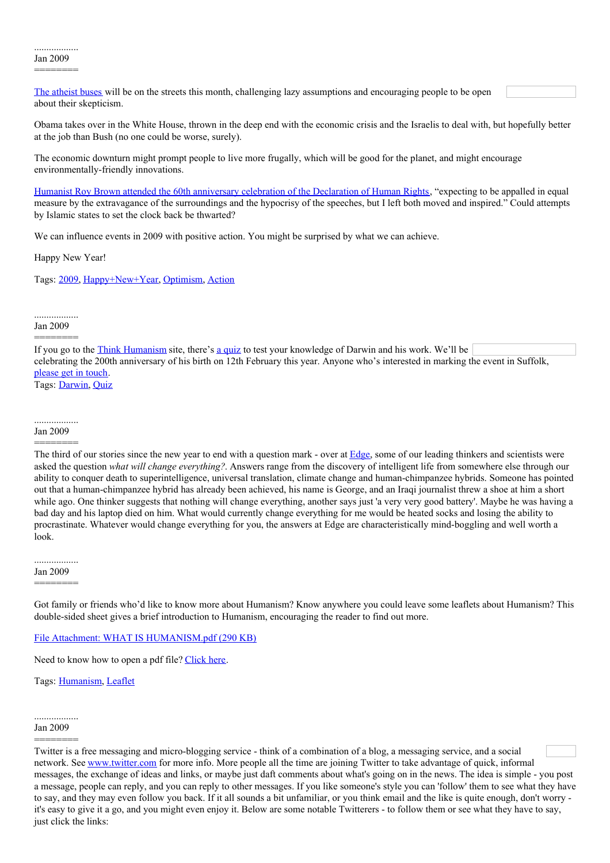## .................. Jan 2009 ========

The [atheist](http://www.atheistbus.org.uk/) buses will be on the streets this month, challenging lazy assumptions and encouraging people to be open about their skepticism.

Obama takes over in the White House, thrown in the deep end with the economic crisis and the Israelis to deal with, but hopefully better at the job than Bush (no one could be worse, surely).

The economic downturn might prompt people to live more frugally, which will be good for the planet, and might encourage environmentally-friendly innovations.

Humanist Roy Brown attended the 60th [anniversary](http://www.iheu.org/node/3359) celebration of the Declaration of Human Rights, "expecting to be appalled in equal measure by the extravagance of the surroundings and the hypocrisy of the speeches, but I left both moved and inspired." Could attempts by Islamic states to set the clock back be thwarted?

We can influence events in 2009 with positive action. You might be surprised by what we can achieve.

Happy New Year!

Tags: [2009](http://technorati.com/tag/2009), [Happy+New+Year](http://technorati.com/tag/Happy+New+Year), [Optimism](http://technorati.com/tag/Optimism), [Action](http://technorati.com/tag/Action)

# ..................

## Jan 2009 ========

If you go to the Think [Humanism](http://www.thinkhumanism.com/index.php?option=com_content&view=article&id=45&Itemid=53) site, there's a [quiz](http://www.thinkhumanism.com/index.php?option=com_ariquiz&task=quiz&quizId=2&Itemid=76) to test your knowledge of Darwin and his work. We'll be celebrating the 200th anniversary of his birth on 12th February this year. Anyone who's interested in marking the event in Suffolk, [please](mailto:mail@suffolkhands.org.uk) get in touch.

Tags: [Darwin](http://technorati.com/tag/Darwin), [Quiz](http://technorati.com/tag/Quiz)

#### .................. Jan 2009

# ========

The third of our stories since the new year to end with a question mark - over at [Edge](http://www.edge.org/q2009/q09_index.html), some of our leading thinkers and scientists were asked the question *what will change everything?*. Answers range from the discovery of intelligent life from somewhere else through our ability to conquer death to superintelligence, universal translation, climate change and human-chimpanzee hybrids. Someone has pointed out that a human-chimpanzee hybrid has already been achieved, his name is George, and an Iraqi journalist threw a shoe at him a short while ago. One thinker suggests that nothing will change everything, another says just 'a very very good battery'. Maybe he was having a bad day and his laptop died on him. What would currently change everything for me would be heated socks and losing the ability to procrastinate. Whatever would change everything for you, the answers at Edge are characteristically mind-boggling and well worth a look.

.................. Jan 2009

========

Got family or friends who'd like to know more about Humanism? Know anywhere you could leave some leaflets about Humanism? This double-sided sheet gives a brief introduction to Humanism, encouraging the reader to find out more.

File Attachment: WHAT IS [HUMANISM.pdf](http://www.suffolkhands.org.uk/files/1/WHAT_20IS_20HUMANISM.pdf) (290 KB)

Need to know how to open a pdf file? [Click](http://www.suffolkhands.org.uk/node/40) here.

Tags: [Humanism](http://technorati.com/tag/Humanism), [Leaflet](http://technorati.com/tag/Leaflet)

Jan 2009 ========

Twitter is a free messaging and micro-blogging service - think of a combination of a blog, a messaging service, and a social network. See [www.twitter.com](http://www.twitter.com/) for more info. More people all the time are joining Twitter to take advantage of quick, informal messages, the exchange of ideas and links, or maybe just daft comments about what's going on in the news. The idea is simple - you post a message, people can reply, and you can reply to other messages. If you like someone's style you can 'follow' them to see what they have to say, and they may even follow you back. If it all sounds a bit unfamiliar, or you think email and the like is quite enough, don't worry it's easy to give it a go, and you might even enjoy it. Below are some notable Twitterers - to follow them or see what they have to say, just click the links: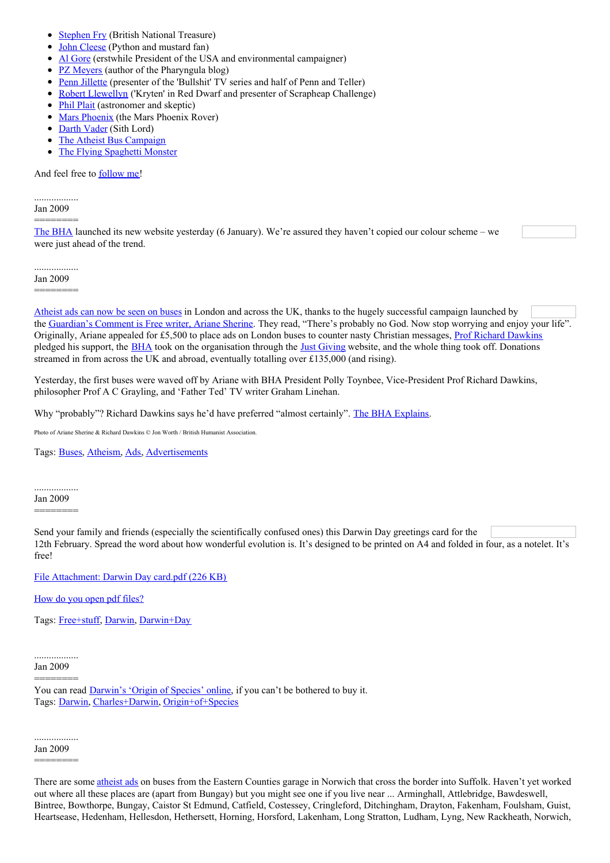- [Stephen](http://twitter.com/stephenfry) Fry (British National Treasure)
- John [Cleese](http://twitter.com/JohnCleese) (Python and mustard fan)
- Al [Gore](http://twitter.com/algore) (erstwhile President of the USA and environmental campaigner)
- PZ [Meyers](http://twitter.com/pzmyers) (author of the Pharyngula blog)
- Penn [Jillette](http://twitter.com/pennjillette) (presenter of the 'Bullshit' TV series and half of Penn and Teller)
- Robert [Llewellyn](http://twitter.com/bobbyllew) ('Kryten' in Red Dwarf and presenter of Scrapheap Challenge)
- Phil [Plait](http://twitter.com/BadAstronomer) (astronomer and skeptic)  $\bullet$
- Mars [Phoenix](http://twitter.com/MarsPhoenix) (the Mars Phoenix Rover)
- Darth [Vader](http://twitter.com/darthvader) (Sith Lord)
- $\bullet$ The Atheist Bus [Campaign](http://twitter.com/AtheistBus/)
- The Flying [Spaghetti](http://twitter.com/fsm/) Monster

And feel free to [follow](http://twitter.com/natmandu) me!

.................. Jan 2009

========

The [BHA](http://www.humanism.org.uk/) launched its new website yesterday (6 January). We're assured they haven't copied our colour scheme – we were just ahead of the trend.

.................. Jan 2009

========

[Atheist](http://www.atheistbus.org.uk/) ads can now be seen on buses in London and across the UK, thanks to the hugely successful campaign launched by the [Guardian's](http://www.guardian.co.uk/commentisfree/2009/jan/06/religion-atheism) Comment is Free writer, Ariane Sherine</u>. They read, "There's probably no God. Now stop worrying and enjoy your life". Originally, Ariane appealed for £5,500 to place ads on London buses to counter nasty Christian messages, Prof Richard [Dawkins](http://richarddawkins.net/) pledged his support, the [BHA](http://www.humanism.org.uk/) took on the organisation through the Just [Giving](http://www.justgiving.com/atheistbus) website, and the whole thing took off. Donations streamed in from across the UK and abroad, eventually totalling over £135,000 (and rising).

Yesterday, the first buses were waved off by Ariane with BHA President Polly Toynbee, Vice-President Prof Richard Dawkins, philosopher Prof A C Grayling, and 'Father Ted' TV writer Graham Linehan.

Why "probably"? Richard Dawkins says he'd have preferred "almost certainly". The BHA [Explains](http://www.humanism.org.uk/bus-campaign).

Photo of Ariane Sherine & Richard Dawkins © Jon Worth / British Humanist Association.

Tags: [Buses](http://technorati.com/tag/Buses), [Atheism](http://technorati.com/tag/Atheism), [Ads](http://technorati.com/tag/Ads), [Advertisements](http://technorati.com/tag/Advertisements)

.................. Jan 2009 ========

Send your family and friends (especially the scientifically confused ones) this Darwin Day greetings card for the 12th February. Spread the word about how wonderful evolution is. It's designed to be printed on A4 and folded in four, as a notelet. It's free!

File [Attachment:](http://www.suffolkhands.org.uk/files/1/Darwin_20Day_20card.pdf) Darwin Day card.pdf (226 KB)

How do you open pdf [files?](http://www.suffolkhands.org.uk/node/40)

Tags: [Free+stuff](http://technorati.com/tag/Free+stuff), [Darwin](http://technorati.com/tag/Darwin), [Darwin+Day](http://technorati.com/tag/Darwin+Day)

.................. Jan 2009 ========

You can read **[Darwin's](http://www.literature.org/authors/darwin-charles/the-origin-of-species/) 'Origin of Species' online**, if you can't be bothered to buy it. Tags: [Darwin](http://technorati.com/tag/Darwin), [Charles+Darwin](http://technorati.com/tag/Charles+Darwin), [Origin+of+Species](http://technorati.com/tag/Origin+of+Species)

Jan 2009 ========

There are some [atheist](http://www.humanism.org.uk/bus-campaign) ads on buses from the Eastern Counties garage in Norwich that cross the border into Suffolk. Haven't yet worked out where all these places are (apart from Bungay) but you might see one if you live near ... Arminghall, Attlebridge, Bawdeswell, Bintree, Bowthorpe, Bungay, Caistor St Edmund, Catfield, Costessey, Cringleford, Ditchingham, Drayton, Fakenham, Foulsham, Guist, Heartsease, Hedenham, Hellesdon, Hethersett, Horning, Horsford, Lakenham, Long Stratton, Ludham, Lyng, New Rackheath, Norwich,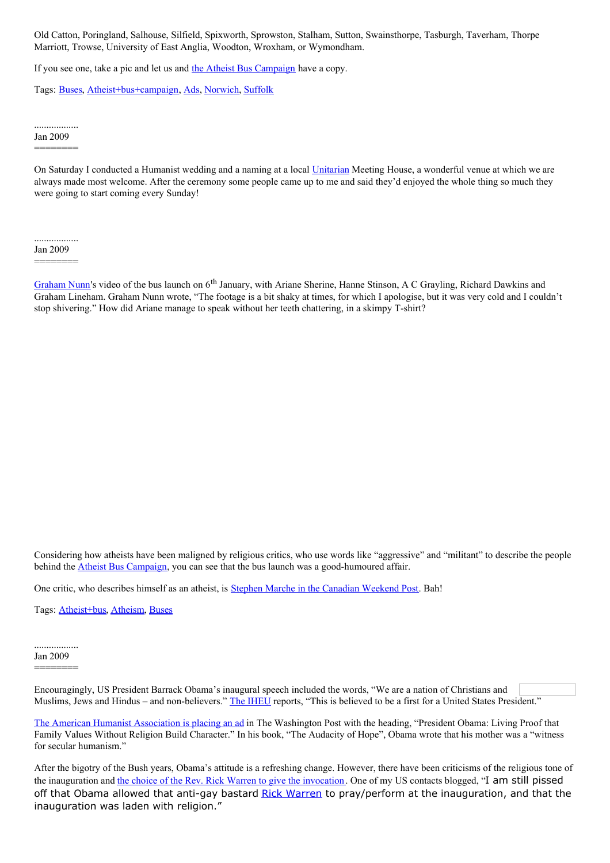Old Catton, Poringland, Salhouse, Silfield, Spixworth, Sprowston, Stalham, Sutton, Swainsthorpe, Tasburgh, Taverham, Thorpe Marriott, Trowse, University of East Anglia, Woodton, Wroxham, or Wymondham.

If you see one, take a pic and let us and the Atheist Bus [Campaign](http://www.atheistbus.org.uk/) have a copy.

Tags: [Buses](http://technorati.com/tag/Buses), [Atheist+bus+campaign](http://technorati.com/tag/Atheist+bus+campaign), [Ads](http://technorati.com/tag/Ads), [Norwich](http://technorati.com/tag/Norwich), [Suffolk](http://technorati.com/tag/Suffolk)

.................. Jan 2009

========

On Saturday I conducted a Humanist wedding and a naming at a local [Unitarian](http://www.bbc.co.uk/religion/religions/unitarianism/) Meeting House, a wonderful venue at which we are always made most welcome. After the ceremony some people came up to me and said they'd enjoyed the whole thing so much they were going to start coming every Sunday!

.................. Jan 2009

========

[Graham](http://creativeyear.wordpress.com/) Nunn's video of the bus launch on 6<sup>th</sup> January, with Ariane Sherine, Hanne Stinson, A C Grayling, Richard Dawkins and Graham Lineham. Graham Nunn wrote, "The footage is a bit shaky at times, for which I apologise, but it was very cold and I couldn't stop shivering." How did Ariane manage to speak without her teeth chattering, in a skimpy T-shirt?

Considering how atheists have been maligned by religious critics, who use words like "aggressive" and "militant" to describe the people behind the Atheist Bus [Campaign,](http://www.atheistbus.org.uk/) you can see that the bus launch was a good-humoured affair.

One critic, who describes himself as an atheist, is Stephen Marche in the [Canadian](http://theanswers42.blogspot.com/2009/01/ignorant-atheist.html) Weekend Post. Bah!

Tags: [Atheist+bus](http://technorati.com/tag/Atheist+bus), [Atheism](http://technorati.com/tag/Atheism), [Buses](http://technorati.com/tag/Buses)

.................. Jan 2009

========

Encouragingly, US President Barrack Obama's inaugural speech included the words, "We are a nation of Christians and Muslims, Jews and Hindus – and non-believers." The [IHEU](http://www.iheu.org/president-obamas-inaugural-address-an-inclusive-presidency) reports, "This is believed to be a first for a United States President."

The American Humanist [Association](http://www.americanhumanist.org/press/ObamaAd.php) is placing an ad in The Washington Post with the heading, "President Obama: Living Proof that Family Values Without Religion Build Character." In his book, "The Audacity of Hope", Obama wrote that his mother was a "witness for secular humanism."

After the bigotry of the Bush years, Obama's attitude is a refreshing change. However, there have been criticisms of the religious tone of the inauguration and the choice of the Rev. Rick Warren to give the [invocation](http://www.latimes.com/news/politics/la-na-inaug-warren21-2009jan21,0,6331849.story). One of my US contacts blogged, "I am still pissed off that Obama allowed that anti-gay bastard Rick [Warren](http://www.rickwarren.com/) to pray/perform at the inauguration, and that the inauguration was laden with religion."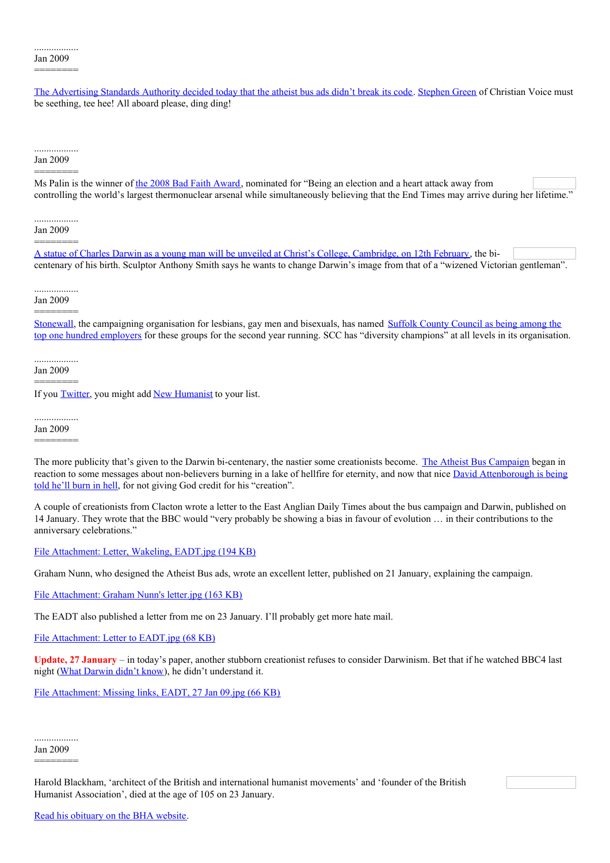The [Advertising](http://www.guardian.co.uk/media/2009/jan/21/asa-clears-atheist-bus-ad-campaign) Standards Authority decided today that the atheist bus ads didn't break its code. [Stephen](http://www.mediawatchwatch.org.uk/2005/06/15/interview-with-stephen-green/) Green of Christian Voice must be seething, tee hee! All aboard please, ding ding!

..................

## Jan 2009 ========

Ms Palin is the winner of the 2008 Bad Faith [Award](http://newhumanist.org.uk/1958), nominated for "Being an election and a heart attack away from controlling the world's largest thermonuclear arsenal while simultaneously believing that the End Times may arrive during her lifetime."

.................. Jan 2009 ========

A statue of Charles Darwin as a young man will be unveiled at Christ's College, [Cambridge,](http://news.bbc.co.uk/1/hi/england/cambridgeshire/7850669.stm) on 12th February, the bicentenary of his birth. Sculptor Anthony Smith says he wants to change Darwin's image from that of a "wizened Victorian gentleman".

### .................. Jan 2009

======== [Stonewall](http://www.stonewall.org.uk/), the [campaigning](http://www.eadt.co.uk/content/eadt/politics/story.aspx?brand=EADOnline&category=Politics&tBrand=EADOnline&tCategory=zpolitics&itemid=IPED23%20Jan%202009%2009%253A27%253A57%253A923) organisation for lesbians, gay men and bisexuals, has named Suffolk County Council as being among the top one hundred employers for these groups for the second year running. SCC has "diversity champions" at all levels in its organisation.

.................. Jan 2009 ========

If you **[Twitter](http://twitter.com/about#about)**, you might add **New [Humanist](http://twitter.com/NewHumanist)** to your list.

.................. Jan 2009

========

The more publicity that's given to the Darwin bi-centenary, the nastier some creationists become. The Atheist Bus [Campaign](http://www.atheistbus.org.uk/) began in reaction to some messages about non-believers burning in a lake of hellfire for eternity, and now that nice David [Attenborough](http://www.theherald.co.uk/news/news/display.var.2484685.0.Creationists_tell_Sir_David_Attenborough_to_burn_in_hell.php) is being told he'll burn in hell, for not giving God credit for his "creation".

A couple of creationists from Clacton wrote a letter to the East Anglian Daily Times about the bus campaign and Darwin, published on 14 January. They wrote that the BBC would "very probably be showing a bias in favour of evolution … in their contributions to the anniversary celebrations."

File [Attachment:](http://www.suffolkhands.org.uk/files/1/Letter_2C_20Wakeling_2C_20EADT.jpg) Letter, Wakeling, EADT.jpg (194 KB)

Graham Nunn, who designed the Atheist Bus ads, wrote an excellent letter, published on 21 January, explaining the campaign.

File [Attachment:](http://www.suffolkhands.org.uk/files/1/Graham_20Nunn_27s_20letter.jpg) Graham Nunn's letter.jpg (163 KB)

The EADT also published a letter from me on 23 January. I'll probably get more hate mail.

File [Attachment:](http://www.suffolkhands.org.uk/files/1/Letter_20to_20EADT_2C_20MN.jpg) Letter to EADT.jpg (68 KB)

**Update, 27 January** – in today's paper, another stubborn creationist refuses to consider Darwinism. Bet that if he watched BBC4 last night (What [Darwin](http://www.bbc.co.uk/darwin/) didn't know), he didn't understand it.

File [Attachment:](http://www.suffolkhands.org.uk/files/1/Missing_20links_2C_20EADT_2C_2027_20Jan_2009.jpg) Missing links, EADT, 27 Jan 09.jpg (66 KB)

.................. Jan 2009

========

Harold Blackham, 'architect of the British and international humanist movements' and 'founder of the British Humanist Association', died at the age of 105 on 23 January.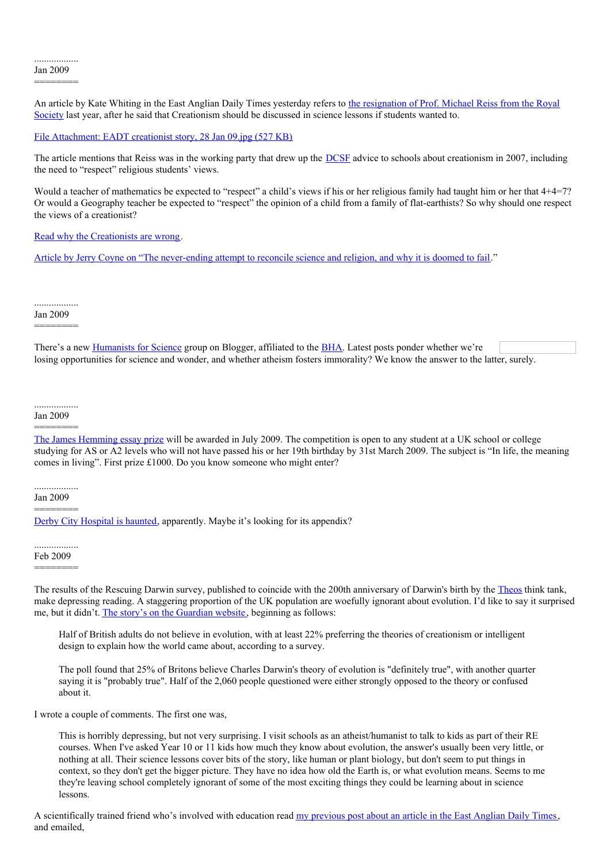### .................. Jan 2009

========

An article by Kate Whiting in the East Anglian Daily Times yesterday refers to the resignation of Prof. Michael Reiss from the Royal Society last year, after he said that [Creationism](http://www.timesonline.co.uk/tol/news/uk/science/article4768820.ece) should be discussed in science lessons if students wanted to.

File [Attachment:](http://www.suffolkhands.org.uk/files/1/EADT_20creationist_20story_2C_2028_20Jan_2009.jpg) EADT creationist story, 28 Jan 09.jpg (527 KB)

The article mentions that Reiss was in the working party that drew up the **[DCSF](http://www.dcsf.gov.uk/index.htm)** advice to schools about creationism in 2007, including the need to "respect" religious students' views.

Would a teacher of mathematics be expected to "respect" a child's views if his or her religious family had taught him or her that  $4+4=7$ ? Or would a Geography teacher be expected to "respect" the opinion of a child from a family of flat-earthists? So why should one respect the views of a creationist?

# Read why the [Creationists](http://www.suffolkhands.org.uk/monkeys) are wrong.

Article by Jerry Coyne on "The [never-ending](about:The%20never-ending%20attempt%20to%20reconcile%20science%20and%20religion,%20and%20why%20it%20is%20doomed%20to%20fail.) attempt to reconcile science and religion, and why it is doomed to fail."

.................. Jan 2009 ========

There's a new [Humanists](http://humanists4science.blogspot.com/) for Science group on Blogger, affiliated to the [BHA.](http://www.humanism.org.uk/) Latest posts ponder whether we're losing opportunities for science and wonder, and whether atheism fosters immorality? We know the answer to the latter, surely.

..................

## Jan 2009 ========

The James [Hemming](http://www.hemmingprize.org.uk/) essay prize will be awarded in July 2009. The competition is open to any student at a UK school or college studying for AS or A2 levels who will not have passed his or her 19th birthday by 31st March 2009. The subject is "In life, the meaning comes in living". First prize £1000. Do you know someone who might enter?

.................. Jan 2009

======== Derby City [Hospital](http://www.guardian.co.uk/society/2009/jan/30/hospital-ghost-derby) is haunted, apparently. Maybe it's looking for its appendix?

.................. Feb 2009

========

The results of the Rescuing Darwin survey, published to coincide with the 200th anniversary of Darwin's birth by the [Theos](http://www.theosthinktank.co.uk/search-results/search-articles.aspx?ArticleID=2170) think tank, make depressing reading. A staggering proportion of the UK population are woefully ignorant about evolution. I'd like to say it surprised me, but it didn't. The story's on the [Guardian](http://www.guardian.co.uk/science/2009/feb/01/evolution-darwin-survey-creationism) website , beginning as follows:

Half of British adults do not believe in evolution, with at least 22% preferring the theories of creationism or intelligent design to explain how the world came about, according to a survey.

The poll found that 25% of Britons believe Charles Darwin's theory of evolution is "definitely true", with another quarter saying it is "probably true". Half of the 2,060 people questioned were either strongly opposed to the theory or confused about it.

I wrote a couple of comments. The first one was,

This is horribly depressing, but not very surprising. I visit schools as an atheist/humanist to talk to kids as part of their RE courses. When I've asked Year 10 or 11 kids how much they know about evolution, the answer's usually been very little, or nothing at all. Their science lessons cover bits of the story, like human or plant biology, but don't seem to put things in context, so they don't get the bigger picture. They have no idea how old the Earth is, or what evolution means. Seems to me they're leaving school completely ignorant of some of the most exciting things they could be learning about in science lessons.

A scientifically trained friend who's involved with education read <u>my [previous](http://www.suffolkhands.org.uk/node/965) post about an article in the East Anglian Daily Times</u>, and emailed,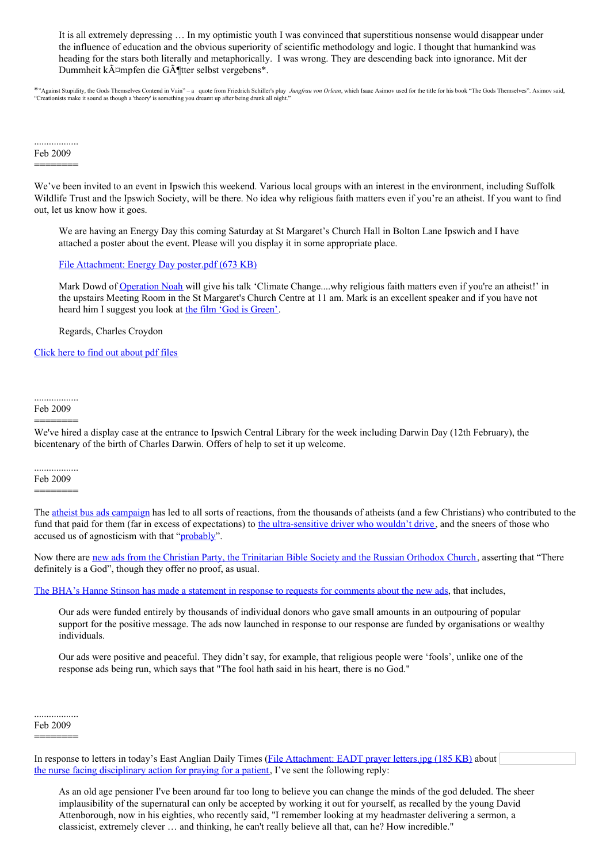It is all extremely depressing … In my optimistic youth I was convinced that superstitious nonsense would disappear under the influence of education and the obvious superiority of scientific methodology and logic. I thought that humankind was heading for the stars both literally and metaphorically. I was wrong. They are descending back into ignorance. Mit der Dummheit k $\tilde{A}^{\text{c}}$ mpfen die G $\tilde{A}^{\text{c}}$ tter selbst vergebens\*.

\*"Against Stupidity, the Gods Themselves Contend in Vain" - a quote from Friedrich Schiller's play Jungfrau von Orlean, which Isaac Asimov used for the title for his book "The Gods Themselves". Asimov said, "Creationists make it sound as though a 'theory' is something you dreamt up after being drunk all night."

.................. Feb 2009

========

We've been invited to an event in Ipswich this weekend. Various local groups with an interest in the environment, including Suffolk Wildlife Trust and the Ipswich Society, will be there. No idea why religious faith matters even if you're an atheist. If you want to find out, let us know how it goes.

We are having an Energy Day this coming Saturday at St Margaret's Church Hall in Bolton Lane Ipswich and I have attached a poster about the event. Please will you display it in some appropriate place.

# File [Attachment:](http://www.suffolkhands.org.uk/files/1/Energy_20Day_20poster.pdf) Energy Day poster.pdf (673 KB)

Mark Dowd of [Operation](http://www.operationnoah.org/) Noah will give his talk 'Climate Change....why religious faith matters even if you're an atheist!' in the upstairs Meeting Room in the St Margaret's Church Centre at 11 am. Mark is an excellent speaker and if you have not heard him I suggest you look at the film 'God is [Green'](http://www.operationnoah.org/highlighted/newwebsite/god-green-channel-4-documentary-presented-mark-dowd).

Regards, Charles Croydon

Click here to find out [about](http://www.suffolkhands.org.uk/node/40) pdf files

.................. Feb 2009

# ========

We've hired a display case at the entrance to Ipswich Central Library for the week including Darwin Day (12th February), the bicentenary of the birth of Charles Darwin. Offers of help to set it up welcome.

.................. Feb 2009

========

The atheist bus ads [campaign](http://www.atheistbus.org.uk/) has led to all sorts of reactions, from the thousands of atheists (and a few Christians) who contributed to the fund that paid for them (far in excess of expectations) to the [ultra-sensitive](http://news.bbc.co.uk/1/hi/england/hampshire/7832647.stm) driver who wouldn't drive, and the sneers of those who accused us of agnosticism with that ["probably](http://www.humanism.org.uk/bus-campaign)".

Now there are new ads from the Christian Party, the [Trinitarian](http://www.guardian.co.uk/world/2009/feb/05/atheist-bus-christian-response) Bible Society and the Russian Orthodox Church, asserting that "There definitely is a God", though they offer no proof, as usual.

The BHA's Hanne Stinson has made a statement in response to requests for [comments](http://www.humanism.org.uk/news/view/212) about the new ads, that includes,

Our ads were funded entirely by thousands of individual donors who gave small amounts in an outpouring of popular support for the positive message. The ads now launched in response to our response are funded by organisations or wealthy individuals.

Our ads were positive and peaceful. They didn't say, for example, that religious people were 'fools', unlike one of the response ads being run, which says that "The fool hath said in his heart, there is no God."

.................. Feb 2009 ========

In response to letters in today's East Anglian Daily Times (File [Attachment:](http://www.suffolkhands.org.uk/files/1/EADT_20prayer_20letters.jpg) EADT prayer letters.jpg (185 KB) about the nurse facing [disciplinary](http://www.telegraph.co.uk/health/healthnews/4427912/Prayer-nurse-should-keep-job-says-patient.html) action for praying for a patient, I've sent the following reply:

As an old age pensioner I've been around far too long to believe you can change the minds of the god deluded. The sheer implausibility of the supernatural can only be accepted by working it out for yourself, as recalled by the young David Attenborough, now in his eighties, who recently said, "I remember looking at my headmaster delivering a sermon, a classicist, extremely clever … and thinking, he can't really believe all that, can he? How incredible."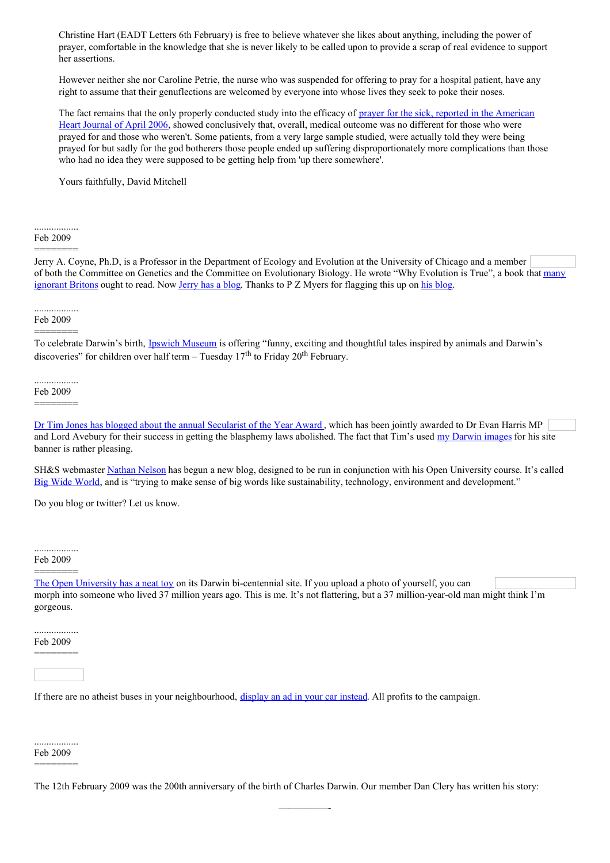Christine Hart (EADT Letters 6th February) is free to believe whatever she likes about anything, including the power of prayer, comfortable in the knowledge that she is never likely to be called upon to provide a scrap of real evidence to support her assertions.

However neither she nor Caroline Petrie, the nurse who was suspended for offering to pray for a hospital patient, have any right to assume that their genuflections are welcomed by everyone into whose lives they seek to poke their noses.

The fact remains that the only properly conducted study into the efficacy of prayer for the sick, reported in the American Heart Journal of April 2006, showed [conclusively](http://www.ncbi.nlm.nih.gov/pubmed/16569567) that, overall, medical outcome was no different for those who were prayed for and those who weren't. Some patients, from a very large sample studied, were actually told they were being prayed for but sadly for the god botherers those people ended up suffering disproportionately more complications than those who had no idea they were supposed to be getting help from 'up there somewhere'.

Yours faithfully, David Mitchell

#### .................. Feb 2009 ========

Jerry A. Coyne, Ph.D, is a Professor in the Department of Ecology and Evolution at the University of Chicago and a member of both the Committee on Genetics and the Committee on [Evolutionary](http://www.suffolkhands.org.uk/node/970) Biology. He wrote "Why Evolution is True", a book that many ignorant Britons ought to read. Now [Jerry](http://whyevolutionistrue.wordpress.com/) has a [blog](http://scienceblogs.com/pharyngula/). Thanks to P Z Myers for flagging this up on his blog.

#### .................. Feb 2009

========

To celebrate Darwin's birth, Ipswich [Museum](http://www.ipswich.gov.uk/Services/Museums+and+Mansion/Ipswich+Museum/Ipswich+Museum+Displays.htm) is offering "funny, exciting and thoughtful tales inspired by animals and Darwin's discoveries" for children over half term – Tuesday  $17<sup>th</sup>$  to Friday  $20<sup>th</sup>$  February.

.................. Feb 2009 ========

Dr Tim Jones has blogged about the annual [Secularist](http://communicatescience.com/zoonomian/2009/02/08/secularist-of-the-year/) of the Year Award , which has been jointly awarded to Dr Evan Harris MP and Lord Avebury for their success in getting the blasphemy laws abolished. The fact that Tim's used my [Darwin](http://flickr.com/photos/flashmaggie/sets/72157612489407485/) images for his site banner is rather pleasing.

SH&S webmaster [Nathan](http://www.suffolkhands.org.uk/user/1) Nelson has begun a new blog, designed to be run in conjunction with his Open University course. It's called Big Wide [World](http://www.bigwideworld.org/), and is "trying to make sense of big words like sustainability, technology, environment and development."

Do you blog or twitter? Let us know.

#### .................. Feb 2009

======== The Open [University](http://www.open.ac.uk/darwin/devolve-me.php) has a neat toy on its Darwin bi-centennial site. If you upload a photo of yourself, you can morph into someone who lived 37 million years ago. This is me. It's not flattering, but a 37 million-year-old man might think I'm gorgeous.

.................. Feb 2009

========

If there are no atheist buses in your neighbourhood, [display](http://www.blueapplemusic.co.uk/busdetails/busREF04.html) an ad in your car instead. All profits to the campaign.

.................. Feb 2009

# ========

The 12th February 2009 was the 200th anniversary of the birth of Charles Darwin. Our member Dan Clery has written his story:

—————-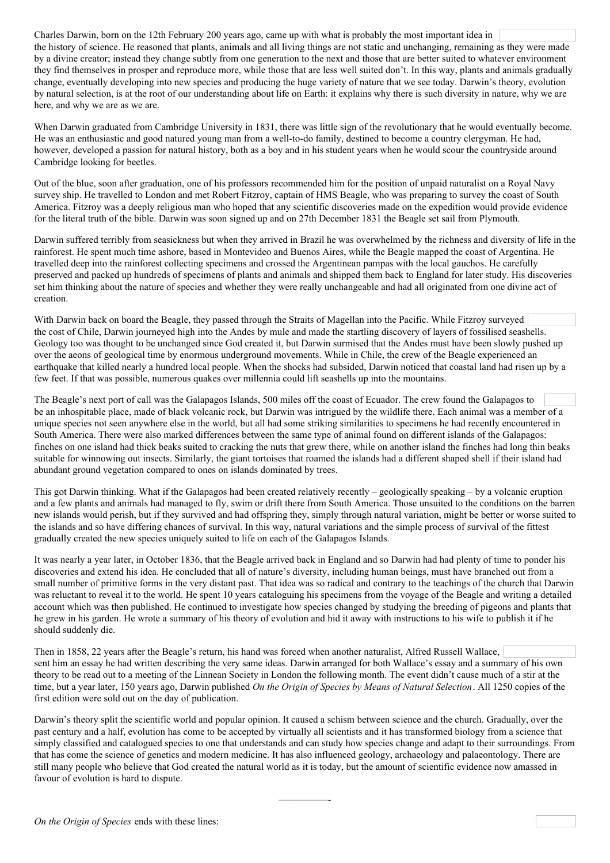Charles Darwin, born on the 12th February 200 years ago, came up with what is probably the most important idea in the history of science. He reasoned that plants, animals and all living things are not static and unchanging, remaining as they were made by a divine creator; instead they change subtly from one generation to the next and those that are better suited to whatever environment they find themselves in prosper and reproduce more, while those that are less well suited don't. In this way, plants and animals gradually change, eventually developing into new species and producing the huge variety of nature that we see today. Darwin's theory, evolution by natural selection, is at the root of our understanding about life on Earth: it explains why there is such diversity in nature, why we are here, and why we are as we are.

When Darwin graduated from Cambridge University in 1831, there was little sign of the revolutionary that he would eventually become. He was an enthusiastic and good natured young man from a well-to-do family, destined to become a country clergyman. He had, however, developed a passion for natural history, both as a boy and in his student years when he would scour the countryside around Cambridge looking for beetles.

Out of the blue, soon after graduation, one of his professors recommended him for the position of unpaid naturalist on a Royal Navy survey ship. He travelled to London and met Robert Fitzroy, captain of HMS Beagle, who was preparing to survey the coast of South America. Fitzroy was a deeply religious man who hoped that any scientific discoveries made on the expedition would provide evidence for the literal truth of the bible. Darwin was soon signed up and on 27th December 1831 the Beagle set sail from Plymouth.

Darwin suffered terribly from seasickness but when they arrived in Brazil he was overwhelmed by the richness and diversity of life in the rainforest. He spent much time ashore, based in Montevideo and Buenos Aires, while the Beagle mapped the coast of Argentina. He travelled deep into the rainforest collecting specimens and crossed the Argentinean pampas with the local gauchos. He carefully preserved and packed up hundreds of specimens of plants and animals and shipped them back to England for later study. His discoveries set him thinking about the nature of species and whether they were really unchangeable and had all originated from one divine act of creation.

With Darwin back on board the Beagle, they passed through the Straits of Magellan into the Pacific. While Fitzroy surveyed the cost of Chile, Darwin journeyed high into the Andes by mule and made the startling discovery of layers of fossilised seashells. Geology too was thought to be unchanged since God created it, but Darwin surmised that the Andes must have been slowly pushed up over the aeons of geological time by enormous underground movements. While in Chile, the crew of the Beagle experienced an earthquake that killed nearly a hundred local people. When the shocks had subsided, Darwin noticed that coastal land had risen up by a few feet. If that was possible, numerous quakes over millennia could lift seashells up into the mountains.

The Beagle's next port of call was the Galapagos Islands, 500 miles off the coast of Ecuador. The crew found the Galapagos to be an inhospitable place, made of black volcanic rock, but Darwin was intrigued by the wildlife there. Each animal was a member of a unique species not seen anywhere else in the world, but all had some striking similarities to specimens he had recently encountered in South America. There were also marked differences between the same type of animal found on different islands of the Galapagos: finches on one island had thick beaks suited to cracking the nuts that grew there, while on another island the finches had long thin beaks suitable for winnowing out insects. Similarly, the giant tortoises that roamed the islands had a different shaped shell if their island had abundant ground vegetation compared to ones on islands dominated by trees.

This got Darwin thinking. What if the Galapagos had been created relatively recently – geologically speaking – by a volcanic eruption and a few plants and animals had managed to fly, swim or drift there from South America. Those unsuited to the conditions on the barren new islands would perish, but if they survived and had offspring they, simply through natural variation, might be better or worse suited to the islands and so have differing chances of survival. In this way, natural variations and the simple process of survival of the fittest gradually created the new species uniquely suited to life on each of the Galapagos Islands.

It was nearly a year later, in October 1836, that the Beagle arrived back in England and so Darwin had had plenty of time to ponder his discoveries and extend his idea. He concluded that all of nature's diversity, including human beings, must have branched out from a small number of primitive forms in the very distant past. That idea was so radical and contrary to the teachings of the church that Darwin was reluctant to reveal it to the world. He spent 10 years cataloguing his specimens from the voyage of the Beagle and writing a detailed account which was then published. He continued to investigate how species changed by studying the breeding of pigeons and plants that he grew in his garden. He wrote a summary of his theory of evolution and hid it away with instructions to his wife to publish it if he should suddenly die.

Then in 1858, 22 years after the Beagle's return, his hand was forced when another naturalist, Alfred Russell Wallace, sent him an essay he had written describing the very same ideas. Darwin arranged for both Wallace's essay and a summary of his own theory to be read out to a meeting of the Linnean Society in London the following month. The event didn't cause much of a stir at the time, but a year later, 150 years ago, Darwin published *On the Origin of Species by Means of Natural Selection*. All 1250 copies of the first edition were sold out on the day of publication.

Darwin's theory split the scientific world and popular opinion. It caused a schism between science and the church. Gradually, over the past century and a half, evolution has come to be accepted by virtually all scientists and it has transformed biology from a science that simply classified and catalogued species to one that understands and can study how species change and adapt to their surroundings. From that has come the science of genetics and modern medicine. It has also influenced geology, archaeology and palaeontology. There are still many people who believe that God created the natural world as it is today, but the amount of scientific evidence now amassed in favour of evolution is hard to dispute.

—————-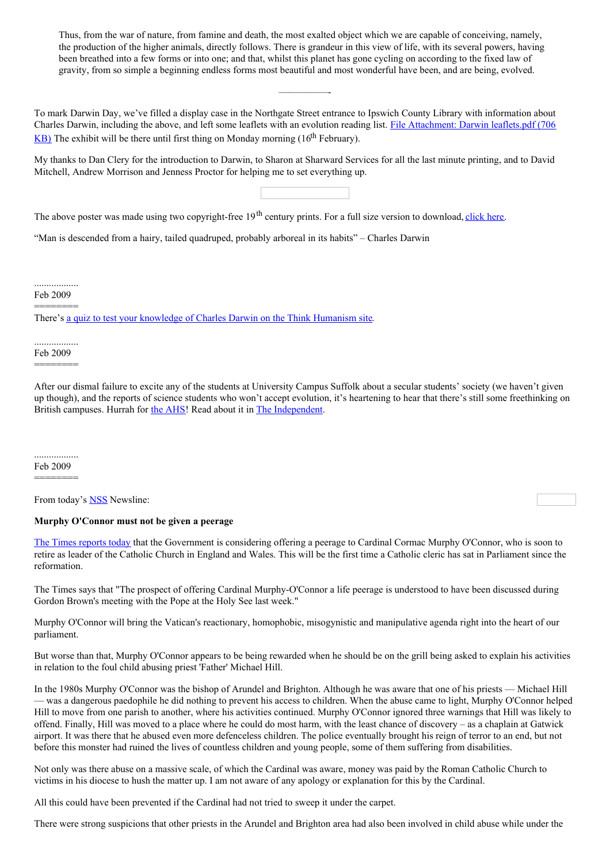Thus, from the war of nature, from famine and death, the most exalted object which we are capable of conceiving, namely, the production of the higher animals, directly follows. There is grandeur in this view of life, with its several powers, having been breathed into a few forms or into one; and that, whilst this planet has gone cycling on according to the fixed law of gravity, from so simple a beginning endless forms most beautiful and most wonderful have been, and are being, evolved.

—————-

To mark Darwin Day, we've filled a display case in the Northgate Street entrance to Ipswich County Library with information about Charles Darwin, including the above, and left some leaflets with an evolution reading list. File [Attachment:](http://www.suffolkhands.org.uk/files/1/Darwin_20leaflets.pdf) Darwin leaflets.pdf (706  $(KB)$  The exhibit will be there until first thing on Monday morning (16<sup>th</sup> February).

My thanks to Dan Clery for the introduction to Darwin, to Sharon at Sharward Services for all the last minute printing, and to David Mitchell, Andrew Morrison and Jenness Proctor for helping me to set everything up.

The above poster was made using two copyright-free 19<sup>th</sup> century prints. For a full size version to download, [click](http://www.flickr.com/photos/flashmaggie/3255645967/) here.

"Man is descended from a hairy, tailed quadruped, probably arboreal in its habits" – Charles Darwin

.................. Feb 2009 ========

There's a quiz to test your [knowledge](http://www.thinkhumanism.com/index.php?option=com_ariquiz&task=quiz&quizId=2&Itemid=76) of Charles Darwin on the Think Humanism site.

.................. Feb 2009

========

After our dismal failure to excite any of the students at University Campus Suffolk about a secular students' society (we haven't given up though), and the reports of science students who won't accept evolution, it's heartening to hear that there's still some freethinking on British campuses. Hurrah for the [AHS](http://www.ahsstudents.org.uk/)! Read about it in The [Independent](http://www.independent.co.uk/news/uk/this-britain/the-march-of-the-atheist-movement-1627061.html).

.................. Feb 2009 ========

From today's **[NSS](http://www.secularism.org.uk/)** Newsline:

**Murphy O'Connor must not be given a peerage**

The Times [reports](http://www.timesonline.co.uk/tol/comment/faith/article5811976.ece?Submitted=true) today that the Government is considering offering a peerage to Cardinal Cormac Murphy O'Connor, who is soon to retire as leader of the Catholic Church in England and Wales. This will be the first time a Catholic cleric has sat in Parliament since the reformation.

The Times says that "The prospect of offering Cardinal Murphy-O'Connor a life peerage is understood to have been discussed during Gordon Brown's meeting with the Pope at the Holy See last week."

Murphy O'Connor will bring the Vatican's reactionary, homophobic, misogynistic and manipulative agenda right into the heart of our parliament.

But worse than that, Murphy O'Connor appears to be being rewarded when he should be on the grill being asked to explain his activities in relation to the foul child abusing priest 'Father' Michael Hill.

In the 1980s Murphy O'Connor was the bishop of Arundel and Brighton. Although he was aware that one of his priests — Michael Hill — was a dangerous paedophile he did nothing to prevent his access to children. When the abuse came to light, Murphy O'Connor helped Hill to move from one parish to another, where his activities continued. Murphy O'Connor ignored three warnings that Hill was likely to offend. Finally, Hill was moved to a place where he could do most harm, with the least chance of discovery – as a chaplain at Gatwick airport. It was there that he abused even more defenceless children. The police eventually brought his reign of terror to an end, but not before this monster had ruined the lives of countless children and young people, some of them suffering from disabilities.

Not only was there abuse on a massive scale, of which the Cardinal was aware, money was paid by the Roman Catholic Church to victims in his diocese to hush the matter up. I am not aware of any apology or explanation for this by the Cardinal.

All this could have been prevented if the Cardinal had not tried to sweep it under the carpet.

There were strong suspicions that other priests in the Arundel and Brighton area had also been involved in child abuse while under the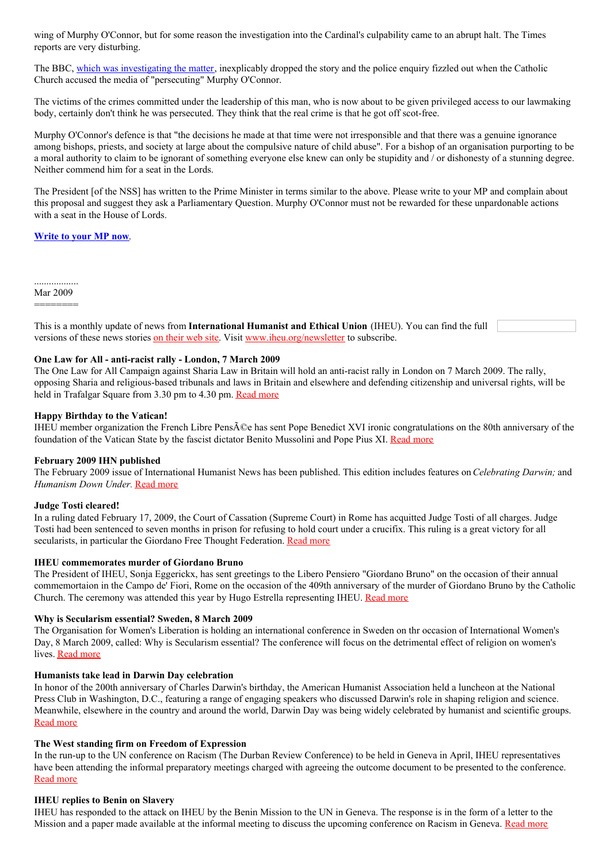wing of Murphy O'Connor, but for some reason the investigation into the Cardinal's culpability came to an abrupt halt. The Times reports are very disturbing.

The BBC, which was [investigating](http://www.bbc.co.uk/radio4/today/reports/archive/features/paedophile_priests.shtml) the matter, inexplicably dropped the story and the police enquiry fizzled out when the Catholic Church accused the media of "persecuting" Murphy O'Connor.

The victims of the crimes committed under the leadership of this man, who is now about to be given privileged access to our lawmaking body, certainly don't think he was persecuted. They think that the real crime is that he got off scot-free.

Murphy O'Connor's defence is that "the decisions he made at that time were not irresponsible and that there was a genuine ignorance among bishops, priests, and society at large about the compulsive nature of child abuse". For a bishop of an organisation purporting to be a moral authority to claim to be ignorant of something everyone else knew can only be stupidity and / or dishonesty of a stunning degree. Neither commend him for a seat in the Lords.

The President [of the NSS] has written to the Prime Minister in terms similar to the above. Please write to your MP and complain about this proposal and suggest they ask a Parliamentary Question. Murphy O'Connor must not be rewarded for these unpardonable actions with a seat in the House of Lords.

# **[Write](http://www.writetothem.com/) to your MP now**.

#### .................. Mar 2009

========

This is a monthly update of news from **International Humanist and Ethical Union** (IHEU). You can find the full versions of these news stories on [their](http://www.iheu.org/) web site. Visit [www.iheu.org/newsletter](http://www.iheu.org/newsletter) to subscribe.

# **One Law for All - anti-racist rally - London, 7 March 2009**

The One Law for All Campaign against Sharia Law in Britain will hold an anti-racist rally in London on 7 March 2009. The rally, opposing Sharia and religious-based tribunals and laws in Britain and elsewhere and defending citizenship and universal rights, will be held in Trafalgar Square from 3.30 pm to 4.30 pm. Read [more](http://www.iheu.org/node/3532)

# **Happy Birthday to the Vatican!**

IHEU member organization the French Libre Pens©e has sent Pope Benedict XVI ironic congratulations on the 80th anniversary of the foundation of the Vatican State by the fascist dictator Benito Mussolini and Pope Pius XI. [Read](http://www.iheu.org/node/3530) more

# **February 2009 IHN published**

The February 2009 issue of International Humanist News has been published. This edition includes features on*Celebrating Darwin;* and *Humanism Down Under.* [Read](http://www.iheu.org/node/3528) more

# **Judge Tosti cleared!**

In a ruling dated February 17, 2009, the Court of Cassation (Supreme Court) in Rome has acquitted Judge Tosti of all charges. Judge Tosti had been sentenced to seven months in prison for refusing to hold court under a crucifix. This ruling is a great victory for all secularists, in particular the Giordano Free Thought Federation. Read [more](http://www.iheu.org/node/3526)

# **IHEU commemorates murder of Giordano Bruno**

The President of IHEU, Sonja Eggerickx, has sent greetings to the Libero Pensiero "Giordano Bruno" on the occasion of their annual commemortaion in the Campo de' Fiori, Rome on the occasion of the 409th anniversary of the murder of Giordano Bruno by the Catholic Church. The ceremony was attended this year by Hugo Estrella representing IHEU. Read [more](http://www.iheu.org/node/3525)

# **Why is Secularism essential? Sweden, 8 March 2009**

The Organisation for Women's Liberation is holding an international conference in Sweden on thr occasion of International Women's Day, 8 March 2009, called: Why is Secularism essential? The conference will focus on the detrimental effect of religion on women's lives. Read [more](http://www.iheu.org/node/3524)

# **Humanists take lead in Darwin Day celebration**

In honor of the 200th anniversary of Charles Darwin's birthday, the American Humanist Association held a luncheon at the National Press Club in Washington, D.C., featuring a range of engaging speakers who discussed Darwin's role in shaping religion and science. Meanwhile, elsewhere in the country and around the world, Darwin Day was being widely celebrated by humanist and scientific groups. [Read](http://www.iheu.org/node/3523) more

# **The West standing firm on Freedom of Expression**

In the run-up to the UN conference on Racism (The Durban Review Conference) to be held in Geneva in April, IHEU representatives have been attending the informal preparatory meetings charged with agreeing the outcome document to be presented to the conference. [Read](http://www.iheu.org/node/3522) more

# **IHEU replies to Benin on Slavery**

IHEU has responded to the attack on IHEU by the Benin Mission to the UN in Geneva. The response is in the form of a letter to the Mission and a paper made available at the informal meeting to discuss the upcoming conference on Racism in Geneva. [Read](http://www.iheu.org/node/3521) more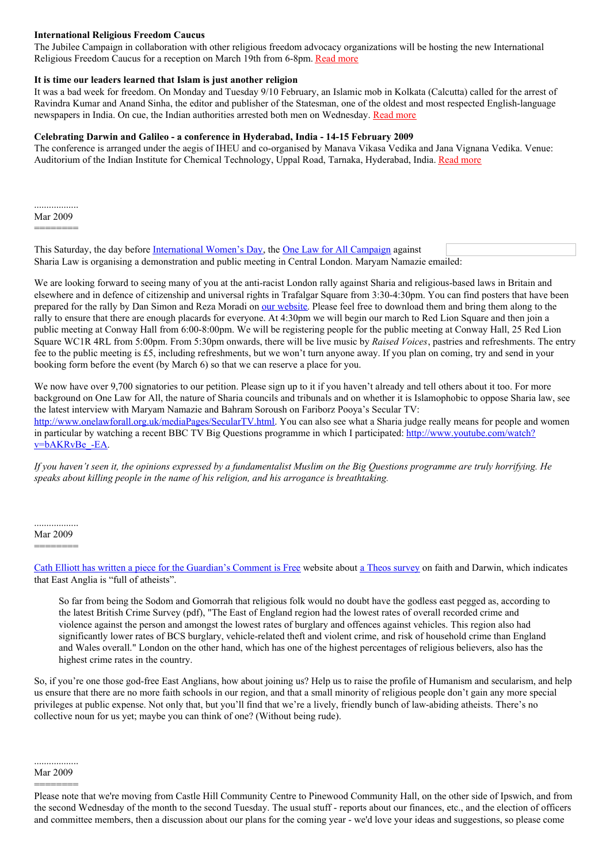# **International Religious Freedom Caucus**

The Jubilee Campaign in collaboration with other religious freedom advocacy organizations will be hosting the new International Religious Freedom Caucus for a reception on March 19th from 6-8pm. Read [more](http://www.iheu.org/node/3531)

# **It is time our leaders learned that Islam is just another religion**

It was a bad week for freedom. On Monday and Tuesday 9/10 February, an Islamic mob in Kolkata (Calcutta) called for the arrest of Ravindra Kumar and Anand Sinha, the editor and publisher of the Statesman, one of the oldest and most respected English-language newspapers in India. On cue, the Indian authorities arrested both men on Wednesday. Read [more](http://www.iheu.org/node/3520)

# **Celebrating Darwin and Galileo - a conference in Hyderabad, India - 14-15 February 2009**

The conference is arranged under the aegis of IHEU and co-organised by Manava Vikasa Vedika and Jana Vignana Vedika. Venue: Auditorium of the Indian Institute for Chemical Technology, Uppal Road, Tarnaka, Hyderabad, India. Read [more](http://www.iheu.org/node/3518)

.................. Mar 2009 ========

This Saturday, the day before [International](http://www.internationalwomensday.com/default.asp) Women's Day, the One Law for All [Campaign](http://www.onelawforall.org.uk/) against Sharia Law is organising a demonstration and public meeting in Central London. Maryam Namazie emailed:

We are looking forward to seeing many of you at the anti-racist London rally against Sharia and religious-based laws in Britain and elsewhere and in defence of citizenship and universal rights in Trafalgar Square from 3:30-4:30pm. You can find posters that have been prepared for the rally by Dan Simon and Reza Moradi on our [website](http://www.onelawforall.org.uk/). Please feel free to download them and bring them along to the rally to ensure that there are enough placards for everyone. At 4:30pm we will begin our march to Red Lion Square and then join a public meeting at Conway Hall from 6:00-8:00pm. We will be registering people for the public meeting at Conway Hall, 25 Red Lion Square WC1R 4RL from 5:00pm. From 5:30pm onwards, there will be live music by *Raised Voices*, pastries and refreshments. The entry fee to the public meeting is £5, including refreshments, but we won't turn anyone away. If you plan on coming, try and send in your booking form before the event (by March 6) so that we can reserve a place for you.

We now have over 9,700 signatories to our petition. Please sign up to it if you haven't already and tell others about it too. For more background on One Law for All, the nature of Sharia councils and tribunals and on whether it is Islamophobic to oppose Sharia law, see the latest interview with Maryam Namazie and Bahram Soroush on Fariborz Pooya's Secular TV: <http://www.onelawforall.org.uk/mediaPages/SecularTV.html>. You can also see what a Sharia judge really means for people and women in particular by watching a recent BBC TV Big Questions programme in which I participated: [http://www.youtube.com/watch?](http://www.youtube.com/watch?v=bAKRvBe_-EA) v=bAKRvBe\_-EA.

If you haven't seen it, the opinions expressed by a fundamentalist Muslim on the Big Ouestions programme are truly horrifying. He *speaks about killing people in the name of his religion, and his arrogance is breathtaking.*

.................. Mar 2009

========

Cath Elliott has written a piece for the [Guardian's](http://www.guardian.co.uk/commentisfree/belief/2009/mar/03/religion-atheism-norfolk) Comment is Free website about a Theos [survey](http://www.theosthinktank.co.uk/Faith_and_Darwin.aspx?ArticleID=2911&PageID=6&RefPageID=5) on faith and Darwin, which indicates that East Anglia is "full of atheists".

So far from being the Sodom and Gomorrah that religious folk would no doubt have the godless east pegged as, according to the latest British Crime Survey (pdf), "The East of England region had the lowest rates of overall recorded crime and violence against the person and amongst the lowest rates of burglary and offences against vehicles. This region also had significantly lower rates of BCS burglary, vehicle-related theft and violent crime, and risk of household crime than England and Wales overall." London on the other hand, which has one of the highest percentages of religious believers, also has the highest crime rates in the country.

So, if you're one those god-free East Anglians, how about joining us? Help us to raise the profile of Humanism and secularism, and help us ensure that there are no more faith schools in our region, and that a small minority of religious people don't gain any more special privileges at public expense. Not only that, but you'll find that we're a lively, friendly bunch of law-abiding atheists. There's no collective noun for us yet; maybe you can think of one? (Without being rude).

.................. Mar 2009

======== Please note that we're moving from Castle Hill Community Centre to Pinewood Community Hall, on the other side of Ipswich, and from the second Wednesday of the month to the second Tuesday. The usual stuff - reports about our finances, etc., and the election of officers and committee members, then a discussion about our plans for the coming year - we'd love your ideas and suggestions, so please come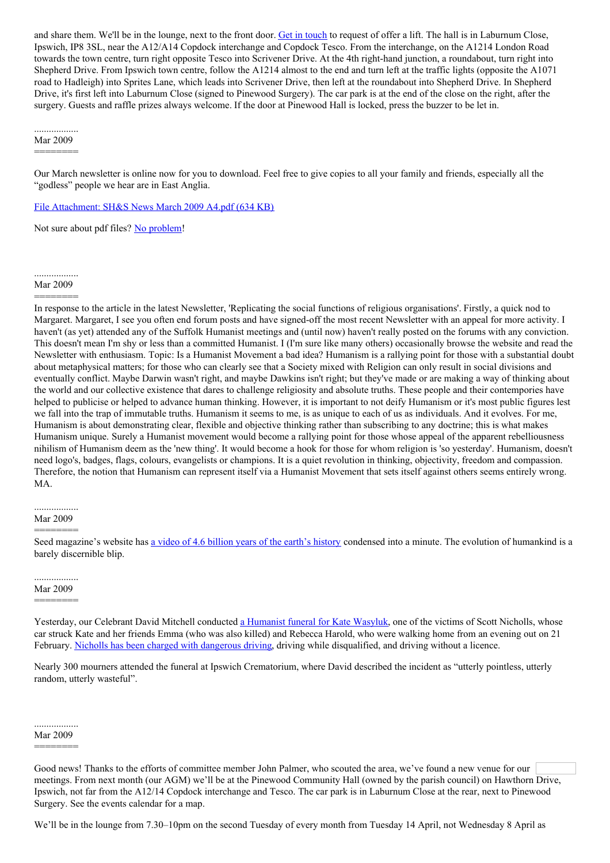and share them. We'll be in the lounge, next to the front door. Get in [touch](http://www.suffolkhands.org.uk/contact) to request of offer a lift. The hall is in Laburnum Close, Ipswich, IP8 3SL, near the A12/A14 Copdock interchange and Copdock Tesco. From the interchange, on the A1214 London Road towards the town centre, turn right opposite Tesco into Scrivener Drive. At the 4th right-hand junction, a roundabout, turn right into Shepherd Drive. From Ipswich town centre, follow the A1214 almost to the end and turn left at the traffic lights (opposite the A1071 road to Hadleigh) into Sprites Lane, which leads into Scrivener Drive, then left at the roundabout into Shepherd Drive. In Shepherd Drive, it's first left into Laburnum Close (signed to Pinewood Surgery). The car park is at the end of the close on the right, after the surgery. Guests and raffle prizes always welcome. If the door at Pinewood Hall is locked, press the buzzer to be let in.

.................. Mar 2009

========

Our March newsletter is online now for you to download. Feel free to give copies to all your family and friends, especially all the "godless" people we hear are in East Anglia.

File [Attachment:](http://www.suffolkhands.org.uk/files/1/SH_26S_20News_20March_202009_20A4.pdf) SH&S News March 2009 A4.pdf (634 KB)

Not sure about pdf files? No [problem](http://www.suffolkhands.org.uk/node/40)!

.................. Mar 2009

========

In response to the article in the latest Newsletter, 'Replicating the social functions of religious organisations'. Firstly, a quick nod to Margaret. Margaret, I see you often end forum posts and have signed-off the most recent Newsletter with an appeal for more activity. I haven't (as yet) attended any of the Suffolk Humanist meetings and (until now) haven't really posted on the forums with any conviction. This doesn't mean I'm shy or less than a committed Humanist. I (I'm sure like many others) occasionally browse the website and read the Newsletter with enthusiasm. Topic: Is a Humanist Movement a bad idea? Humanism is a rallying point for those with a substantial doubt about metaphysical matters; for those who can clearly see that a Society mixed with Religion can only result in social divisions and eventually conflict. Maybe Darwin wasn't right, and maybe Dawkins isn't right; but they've made or are making a way of thinking about the world and our collective existence that dares to challenge religiosity and absolute truths. These people and their contempories have helped to publicise or helped to advance human thinking. However, it is important to not deify Humanism or it's most public figures lest we fall into the trap of immutable truths. Humanism it seems to me, is as unique to each of us as individuals. And it evolves. For me, Humanism is about demonstrating clear, flexible and objective thinking rather than subscribing to any doctrine; this is what makes Humanism unique. Surely a Humanist movement would become a rallying point for those whose appeal of the apparent rebelliousness nihilism of Humanism deem as the 'new thing'. It would become a hook for those for whom religion is 'so yesterday'. Humanism, doesn't need logo's, badges, flags, colours, evangelists or champions. It is a quiet revolution in thinking, objectivity, freedom and compassion. Therefore, the notion that Humanism can represent itself via a Humanist Movement that sets itself against others seems entirely wrong. MA.

#### .................. Mar 2009

========

Seed magazine's website has a video of 4.6 billion years of the earth's [history](http://www.seedmagazine.com/news/2009/02/the_evolution_of_life_in_60_se.php) condensed into a minute. The evolution of humankind is a barely discernible blip.

#### .................. Mar 2009

========

Yesterday, our Celebrant David Mitchell conducted a [Humanist](http://www.eveningstar.co.uk/content/eveningstar/news/story.aspx?brand=ESTOnline&category=News&tBrand=ESTOnline&tCategory=xDefault&itemid=IPED11%20Mar%202009%2022%253A54%253A31%253A270) funeral for Kate Wasyluk, one of the victims of Scott Nicholls, whose car struck Kate and her friends Emma (who was also killed) and Rebecca Harold, who were walking home from an evening out on 21 February. Nicholls has been charged with [dangerous](http://news.bbc.co.uk/1/hi/england/suffolk/7910299.stm) driving, driving while disqualified, and driving without a licence.

Nearly 300 mourners attended the funeral at Ipswich Crematorium, where David described the incident as "utterly pointless, utterly random, utterly wasteful".

.................. Mar 2009

========

Good news! Thanks to the efforts of committee member John Palmer, who scouted the area, we've found a new venue for our meetings. From next month (our AGM) we'll be at the Pinewood Community Hall (owned by the parish council) on Hawthorn Drive, Ipswich, not far from the A12/14 Copdock interchange and Tesco. The car park is in Laburnum Close at the rear, next to Pinewood Surgery. See the events calendar for a map.

We'll be in the lounge from 7.30–10pm on the second Tuesday of every month from Tuesday 14 April, not Wednesday 8 April as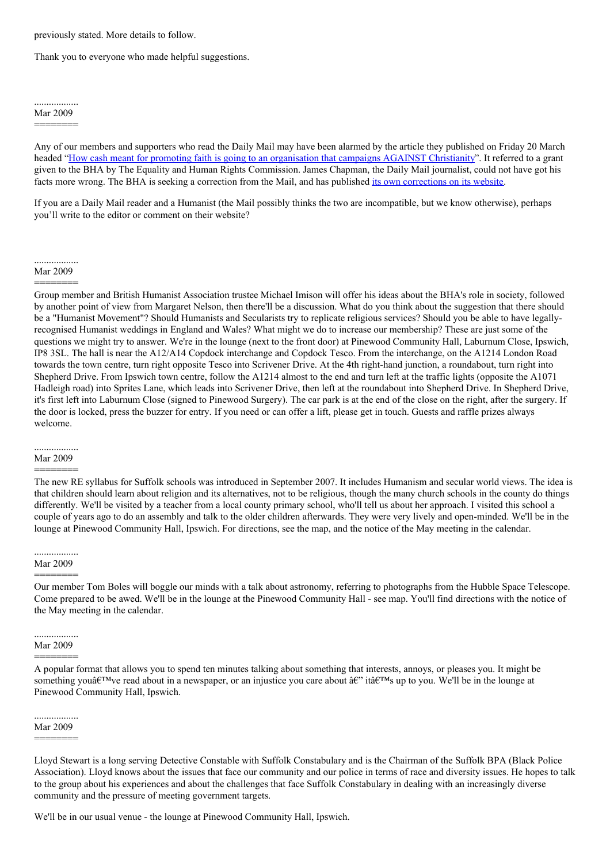previously stated. More details to follow.

Thank you to everyone who made helpful suggestions.

.................. Mar 2009 ========

Any of our members and supporters who read the Daily Mail may have been alarmed by the article they published on Friday 20 March headed "How cash meant for promoting faith is going to an [organisation](http://www.dailymail.co.uk/news/article-1163616/How-cash-meant-promoting-faith-going-organisation-campaigns-AGAINST-Christianity.html) that campaigns AGAINST Christianity". It referred to a grant given to the BHA by The Equality and Human Rights Commission. James Chapman, the Daily Mail journalist, could not have got his facts more wrong. The BHA is seeking a correction from the Mail, and has published its own [corrections](http://www.humanism.org.uk/news/view/250) on its website.

If you are a Daily Mail reader and a Humanist (the Mail possibly thinks the two are incompatible, but we know otherwise), perhaps you'll write to the editor or comment on their website?

.................. Mar 2009 ========

Group member and British Humanist Association trustee Michael Imison will offer his ideas about the BHA's role in society, followed by another point of view from Margaret Nelson, then there'll be a discussion. What do you think about the suggestion that there should be a "Humanist Movement"? Should Humanists and Secularists try to replicate religious services? Should you be able to have legallyrecognised Humanist weddings in England and Wales? What might we do to increase our membership? These are just some of the questions we might try to answer. We're in the lounge (next to the front door) at Pinewood Community Hall, Laburnum Close, Ipswich, IP8 3SL. The hall is near the A12/A14 Copdock interchange and Copdock Tesco. From the interchange, on the A1214 London Road towards the town centre, turn right opposite Tesco into Scrivener Drive. At the 4th right-hand junction, a roundabout, turn right into Shepherd Drive. From Ipswich town centre, follow the A1214 almost to the end and turn left at the traffic lights (opposite the A1071 Hadleigh road) into Sprites Lane, which leads into Scrivener Drive, then left at the roundabout into Shepherd Drive. In Shepherd Drive, it's first left into Laburnum Close (signed to Pinewood Surgery). The car park is at the end of the close on the right, after the surgery. If the door is locked, press the buzzer for entry. If you need or can offer a lift, please get in touch. Guests and raffle prizes always welcome.

# .................. Mar 2009 ========

The new RE syllabus for Suffolk schools was introduced in September 2007. It includes Humanism and secular world views. The idea is that children should learn about religion and its alternatives, not to be religious, though the many church schools in the county do things differently. We'll be visited by a teacher from a local county primary school, who'll tell us about her approach. I visited this school a couple of years ago to do an assembly and talk to the older children afterwards. They were very lively and open-minded. We'll be in the lounge at Pinewood Community Hall, Ipswich. For directions, see the map, and the notice of the May meeting in the calendar.

### .................. Mar 2009 ========

Our member Tom Boles will boggle our minds with a talk about astronomy, referring to photographs from the Hubble Space Telescope. Come prepared to be awed. We'll be in the lounge at the Pinewood Community Hall - see map. You'll find directions with the notice of the May meeting in the calendar.

.................. Mar 2009

========

A popular format that allows you to spend ten minutes talking about something that interests, annoys, or pleases you. It might be something you're read about in a newspaper, or an injustice you care about  $\hat{a} \in C^{\infty}$  it  $\hat{a} \in C^{\infty}$  is up to you. We'll be in the lounge at Pinewood Community Hall, Ipswich.

# ..................

Mar 2009 ========

Lloyd Stewart is a long serving Detective Constable with Suffolk Constabulary and is the Chairman of the Suffolk BPA (Black Police Association). Lloyd knows about the issues that face our community and our police in terms of race and diversity issues. He hopes to talk to the group about his experiences and about the challenges that face Suffolk Constabulary in dealing with an increasingly diverse community and the pressure of meeting government targets.

We'll be in our usual venue - the lounge at Pinewood Community Hall, Ipswich.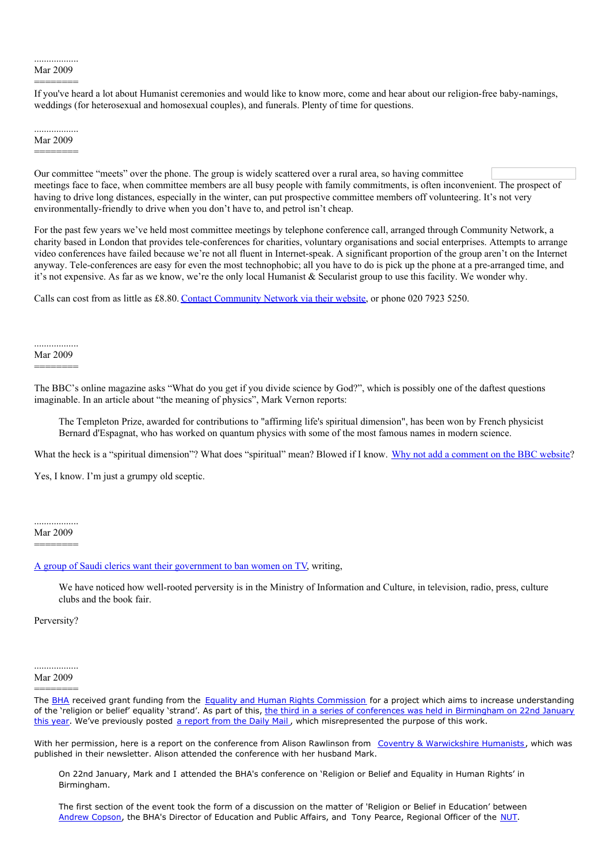#### .................. Mar 2009

========

If you've heard a lot about Humanist ceremonies and would like to know more, come and hear about our religion-free baby-namings, weddings (for heterosexual and homosexual couples), and funerals. Plenty of time for questions.

.................. Mar 2009

========

Our committee "meets" over the phone. The group is widely scattered over a rural area, so having committee meetings face to face, when committee members are all busy people with family commitments, is often inconvenient. The prospect of having to drive long distances, especially in the winter, can put prospective committee members off volunteering. It's not very environmentally-friendly to drive when you don't have to, and petrol isn't cheap.

For the past few years we've held most committee meetings by telephone conference call, arranged through Community Network, a charity based in London that provides tele-conferences for charities, voluntary organisations and social enterprises. Attempts to arrange video conferences have failed because we're not all fluent in Internet-speak. A significant proportion of the group aren't on the Internet anyway. Tele-conferences are easy for even the most technophobic; all you have to do is pick up the phone at a pre-arranged time, and it's not expensive. As far as we know, we're the only local Humanist & Secularist group to use this facility. We wonder why.

Calls can cost from as little as £8.80. Contact [Community](http://www.community-network.org/) Network via their website, or phone 020 7923 5250.

.................. Mar 2009

========

The BBC's online magazine asks "What do you get if you divide science by God?", which is possibly one of the daftest questions imaginable. In an article about "the meaning of physics", Mark Vernon reports:

The Templeton Prize, awarded for contributions to "affirming life's spiritual dimension", has been won by French physicist Bernard d'Espagnat, who has worked on quantum physics with some of the most famous names in modern science.

What the heck is a "spiritual dimension"? What does "spiritual" mean? Blowed if I know. Why not add a [comment](http://news.bbc.co.uk/1/hi/magazine/7955846.stm) on the BBC website?

Yes, I know. I'm just a grumpy old sceptic.

.................. Mar 2009

========

A group of Saudi clerics want their [government](http://www.msnbc.msn.com/id/29826511/) to ban women on TV, writing,

We have noticed how well-rooted perversity is in the Ministry of Information and Culture, in television, radio, press, culture clubs and the book fair.

Perversity?

.................. Mar 2009

========

The [BHA](http://www.humanism.org.uk/) received grant funding from the Equality and Human Rights [Commission](http://www.equalityhumanrights.com/en/Pages/default.aspx) for a project which aims to increase understanding of the 'religion or belief' equality 'strand'. As part of this, the third in a series of conferences was held in Birmingham on 22nd January this year. We've previously posted a [report](http://www.suffolkhands.org.uk/node/1005) from the Daily Mail, which [misrepresented](http://www.humanism.org.uk/news/view/207) the purpose of this work.

With her permission, here is a report on the conference from Alison Rawlinson from Coventry & [Warwickshire](http://www.humanism.org.uk/meet-up/groups/midlands/coventry) Humanists, which was published in their newsletter. Alison attended the conference with her husband Mark.

On 22nd January, Mark and I attended the BHA's conference on 'Religion or Belief and Equality in Human Rights' in Birmingham.

The first section of the event took the form of a discussion on the matter of 'Religion or Belief in Education' between [Andrew](http://www.humanism.org.uk/about/people/staff) Copson, the BHA's Director of Education and Public Affairs, and Tony Pearce, Regional Officer of the [NUT](http://www.teachers.org.uk/).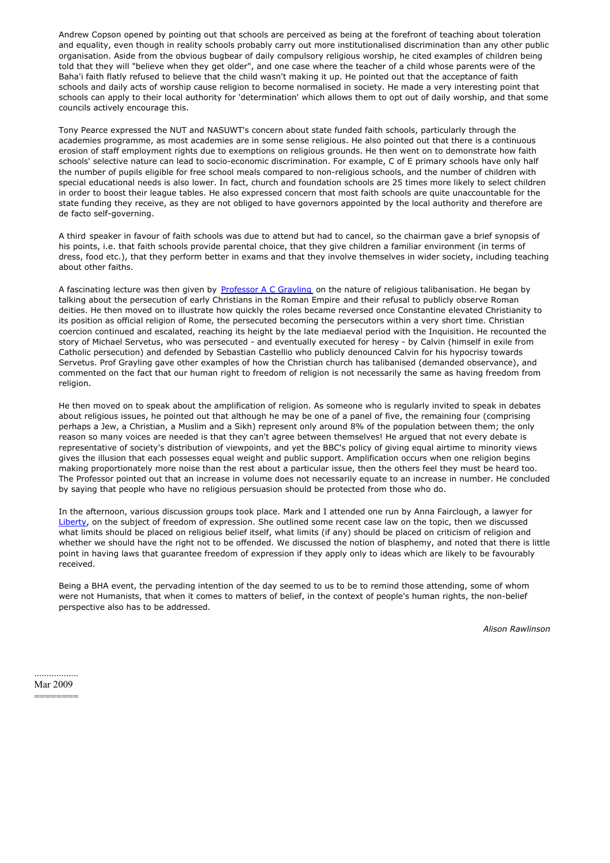Andrew Copson opened by pointing out that schools are perceived as being at the forefront of teaching about toleration and equality, even though in reality schools probably carry out more institutionalised discrimination than any other public organisation. Aside from the obvious bugbear of daily compulsory religious worship, he cited examples of children being told that they will "believe when they get older", and one case where the teacher of a child whose parents were of the Baha'i faith flatly refused to believe that the child wasn't making it up. He pointed out that the acceptance of faith schools and daily acts of worship cause religion to become normalised in society. He made a very interesting point that schools can apply to their local authority for 'determination' which allows them to opt out of daily worship, and that some councils actively encourage this.

Tony Pearce expressed the NUT and NASUWT's concern about state funded faith schools, particularly through the academies programme, as most academies are in some sense religious. He also pointed out that there is a continuous erosion of staff employment rights due to exemptions on religious grounds. He then went on to demonstrate how faith schools' selective nature can lead to socio-economic discrimination. For example, C of E primary schools have only half the number of pupils eligible for free school meals compared to non-religious schools, and the number of children with special educational needs is also lower. In fact, church and foundation schools are 25 times more likely to select children in order to boost their league tables. He also expressed concern that most faith schools are quite unaccountable for the state funding they receive, as they are not obliged to have governors appointed by the local authority and therefore are de facto self-governing.

A third speaker in favour of faith schools was due to attend but had to cancel, so the chairman gave a brief synopsis of his points, i.e. that faith schools provide parental choice, that they give children a familiar environment (in terms of dress, food etc.), that they perform better in exams and that they involve themselves in wider society, including teaching about other faiths.

A fascinating lecture was then given by [Professor](http://www.acgrayling.com/) A C Grayling on the nature of religious talibanisation. He began by talking about the persecution of early Christians in the Roman Empire and their refusal to publicly observe Roman deities. He then moved on to illustrate how quickly the roles became reversed once Constantine elevated Christianity to its position as official religion of Rome, the persecuted becoming the persecutors within a very short time. Christian coercion continued and escalated, reaching its height by the late mediaeval period with the Inquisition. He recounted the story of Michael Servetus, who was persecuted - and eventually executed for heresy - by Calvin (himself in exile from Catholic persecution) and defended by Sebastian Castellio who publicly denounced Calvin for his hypocrisy towards Servetus. Prof Grayling gave other examples of how the Christian church has talibanised (demanded observance), and commented on the fact that our human right to freedom of religion is not necessarily the same as having freedom from religion.

He then moved on to speak about the amplification of religion. As someone who is regularly invited to speak in debates about religious issues, he pointed out that although he may be one of a panel of five, the remaining four (comprising perhaps a Jew, a Christian, a Muslim and a Sikh) represent only around 8% of the population between them; the only reason so many voices are needed is that they can't agree between themselves! He argued that not every debate is representative of society's distribution of viewpoints, and yet the BBC's policy of giving equal airtime to minority views gives the illusion that each possesses equal weight and public support. Amplification occurs when one religion begins making proportionately more noise than the rest about a particular issue, then the others feel they must be heard too. The Professor pointed out that an increase in volume does not necessarily equate to an increase in number. He concluded by saying that people who have no religious persuasion should be protected from those who do.

In the afternoon, various discussion groups took place. Mark and I attended one run by Anna Fairclough, a lawyer for [Liberty](http://www.liberty-human-rights.org.uk/index.shtml), on the subject of freedom of expression. She outlined some recent case law on the topic, then we discussed what limits should be placed on religious belief itself, what limits (if any) should be placed on criticism of religion and whether we should have the right not to be offended. We discussed the notion of blasphemy, and noted that there is little point in having laws that guarantee freedom of expression if they apply only to ideas which are likely to be favourably received.

Being a BHA event, the pervading intention of the day seemed to us to be to remind those attending, some of whom were not Humanists, that when it comes to matters of belief, in the context of people's human rights, the non-belief perspective also has to be addressed.

*Alison Rawlinson*

.................. Mar 2009

========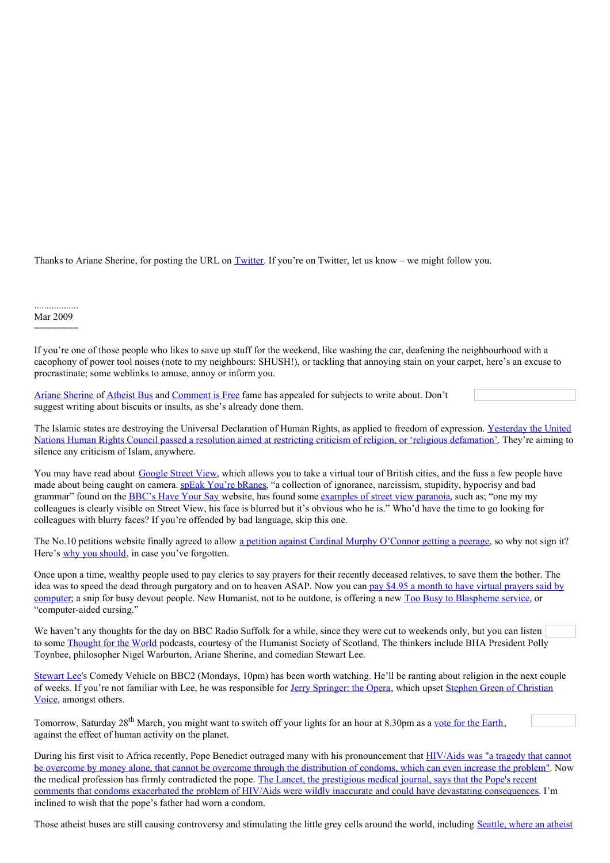Thanks to Ariane Sherine, for posting the URL on [Twitter](http://twitter.com/). If you're on Twitter, let us know – we might follow you.

Mar 2009

========

If you're one of those people who likes to save up stuff for the weekend, like washing the car, deafening the neighbourhood with a cacophony of power tool noises (note to my neighbours: SHUSH!), or tackling that annoying stain on your carpet, here's an excuse to procrastinate; some weblinks to amuse, annoy or inform you.

Ariane [Sherine](http://www.guardian.co.uk/profile/arianesherine) of [Atheist](http://www.atheistbus.org.uk/) Bus and [Comment](http://www.guardian.co.uk/profile/arianesherine) is Free fame has appealed for subjects to write about. Don't suggest writing about biscuits or insults, as she's already done them.

The Islamic states are destroying the Universal Declaration of Human Rights, as applied to freedom of expression. Yesterday the United Nations Human Rights Council passed a resolution aimed at restricting criticism of religion, or 'religious [defamation'.](http://www.indexoncensorship.org/2009/03/26/the-slow-death-of-freedom-of-expression/) They're aiming to silence any criticism of Islam, anywhere.

You may have read about [Google](http://maps.google.co.uk/help/maps/streetview/index.html#utm_campaign=en&utm_source=en-ha-na-us-google-svn&utm_medium=ha&utm_term=street%20view) Street View, which allows you to take a virtual tour of British cities, and the fuss a few people have made about being caught on camera. spEak You're [bRanes](http://ifyoulikeitsomuchwhydontyougolivethere.com/), "a collection of ignorance, narcissism, stupidity, hypocrisy and bad grammar" found on the **[BBC's](http://news.bbc.co.uk/1/hi/talking_point/default.stm) Have Your Say** website, has found some [examples](http://ifyoulikeitsomuchwhydontyougolivethere.com/2009/03/24/paranoia/) of street view paranoia, such as; "one my my colleagues is clearly visible on Street View, his face is blurred but it's obvious who he is." Who'd have the time to go looking for colleagues with blurry faces? If you're offended by bad language, skip this one.

The No.10 petitions website finally agreed to allow a petition against Cardinal Murphy [O'Connor](http://petitions.number10.gov.uk/nocormacpeerage/) getting a peerage, so why not sign it? Here's why you [should](http://www.secularism.org.uk/murphy-oconnor-must-not-be-given.html), in case you've forgotten.

Once upon a time, wealthy people used to pay clerics to say prayers for their recently deceased relatives, to save them the bother. The idea was to speed the dead through purgatory and on to heaven ASAP. Now you can pay \$4.95 a month to have virtual prayers said by computer; a snip for busy devout people. New Humanist, not to be outdone, is offering a new Too Busy to [Blaspheme](http://www.foxnews.com/story/0,2933,510788,00.html) service, or "computer-aided cursing."

We haven't any thoughts for the day on BBC Radio Suffolk for a while, since they were cut to weekends only, but you can listen to some [Thought](http://www.thoughtfortheworld.org/) for the World podcasts, courtesy of the Humanist Society of Scotland. The thinkers include BHA President Polly Toynbee, philosopher Nigel Warburton, Ariane Sherine, and comedian Stewart Lee.

[Stewart](http://www.stewartlee.co.uk/) Lee's Comedy Vehicle on BBC2 (Mondays, 10pm) has been worth watching. He'll be ranting about religion in the next couple of weeks. If you're not familiar with Lee, he was [responsible](http://www.christianvoice.org.uk/) for Jerry [Springer:](http://en.wikipedia.org/wiki/Jerry_Springer_-_The_Opera) the Opera, which upset Stephen Green of Christian Voice, amongst others.

Tomorrow, Saturday 28<sup>th</sup> March, you might want to switch off your lights for an hour at 8.30pm as a vote for the [Earth](http://www.earthhour.org/home/), against the effect of human activity on the planet.

During his first visit to Africa recently, Pope Benedict outraged many with his [pronouncement](http://news.bbc.co.uk/1/hi/world/africa/7947460.stm) that HIV/Aids was "a tragedy that cannot be overcome by money alone, that cannot be overcome through the distribution of condoms, which can even increase the problem". Now the medical profession has firmly contradicted the pope. The Lancet, the prestigious medical journal, says that the Pope's recent comments that condoms exacerbated the problem of HIV/Aids were wildly inaccurate and could have devastating [consequences](http://news.bbc.co.uk/1/hi/world/europe/7967173.stm). I'm inclined to wish that the pope's father had worn a condom.

Those atheist buses are still causing [controversy](http://www.komonews.com/news/local/41618287.html) and stimulating the little grey cells around the world, including Seattle, where an atheist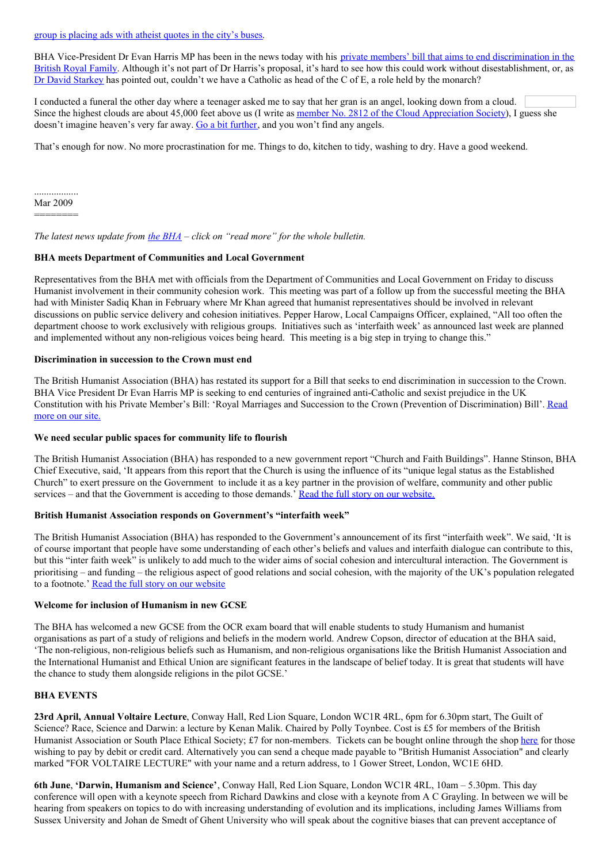group is placing ads with atheist quotes in the city's buses.

BHA Vice-President Dr Evan Harris MP has been in the news today with his private members' bill that aims to end discrimination in the British Royal Family. Although it's not part of Dr Harris's proposal, it's hard to see how this could work without [disestablishment,](http://www.humanism.org.uk/news/view/257) or, as Dr David [Starkey](http://entertainment.timesonline.co.uk/tol/arts_and_entertainment/books/article4915329.ece) has pointed out, couldn't we have a Catholic as head of the C of E, a role held by the monarch?

I conducted a funeral the other day where a teenager asked me to say that her gran is an angel, looking down from a cloud. Since the highest clouds are about 45,000 feet above us (I write as member No. 2812 of the Cloud [Appreciation](http://cloudappreciationsociety.org/cloud-blog/) Society), I guess she doesn't imagine heaven's very far away. Go a bit [further](http://antwrp.gsfc.nasa.gov/apod/astropix.html), and you won't find any angels.

That's enough for now. No more procrastination for me. Things to do, kitchen to tidy, washing to dry. Have a good weekend.

.................. Mar 2009 ========

*The latest news update from the [BHA](http://www.humanism.org.uk/) – click on "read more" for the whole bulletin.*

# **BHA meets Department of Communities and Local Government**

Representatives from the BHA met with officials from the Department of Communities and Local Government on Friday to discuss Humanist involvement in their community cohesion work. This meeting was part of a follow up from the successful meeting the BHA had with Minister Sadiq Khan in February where Mr Khan agreed that humanist representatives should be involved in relevant discussions on public service delivery and cohesion initiatives. Pepper Harow, Local Campaigns Officer, explained, "All too often the department choose to work exclusively with religious groups. Initiatives such as 'interfaith week' as announced last week are planned and implemented without any non-religious voices being heard. This meeting is a big step in trying to change this."

# **Discrimination in succession to the Crown must end**

The British Humanist Association (BHA) has restated its support for a Bill that seeks to end discrimination in succession to the Crown. BHA Vice President Dr Evan Harris MP is seeking to end centuries of ingrained anti-Catholic and sexist prejudice in the UK Constitution with his Private Member's Bill: 'Royal Marriages and Succession to the Crown (Prevention of [Discrimination\)](http://www.humanism.org.uk/news/view/257) Bill'. Read more on our site.

# **We need secular public spaces for community life to flourish**

The British Humanist Association (BHA) has responded to a new government report "Church and Faith Buildings". Hanne Stinson, BHA Chief Executive, said, 'It appears from this report that the Church is using the influence of its "unique legal status as the Established Church" to exert pressure on the Government to include it as a key partner in the provision of welfare, community and other public services – and that the Government is acceding to those demands.' Read the full story on our [website.](http://www.humanism.org.uk/news/view/254)

# **British Humanist Association responds on Government's "interfaith week"**

The British Humanist Association (BHA) has responded to the Government's announcement of its first "interfaith week". We said, 'It is of course important that people have some understanding of each other's beliefs and values and interfaith dialogue can contribute to this, but this "inter faith week" is unlikely to add much to the wider aims of social cohesion and intercultural interaction. The Government is prioritising – and funding – the religious aspect of good relations and social cohesion, with the majority of the UK's population relegated to a footnote.' Read the full story on our [website](http://www.humanism.org.uk/news/view/252)

# **Welcome for inclusion of Humanism in new GCSE**

The BHA has welcomed a new GCSE from the OCR exam board that will enable students to study Humanism and humanist organisations as part of a study of religions and beliefs in the modern world. Andrew Copson, director of education at the BHA said, 'The non-religious, non-religious beliefs such as Humanism, and non-religious organisations like the British Humanist Association and the International Humanist and Ethical Union are significant features in the landscape of belief today. It is great that students will have the chance to study them alongside religions in the pilot GCSE.'

# **BHA EVENTS**

**23rd April, Annual Voltaire Lecture**, Conway Hall, Red Lion Square, London WC1R 4RL, 6pm for 6.30pm start, The Guilt of Science? Race, Science and Darwin: a lecture by Kenan Malik. Chaired by Polly Toynbee. Cost is £5 for members of the British Humanist Association or South Place Ethical Society;  $\pounds$  for non-members. Tickets can be bought online through the shop [here](http://www.humanism.org.uk/shop/tickets) for those wishing to pay by debit or credit card. Alternatively you can send a cheque made payable to "British Humanist Association" and clearly marked "FOR VOLTAIRE LECTURE" with your name and a return address, to 1 Gower Street, London, WC1E 6HD.

**6th June**, **'Darwin, Humanism and Science'**, Conway Hall, Red Lion Square, London WC1R 4RL, 10am – 5.30pm. This day conference will open with a keynote speech from Richard Dawkins and close with a keynote from A C Grayling. In between we will be hearing from speakers on topics to do with increasing understanding of evolution and its implications, including James Williams from Sussex University and Johan de Smedt of Ghent University who will speak about the cognitive biases that can prevent acceptance of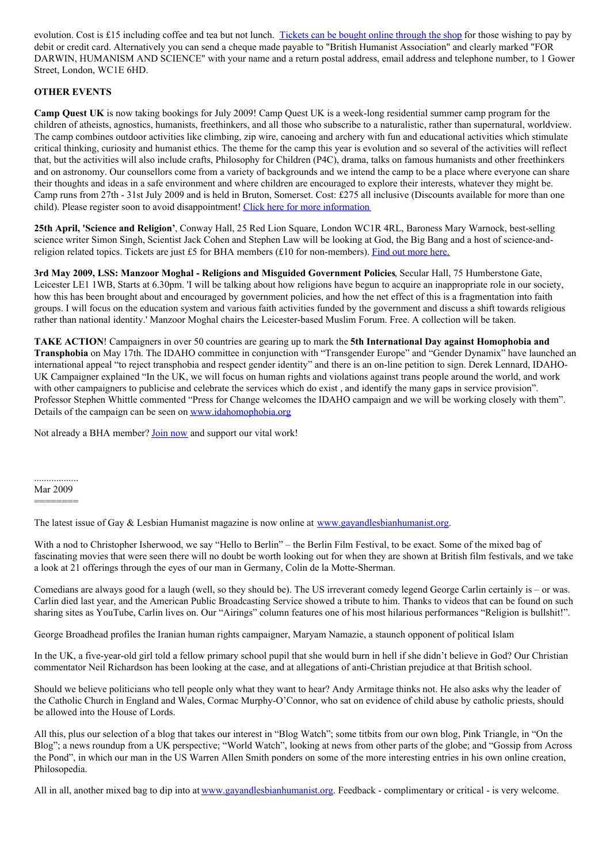evolution. Cost is £15 including coffee and tea but not lunch. Tickets can be bought online [through](http://www.humanism.org.uk/shop/tickets) the shop for those wishing to pay by debit or credit card. Alternatively you can send a cheque made payable to "British Humanist Association" and clearly marked "FOR DARWIN, HUMANISM AND SCIENCE" with your name and a return postal address, email address and telephone number, to 1 Gower Street, London, WC1E 6HD.

# **OTHER EVENTS**

**Camp Quest UK** is now taking bookings for July 2009! Camp Quest UK is a week-long residential summer camp program for the children of atheists, agnostics, humanists, freethinkers, and all those who subscribe to a naturalistic, rather than supernatural, worldview. The camp combines outdoor activities like climbing, zip wire, canoeing and archery with fun and educational activities which stimulate critical thinking, curiosity and humanist ethics. The theme for the camp this year is evolution and so several of the activities will reflect that, but the activities will also include crafts, Philosophy for Children (P4C), drama, talks on famous humanists and other freethinkers and on astronomy. Our counsellors come from a variety of backgrounds and we intend the camp to be a place where everyone can share their thoughts and ideas in a safe environment and where children are encouraged to explore their interests, whatever they might be. Camp runs from 27th - 31st July 2009 and is held in Bruton, Somerset. Cost: £275 all inclusive (Discounts available for more than one child). Please register soon to avoid disappointment! Click here for more [information](http://www.camp-quest.org.uk/)

**25th April, 'Science and Religion'**, Conway Hall, 25 Red Lion Square, London WC1R 4RL, Baroness Mary Warnock, best-selling science writer Simon Singh, Scientist Jack Cohen and Stephen Law will be looking at God, the Big Bang and a host of science-andreligion related topics. Tickets are just £5 for BHA members (£10 for non-members). Find out [more](http://cfilondon.org/2008/11/20/science-and-religion/) here.

**3rd May 2009, LSS: Manzoor Moghal - Religions and Misguided Government Policies**, Secular Hall, 75 Humberstone Gate, Leicester LE1 1WB, Starts at 6.30pm. 'I will be talking about how religions have begun to acquire an inappropriate role in our society, how this has been brought about and encouraged by government policies, and how the net effect of this is a fragmentation into faith groups. I will focus on the education system and various faith activities funded by the government and discuss a shift towards religious rather than national identity.' Manzoor Moghal chairs the Leicester-based Muslim Forum. Free. A collection will be taken.

**TAKE ACTION**! Campaigners in over 50 countries are gearing up to mark the **5th International Day against Homophobia and Transphobia** on May 17th. The IDAHO committee in conjunction with "Transgender Europe" and "Gender Dynamix" have launched an international appeal "to reject transphobia and respect gender identity" and there is an on-line petition to sign. Derek Lennard, IDAHO-UK Campaigner explained "In the UK, we will focus on human rights and violations against trans people around the world, and work with other campaigners to publicise and celebrate the services which do exist, and identify the many gaps in service provision". Professor Stephen Whittle commented "Press for Change welcomes the IDAHO campaign and we will be working closely with them". Details of the campaign can be seen on [www.idahomophobia.org](http://www.idahomophobia.org/)

Not already a BHA member? **Join [now](http://www.humanism.org.uk/support-us/join-us)** and support our vital work!

.................. Mar 2009 ========

The latest issue of Gay & Lesbian Humanist magazine is now online at [www.gayandlesbianhumanist.org](http://www.gayandlesbianhumanist.org/).

With a nod to Christopher Isherwood, we say "Hello to Berlin" – the Berlin Film Festival, to be exact. Some of the mixed bag of fascinating movies that were seen there will no doubt be worth looking out for when they are shown at British film festivals, and we take a look at 21 offerings through the eyes of our man in Germany, Colin de la Motte-Sherman.

Comedians are always good for a laugh (well, so they should be). The US irreverant comedy legend George Carlin certainly is – or was. Carlin died last year, and the American Public Broadcasting Service showed a tribute to him. Thanks to videos that can be found on such sharing sites as YouTube, Carlin lives on. Our "Airings" column features one of his most hilarious performances "Religion is bullshit!".

George Broadhead profiles the Iranian human rights campaigner, Maryam Namazie, a staunch opponent of political Islam

In the UK, a five-year-old girl told a fellow primary school pupil that she would burn in hell if she didn't believe in God? Our Christian commentator Neil Richardson has been looking at the case, and at allegations of anti-Christian prejudice at that British school.

Should we believe politicians who tell people only what they want to hear? Andy Armitage thinks not. He also asks why the leader of the Catholic Church in England and Wales, Cormac Murphy-O'Connor, who sat on evidence of child abuse by catholic priests, should be allowed into the House of Lords.

All this, plus our selection of a blog that takes our interest in "Blog Watch"; some titbits from our own blog, Pink Triangle, in "On the Blog"; a news roundup from a UK perspective; "World Watch", looking at news from other parts of the globe; and "Gossip from Across the Pond", in which our man in the US Warren Allen Smith ponders on some of the more interesting entries in his own online creation, Philosopedia.

All in all, another mixed bag to dip into at [www.gayandlesbianhumanist.org.](http://www.gayandlesbianhumanist.org/) Feedback - complimentary or critical - is very welcome.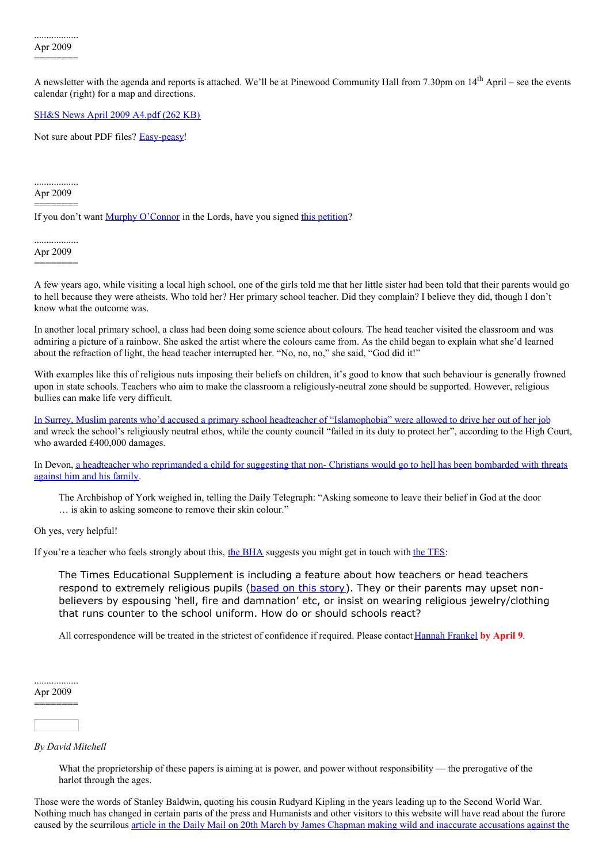A newsletter with the agenda and reports is attached. We'll be at Pinewood Community Hall from 7.30pm on 14<sup>th</sup> April – see the events calendar (right) for a map and directions.

SH&S News April 2009 [A4.pdf](http://www.suffolkhands.org.uk/files/1/SH_26S_20News_20April_20_202009_20A4.pdf) (262 KB)

Not sure about PDF files? **[Easy-peasy](http://www.suffolkhands.org.uk/node/40)!** 

.................. Apr 2009 ========

If you don't want Murphy [O'Connor](http://www.suffolkhands.org.uk/node/991) in the Lords, have you signed this [petition](http://petitions.number10.gov.uk/nocormacpeerage)?

.................. Apr 2009 ========

A few years ago, while visiting a local high school, one of the girls told me that her little sister had been told that their parents would go to hell because they were atheists. Who told her? Her primary school teacher. Did they complain? I believe they did, though I don't know what the outcome was.

In another local primary school, a class had been doing some science about colours. The head teacher visited the classroom and was admiring a picture of a rainbow. She asked the artist where the colours came from. As the child began to explain what she'd learned about the refraction of light, the head teacher interrupted her. "No, no, no," she said, "God did it!"

With examples like this of religious nuts imposing their beliefs on children, it's good to know that such behaviour is generally frowned upon in state schools. Teachers who aim to make the classroom a religiously-neutral zone should be supported. However, religious bullies can make life very difficult.

In Surrey, Muslim parents who'd accused a primary school headteacher of ["Islamophobia"](http://www.timesonline.co.uk/tol/life_and_style/education/article5941506.ece) were allowed to drive her out of her job and wreck the school's religiously neutral ethos, while the county council "failed in its duty to protect her", according to the High Court, who awarded £400,000 damages.

In Devon, a headteacher who [reprimanded](http://www.tes.co.uk/article.aspx?storycode=6009326) a child for suggesting that non- Christians would go to hell has been bombarded with threats against him and his family.

The Archbishop of York weighed in, telling the Daily Telegraph: "Asking someone to leave their belief in God at the door … is akin to asking someone to remove their skin colour."

Oh yes, very helpful!

If you're a teacher who feels strongly about this, the [BHA](http://www.humanism.org.uk/home) suggests you might get in touch with the [TES](http://www.tes.co.uk/):

The Times Educational Supplement is including a feature about how teachers or head teachers respond to extremely religious pupils [\(based](http://www.tes.co.uk/article.aspx?storycode=6009326) on this story). They or their parents may upset nonbelievers by espousing 'hell, fire and damnation' etc, or insist on wearing religious jewelry/clothing that runs counter to the school uniform. How do or should schools react?

All correspondence will be treated in the strictest of confidence if required. Please contact [Hannah](mailto:hannah.frankel@tes.co.uk) Frankel **by April 9**.

.................. Apr 2009

========

# *By David Mitchell*

What the proprietorship of these papers is aiming at is power, and power without responsibility — the prerogative of the harlot through the ages.

Those were the words of Stanley Baldwin, quoting his cousin Rudyard Kipling in the years leading up to the Second World War. Nothing much has changed in certain parts of the press and Humanists and other visitors to this website will have read about the furore caused by the scurrilous article in the Daily Mail on 20th March by James Chapman making wild and inaccurate [accusations](http://www.suffolkhands.org.uk/node/1005) against the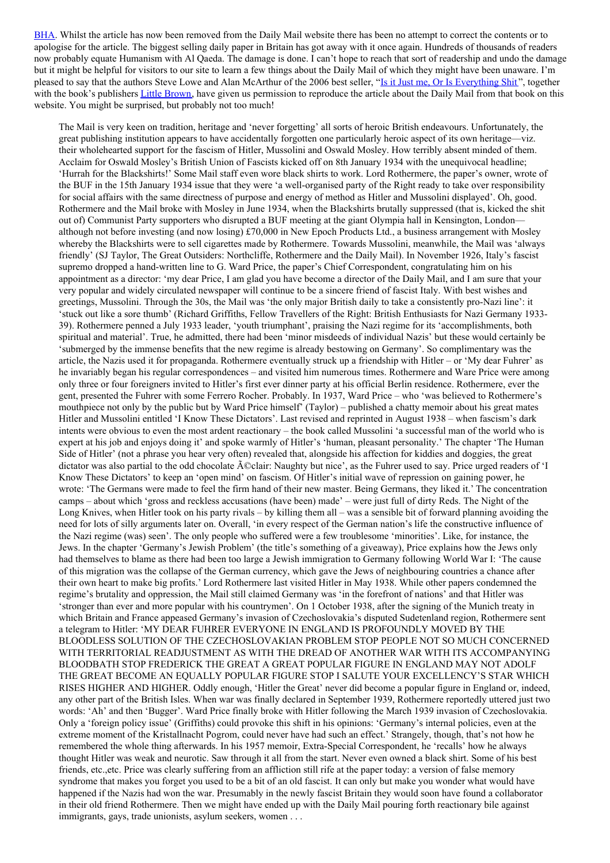BHA. Whilst the article has now been removed from the Daily Mail website there has been no attempt to correct the contents or to apologise for the article. The biggest selling daily paper in Britain has got away with it once again. Hundreds of thousands of readers now probably equate Humanism with Al Qaeda. The damage is done. I can't hope to reach that sort of readership and undo the damage but it might be helpful for visitors to our site to learn a few things about the Daily Mail of which they might have been unaware. I'm pleased to say that the authors Steve Lowe and Alan McArthur of the 2006 best seller, "Is it Just me, Or Is [Everything](http://www.iseverythingshit.co.uk/) Shit", together with the book's publishers Little [Brown](http://www.littlebrown.co.uk/), have given us permission to reproduce the article about the Daily Mail from that book on this website. You might be surprised, but probably not too much!

The Mail is very keen on tradition, heritage and 'never forgetting' all sorts of heroic British endeavours. Unfortunately, the great publishing institution appears to have accidentally forgotten one particularly heroic aspect of its own heritage—viz. their wholehearted support for the fascism of Hitler, Mussolini and Oswald Mosley. How terribly absent minded of them. Acclaim for Oswald Mosley's British Union of Fascists kicked off on 8th January 1934 with the unequivocal headline; 'Hurrah for the Blackshirts!' Some Mail staff even wore black shirts to work. Lord Rothermere, the paper's owner, wrote of the BUF in the 15th January 1934 issue that they were 'a well-organised party of the Right ready to take over responsibility for social affairs with the same directness of purpose and energy of method as Hitler and Mussolini displayed'. Oh, good. Rothermere and the Mail broke with Mosley in June 1934, when the Blackshirts brutally suppressed (that is, kicked the shit out of) Communist Party supporters who disrupted a BUF meeting at the giant Olympia hall in Kensington, London although not before investing (and now losing) £70,000 in New Epoch Products Ltd., a business arrangement with Mosley whereby the Blackshirts were to sell cigarettes made by Rothermere. Towards Mussolini, meanwhile, the Mail was 'always friendly' (SJ Taylor, The Great Outsiders: Northcliffe, Rothermere and the Daily Mail). In November 1926, Italy's fascist supremo dropped a hand-written line to G. Ward Price, the paper's Chief Correspondent, congratulating him on his appointment as a director: 'my dear Price, I am glad you have become a director of the Daily Mail, and I am sure that your very popular and widely circulated newspaper will continue to be a sincere friend of fascist Italy. With best wishes and greetings, Mussolini. Through the 30s, the Mail was 'the only major British daily to take a consistently pro-Nazi line': it 'stuck out like a sore thumb' (Richard Griffiths, Fellow Travellers of the Right: British Enthusiasts for Nazi Germany 1933- 39). Rothermere penned a July 1933 leader, 'youth triumphant', praising the Nazi regime for its 'accomplishments, both spiritual and material'. True, he admitted, there had been 'minor misdeeds of individual Nazis' but these would certainly be 'submerged by the immense benefits that the new regime is already bestowing on Germany'. So complimentary was the article, the Nazis used it for propaganda. Rothermere eventually struck up a friendship with Hitler – or 'My dear Fuhrer' as he invariably began his regular correspondences – and visited him numerous times. Rothermere and Ware Price were among only three or four foreigners invited to Hitler's first ever dinner party at his official Berlin residence. Rothermere, ever the gent, presented the Fuhrer with some Ferrero Rocher. Probably. In 1937, Ward Price – who 'was believed to Rothermere's mouthpiece not only by the public but by Ward Price himself' (Taylor) – published a chatty memoir about his great mates Hitler and Mussolini entitled 'I Know These Dictators'. Last revised and reprinted in August 1938 – when fascism's dark intents were obvious to even the most ardent reactionary – the book called Mussolini 'a successful man of the world who is expert at his job and enjoys doing it' and spoke warmly of Hitler's 'human, pleasant personality.' The chapter 'The Human Side of Hitler' (not a phrase you hear very often) revealed that, alongside his affection for kiddies and doggies, the great dictator was also partial to the odd chocolate  $\tilde{A}$ ©clair: Naughty but nice', as the Fuhrer used to say. Price urged readers of 'I Know These Dictators' to keep an 'open mind' on fascism. Of Hitler's initial wave of repression on gaining power, he wrote: 'The Germans were made to feel the firm hand of their new master. Being Germans, they liked it.' The concentration camps – about which 'gross and reckless accusations (have been) made' – were just full of dirty Reds. The Night of the Long Knives, when Hitler took on his party rivals – by killing them all – was a sensible bit of forward planning avoiding the need for lots of silly arguments later on. Overall, 'in every respect of the German nation's life the constructive influence of the Nazi regime (was) seen'. The only people who suffered were a few troublesome 'minorities'. Like, for instance, the Jews. In the chapter 'Germany's Jewish Problem' (the title's something of a giveaway), Price explains how the Jews only had themselves to blame as there had been too large a Jewish immigration to Germany following World War I: 'The cause of this migration was the collapse of the German currency, which gave the Jews of neighbouring countries a chance after their own heart to make big profits.' Lord Rothermere last visited Hitler in May 1938. While other papers condemned the regime's brutality and oppression, the Mail still claimed Germany was 'in the forefront of nations' and that Hitler was 'stronger than ever and more popular with his countrymen'. On 1 October 1938, after the signing of the Munich treaty in which Britain and France appeased Germany's invasion of Czechoslovakia's disputed Sudetenland region, Rothermere sent a telegram to Hitler: 'MY DEAR FUHRER EVERYONE IN ENGLAND IS PROFOUNDLY MOVED BY THE BLOODLESS SOLUTION OF THE CZECHOSLOVAKIAN PROBLEM STOP PEOPLE NOT SO MUCH CONCERNED WITH TERRITORIAL READJUSTMENT AS WITH THE DREAD OF ANOTHER WAR WITH ITS ACCOMPANYING BLOODBATH STOP FREDERICK THE GREAT A GREAT POPULAR FIGURE IN ENGLAND MAY NOT ADOLF THE GREAT BECOME AN EQUALLY POPULAR FIGURE STOP I SALUTE YOUR EXCELLENCY'S STAR WHICH RISES HIGHER AND HIGHER. Oddly enough, 'Hitler the Great' never did become a popular figure in England or, indeed, any other part of the British Isles. When war was finally declared in September 1939, Rothermere reportedly uttered just two words: 'Ah' and then 'Bugger'. Ward Price finally broke with Hitler following the March 1939 invasion of Czechoslovakia. Only a 'foreign policy issue' (Griffiths) could provoke this shift in his opinions: 'Germany's internal policies, even at the extreme moment of the Kristallnacht Pogrom, could never have had such an effect.' Strangely, though, that's not how he remembered the whole thing afterwards. In his 1957 memoir, Extra-Special Correspondent, he 'recalls' how he always thought Hitler was weak and neurotic. Saw through it all from the start. Never even owned a black shirt. Some of his best friends, etc.,etc. Price was clearly suffering from an affliction still rife at the paper today: a version of false memory syndrome that makes you forget you used to be a bit of an old fascist. It can only but make you wonder what would have happened if the Nazis had won the war. Presumably in the newly fascist Britain they would soon have found a collaborator in their old friend Rothermere. Then we might have ended up with the Daily Mail pouring forth reactionary bile against immigrants, gays, trade unionists, asylum seekers, women . . .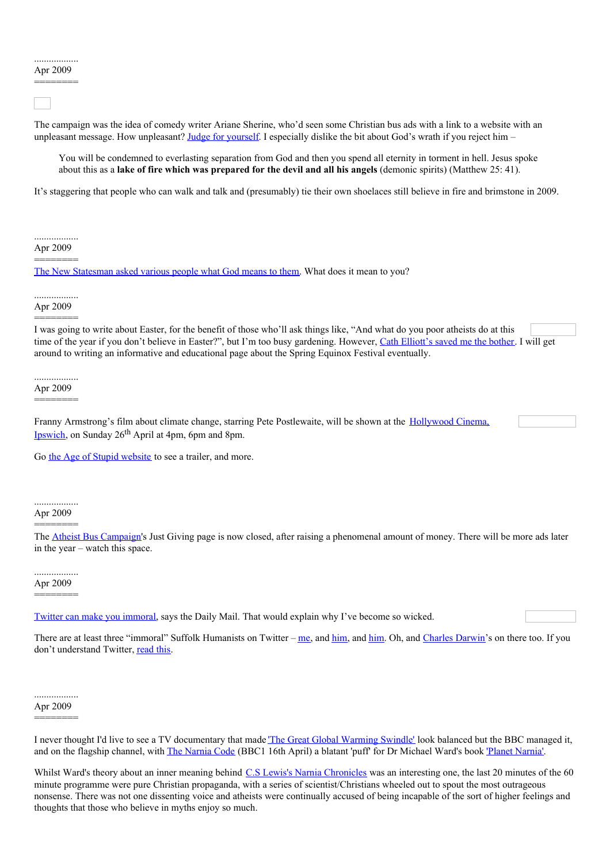#### .................. Apr 2009

The campaign was the idea of comedy writer Ariane Sherine, who'd seen some Christian bus ads with a link to a website with an unpleasant message. How unpleasant? Judge for [yourself](http://www.jesussaid.org/index.php). I especially dislike the bit about God's wrath if you reject him –

You will be condemned to everlasting separation from God and then you spend all eternity in torment in hell. Jesus spoke about this as a **lake of fire which was prepared for the devil and all his angels** (demonic spirits) (Matthew 25: 41).

It's staggering that people who can walk and talk and (presumably) tie their own shoelaces still believe in fire and brimstone in 2009.

.................. Apr 2009

========

The New [Statesman](http://www.newstatesman.com/religion/2009/04/god-world-reason-universe) asked various people what God means to them. What does it mean to you?

.................. Apr 2009

# ========

I was going to write about Easter, for the benefit of those who'll ask things like, "And what do you poor atheists do at this time of the year if you don't believe in Easter?", but I'm too busy gardening. However, Cath [Elliott's](http://www.guardian.co.uk/commentisfree/belief/2009/apr/10/easter-christianity?commentpage=2&commentposted=1) saved me the bother. I will get around to writing an informative and educational page about the Spring Equinox Festival eventually.

.................. Apr 2009

========

Franny [Armstrong's](http://www.hollywoodcinemas.net/index.php?localpage=ipswich) film about climate change, starring Pete Postlewaite, will be shown at the Hollywood Cinema, Ipswich, on Sunday 26<sup>th</sup> April at 4pm, 6pm and 8pm.

Go the Age of Stupid [website](http://www.ageofstupid.net/) to see a trailer, and more.

# .................. Apr 2009

========

The Atheist Bus [Campaign](http://www.atheistbus.org.uk/)'s Just Giving page is now closed, after raising a phenomenal amount of money. There will be more ads later in the year – watch this space.

.................. Apr 2009

========

Twitter can make you [immoral](http://www.dailymail.co.uk/news/article-1169788/Twitter-make-immoral-claim-scientists.html), says the Daily Mail. That would explain why I've become so wicked.

There are at least three "immoral" Suffolk Humanists on Twitter – [me](http://twitter.com/Flashmaggie), and [him](http://twitter.com/SimonBishop), and him. Oh, and [Charles](http://twitter.com/cdarwin) Darwin's on there too. If you don't understand Twitter, [read](http://www.bigwideworld.org/2009/02/08/development-tweeple/) this.

.................. Apr 2009 ========

I never thought I'd live to see a TV documentary that made 'The Great Global [Warming](http://en.wikipedia.org/wiki/The_Great_Global_Warming_Swindle) Swindle' look balanced but the BBC managed it, and on the flagship channel, with The [Narnia](http://www.bbc.co.uk/iplayer/episode/b00jz2qp/The_Narnia_Code/) Code (BBC1 16th April) a blatant 'puff' for Dr Michael Ward's book 'Planet [Narnia'](http://www.planetnarnia.com/).

Whilst Ward's theory about an inner meaning behind C.S Lewis's Narnia [Chronicles](http://www.bbc.co.uk/religion/religions/christianity/people/cslewis_1.shtml) was an interesting one, the last 20 minutes of the 60 minute programme were pure Christian propaganda, with a series of scientist/Christians wheeled out to spout the most outrageous nonsense. There was not one dissenting voice and atheists were continually accused of being incapable of the sort of higher feelings and thoughts that those who believe in myths enjoy so much.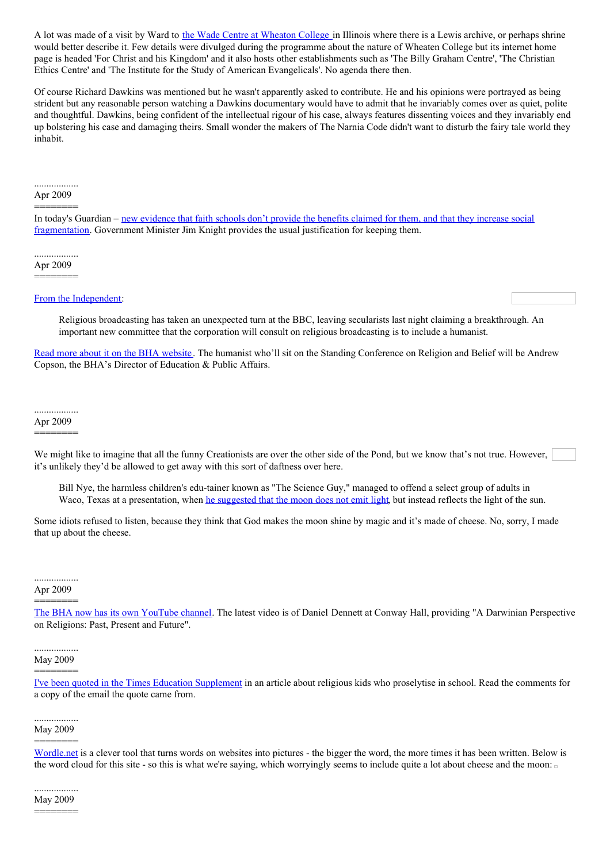A lot was made of a visit by Ward to the Wade Centre at [Wheaton](http://www.wheaton.edu/wadecenter/) College in Illinois where there is a Lewis archive, or perhaps shrine would better describe it. Few details were divulged during the programme about the nature of Wheaten College but its internet home page is headed 'For Christ and his Kingdom' and it also hosts other establishments such as 'The Billy Graham Centre', 'The Christian Ethics Centre' and 'The Institute for the Study of American Evangelicals'. No agenda there then.

Of course Richard Dawkins was mentioned but he wasn't apparently asked to contribute. He and his opinions were portrayed as being strident but any reasonable person watching a Dawkins documentary would have to admit that he invariably comes over as quiet, polite and thoughtful. Dawkins, being confident of the intellectual rigour of his case, always features dissenting voices and they invariably end up bolstering his case and damaging theirs. Small wonder the makers of The Narnia Code didn't want to disturb the fairy tale world they inhabit.

### .................. Apr 2009 ========

In today's Guardian – new evidence that faith schools don't provide the benefits claimed for them, and that they increase social [fragmentation.](http://www.guardian.co.uk/education/2009/apr/18/faith-schools-standards-failing) Government Minister Jim Knight provides the usual justification for keeping them.

.................. Apr 2009

========

# From the [Independent](http://www.independent.co.uk/news/media/tv-radio/humanists-rejoice-bbc-will-consult-them-on-religion-1671065.html):

Religious broadcasting has taken an unexpected turn at the BBC, leaving secularists last night claiming a breakthrough. An important new committee that the corporation will consult on religious broadcasting is to include a humanist.

Read more about it on the BHA [website](http://www.humanism.org.uk/news/view/267). The humanist who'll sit on the Standing Conference on Religion and Belief will be Andrew Copson, the BHA's Director of Education & Public Affairs.

#### .................. Apr 2009

========

We might like to imagine that all the funny Creationists are over the other side of the Pond, but we know that's not true. However, it's unlikely they'd be allowed to get away with this sort of daftness over here.

Bill Nye, the harmless children's edu-tainer known as "The Science Guy," managed to offend a select group of adults in Waco, Texas at a presentation, when he [suggested](http://www.thinkatheist.com/profiles/blogs/bill-nye-bood-in-texas-for) that the moon does not emit light, but instead reflects the light of the sun.

Some idiots refused to listen, because they think that God makes the moon shine by magic and it's made of cheese. No, sorry, I made that up about the cheese.

.................. Apr 2009 ========

The BHA now has its own [YouTube](http://www.youtube.com/BritishHumanists) channel. The latest video is of Daniel Dennett at Conway Hall, providing "A Darwinian Perspective on Religions: Past, Present and Future".

#### .................. May 2009

========

I've been quoted in the Times Education [Supplement](http://www.tes.co.uk/article.aspx?storycode=6012677&cmntTitle=undefined&cmntReview=I%20was%20quoted%20in%20the%20above%20article.%20This%20is%20what%20I%20wrote%20in%20full,%20in%20an%20email%20to%20Ms%20Frankel:%2522I#) in an article about religious kids who proselytise in school. Read the comments for a copy of the email the quote came from.

### .................. May 2009 ========

[Wordle.net](http://www.wordle.net/) is a clever tool that turns words on websites into pictures - the bigger the word, the more times it has been written. Below is the word cloud for this site - so this is what we're saying, which worryingly seems to include quite a lot about cheese and the moon:

#### .................. May 2009

========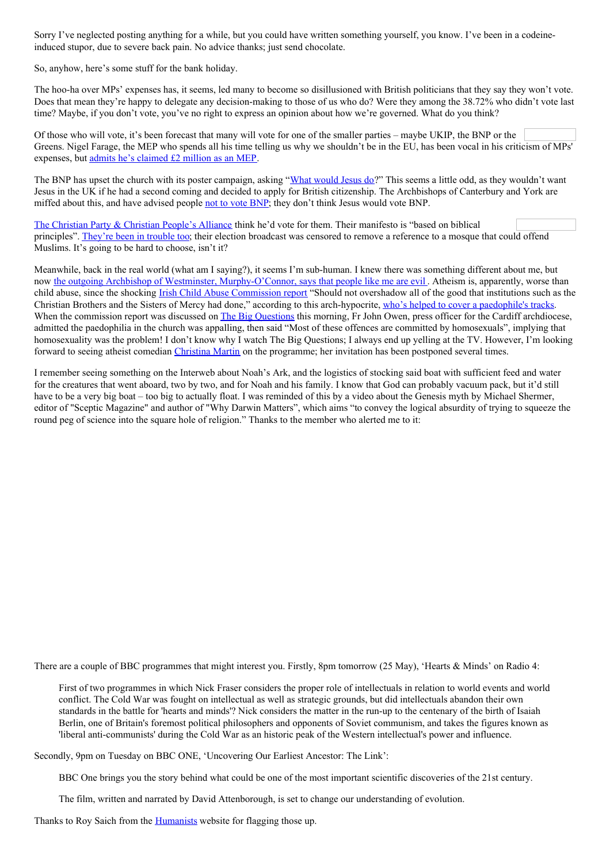Sorry I've neglected posting anything for a while, but you could have written something yourself, you know. I've been in a codeineinduced stupor, due to severe back pain. No advice thanks; just send chocolate.

So, anyhow, here's some stuff for the bank holiday.

The hoo-ha over MPs' expenses has, it seems, led many to become so disillusioned with British politicians that they say they won't vote. Does that mean they're happy to delegate any decision-making to those of us who do? Were they among the 38.72% who didn't vote last time? Maybe, if you don't vote, you've no right to express an opinion about how we're governed. What do you think?

Of those who will vote, it's been forecast that many will vote for one of the smaller parties – maybe UKIP, the BNP or the Greens. Nigel Farage, the MEP who spends all his time telling us why we shouldn't be in the EU, has been vocal in his criticism of MPs' expenses, but admits he's [claimed](http://www.guardian.co.uk/politics/2009/may/24/mps-expenses-ukip-nigel-farage) £2 million as an MEP.

The BNP has upset the church with its poster campaign, asking "What [would](http://www.bnp-chronicle.com/2009/03/bnps-jesus-billboard.html) Jesus do?" This seems a little odd, as they wouldn't want Jesus in the UK if he had a second coming and decided to apply for British citizenship. The Archbishops of Canterbury and York are miffed about this, and have advised people not to vote [BNP](http://news.bbc.co.uk/1/hi/uk/8065583.stm); they don't think Jesus would vote BNP.

The [Christian](http://www.bbc.co.uk/iplayer/episode/b00kmvct/Party_Election_Broadcasts_for_the_European_Parliament_2009_Christian_Party_Christian_Peoples_Alliance_19_05_09/) Party & Christian People's Alliance think he'd vote for them. Their manifesto is "based on biblical principles". [They're](http://www.timesonline.co.uk/tol/news/politics/article3835551.ece) been in trouble too; their election broadcast was censored to remove a reference to a mosque that could offend Muslims. It's going to be hard to choose, isn't it?

Meanwhile, back in the real world (what am I saying?), it seems I'm sub-human. I knew there was something different about me, but now the outgoing Archbishop of Westminster, [Murphy-O'Connor,](http://freethinker.co.uk/2009/05/21/atheism-%25E2%2580%2598is-the-greatest-of-all-evils%25E2%2580%2599-says-outgoing-archbishop-of-westminster/) says that people like me are evil. Atheism is, apparently, worse than child abuse, since the shocking Irish Child Abuse [Commission](http://news.bbc.co.uk/1/hi/world/europe/8058224.stm) report "Should not overshadow all of the good that institutions such as the Christian Brothers and the Sisters of Mercy had done," according to this arch-hypocrite, who's helped to cover a [paedophile's](http://www.suffolkhands.org.uk/node/991) tracks. When the commission report was discussed on The Big [Questions](http://www.bbc.co.uk/programmes/b007zpll) this morning, Fr John Owen, press officer for the Cardiff archdiocese, admitted the paedophilia in the church was appalling, then said "Most of these offences are committed by homosexuals", implying that homosexuality was the problem! I don't know why I watch The Big Questions; I always end up yelling at the TV. However, I'm looking forward to seeing atheist comedian [Christina](http://newhumanist.org.uk/1658) Martin on the programme; her invitation has been postponed several times.

I remember seeing something on the Interweb about Noah's Ark, and the logistics of stocking said boat with sufficient feed and water for the creatures that went aboard, two by two, and for Noah and his family. I know that God can probably vacuum pack, but it'd still have to be a very big boat – too big to actually float. I was reminded of this by a video about the Genesis myth by Michael Shermer, editor of "Sceptic Magazine" and author of "Why Darwin Matters", which aims "to convey the logical absurdity of trying to squeeze the round peg of science into the square hole of religion." Thanks to the member who alerted me to it:

There are a couple of BBC programmes that might interest you. Firstly, 8pm tomorrow (25 May), 'Hearts & Minds' on Radio 4:

First of two programmes in which Nick Fraser considers the proper role of intellectuals in relation to world events and world conflict. The Cold War was fought on intellectual as well as strategic grounds, but did intellectuals abandon their own standards in the battle for 'hearts and minds'? Nick considers the matter in the run-up to the centenary of the birth of Isaiah Berlin, one of Britain's foremost political philosophers and opponents of Soviet communism, and takes the figures known as 'liberal anti-communists' during the Cold War as an historic peak of the Western intellectual's power and influence.

Secondly, 9pm on Tuesday on BBC ONE, 'Uncovering Our Earliest Ancestor: The Link':

BBC One brings you the story behind what could be one of the most important scientific discoveries of the 21st century.

The film, written and narrated by David Attenborough, is set to change our understanding of evolution.

Thanks to Roy Saich from the **[Humanists](http://www.humanists.110mb.com/)** website for flagging those up.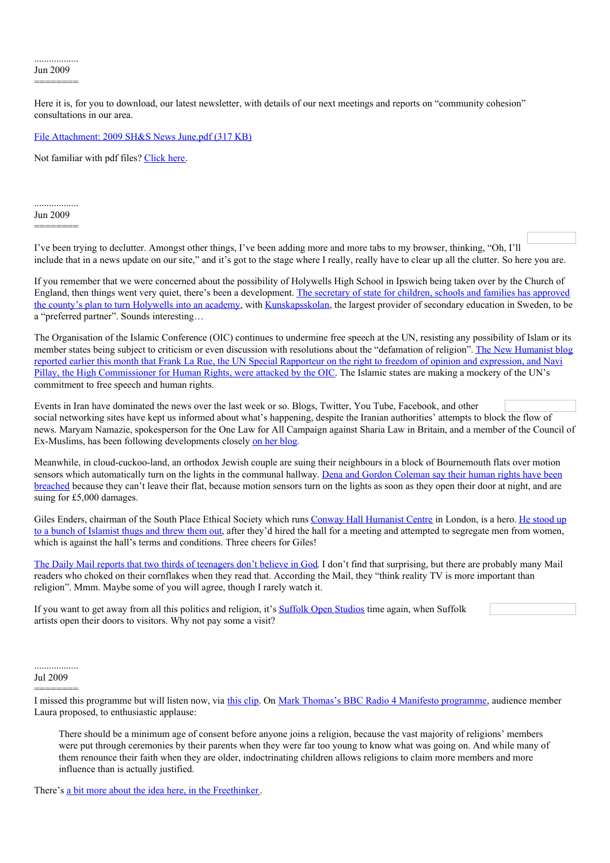#### .................. Jun 2009

========

Here it is, for you to download, our latest newsletter, with details of our next meetings and reports on "community cohesion" consultations in our area.

File [Attachment:](http://www.suffolkhands.org.uk/files/1/2009_20SH_26S_20News_20June.pdf) 2009 SH&S News June.pdf (317 KB)

Not familiar with pdf files? [Click](http://www.suffolkhands.org.uk/node/40) here.

.................. Jun 2009 ========

I've been trying to declutter. Amongst other things, I've been adding more and more tabs to my browser, thinking, "Oh, I'll include that in a news update on our site," and it's got to the stage where I really, really have to clear up all the clutter. So here you are.

If you remember that we were concerned about the possibility of Holywells High School in Ipswich being taken over by the Church of England, then things went very quiet, there's been a development. The secretary of state for children, schools and families has approved the county's plan to turn Holywells into an academy, with [Kunskapsskolan,](http://www.eveningstar.co.uk/content/eveningstar/news/story.aspx?brand=ESTOnline&category=News&tBrand=ESTOnline&tCategory=xDefault&itemid=IPED09%20Jun%202009%2015%253A17%253A53%253A490) the largest provider of secondary education in Sweden, to be a "preferred partner". Sounds interesting…

The Organisation of the Islamic Conference (OIC) continues to undermine free speech at the UN, resisting any possibility of Islam or its member states being subject to criticism or even discussion with resolutions about the "defamation of religion". The New Humanist blog reported earlier this month that Frank La Rue, the UN Special Rapporteur on the right to freedom of opinion and expression, and Navi Pillay, the High [Commissioner](http://blog.newhumanist.org.uk/2009/06/islamic-states-continue-to-undermine.html) for Human Rights, were attacked by the OIC. The Islamic states are making a mockery of the UN's commitment to free speech and human rights.

Events in Iran have dominated the news over the last week or so. Blogs, Twitter, You Tube, Facebook, and other social networking sites have kept us informed about what's happening, despite the Iranian authorities' attempts to block the flow of news. Maryam Namazie, spokesperson for the One Law for All Campaign against Sharia Law in Britain, and a member of the Council of Ex-Muslims, has been following developments closely on her [blog](http://maryamnamazie.blogspot.com/).

Meanwhile, in cloud-cuckoo-land, an orthodox Jewish couple are suing their neighbours in a block of Bournemouth flats over motion sensors which [automatically](http://freethinker.co.uk/2009/06/17/strike-a-light-do-religious-zealots-get-any-barmier-than-this/) turn on the lights in the communal hallway. Dena and Gordon Coleman say their human rights have been breached because they can't leave their flat, because motion sensors turn on the lights as soon as they open their door at night, and are suing for £5,000 damages.

Giles Enders, chairman of the South Place Ethical Society which runs Conway Hall [Humanist](http://www.conwayhall.org.uk/) Centre in London, is a hero. He stood up to a bunch of Islamist thugs and threw them out, after they'd hired the hall for a meeting and [attempted](http://www.guardian.co.uk/uk/2009/jun/18/islamist-al-muhajiroun-meeting-chaos) to segregate men from women, which is against the hall's terms and conditions. Three cheers for Giles!

The Daily Mail reports that two thirds of [teenagers](http://www.dailymail.co.uk/news/article-1194711/Two-thirds-teenagers-dont-believe-God--think-reality-TV-important.html) don't believe in God. I don't find that surprising, but there are probably many Mail readers who choked on their cornflakes when they read that. According the Mail, they "think reality TV is more important than religion". Mmm. Maybe some of you will agree, though I rarely watch it.

If you want to get away from all this politics and religion, it's **[Suffolk](http://www.suffolkopenstudios.co.uk/) Open Studios** time again, when Suffolk artists open their doors to visitors. Why not pay some a visit?

.................. Jul 2009

========

I missed this programme but will listen now, via [this](http://www.box.net/shared/yus5rqm3o7) clip. On Mark Thomas's BBC Radio 4 Manifesto [programme](http://www.bbc.co.uk/programmes/b00l8m71), audience member Laura proposed, to enthusiastic applause:

There should be a minimum age of consent before anyone joins a religion, because the vast majority of religions' members were put through ceremonies by their parents when they were far too young to know what was going on. And while many of them renounce their faith when they are older, indoctrinating children allows religions to claim more members and more influence than is actually justified.

There's a bit more about the idea here, in the [Freethinker](http://freethinker.co.uk/2009/07/03/let%25E2%2580%2599s-have-an-age-of-consent-for-religion/).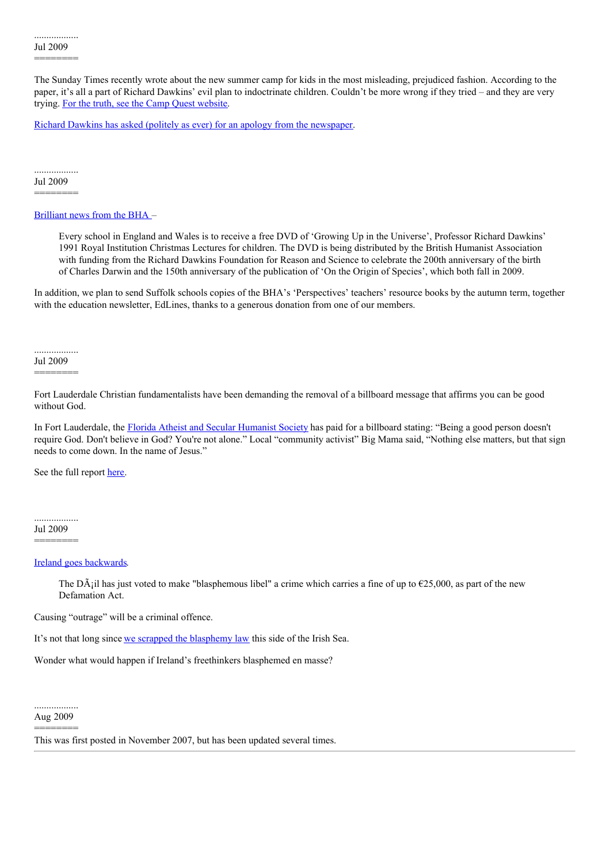The Sunday Times recently wrote about the new summer camp for kids in the most misleading, prejudiced fashion. According to the paper, it's all a part of Richard Dawkins' evil plan to indoctrinate children. Couldn't be more wrong if they tried – and they are very trying. For the truth, see the Camp Quest [website](http://www.camp-quest.org.uk/news/response-to-the-sunday-times/).

Richard Dawkins has asked (politely as ever) for an apology from the [newspaper](http://richarddawkins.net/article,4006,UPDATED-Therell-be-no-tent-for-God-at-Camp-Dawkins,Lois-Rogers----TIMESONLINE).

Jul 2009 ========

[Brilliant](http://www.humanism.org.uk/news/view/316) news from the BHA –

Every school in England and Wales is to receive a free DVD of 'Growing Up in the Universe', Professor Richard Dawkins' 1991 Royal Institution Christmas Lectures for children. The DVD is being distributed by the British Humanist Association with funding from the Richard Dawkins Foundation for Reason and Science to celebrate the 200th anniversary of the birth of Charles Darwin and the 150th anniversary of the publication of 'On the Origin of Species', which both fall in 2009.

In addition, we plan to send Suffolk schools copies of the BHA's 'Perspectives' teachers' resource books by the autumn term, together with the education newsletter, EdLines, thanks to a generous donation from one of our members.

.................. Jul 2009

========

Fort Lauderdale Christian fundamentalists have been demanding the removal of a billboard message that affirms you can be good without God.

In Fort Lauderdale, the Florida Atheist and Secular [Humanist](http://www.freethoughtflorida.com/) Society has paid for a billboard stating: "Being a good person doesn't require God. Don't believe in God? You're not alone." Local "community activist" Big Mama said, "Nothing else matters, but that sign needs to come down. In the name of Jesus."

See the full report [here](http://atheism.about.com/b/2009/07/06/controversial-sign-recognizes-humanity-of-atheists-christians-protest.htm).

.................. Jul 2009 ========

Ireland goes [backwards](http://blog.newhumanist.org.uk/2009/07/blasphemy-law-passed-in-ireland.html).

The DÂ<sub>i</sub>il has just voted to make "blasphemous libel" a crime which carries a fine of up to  $\epsilon$ 25,000, as part of the new Defamation Act.

Causing "outrage" will be a criminal offence.

It's not that long since we scrapped the [blasphemy](http://www.secularism.org.uk/95713.html) law this side of the Irish Sea.

Wonder what would happen if Ireland's freethinkers blasphemed en masse?

.................. Aug 2009

======== This was first posted in November 2007, but has been updated several times.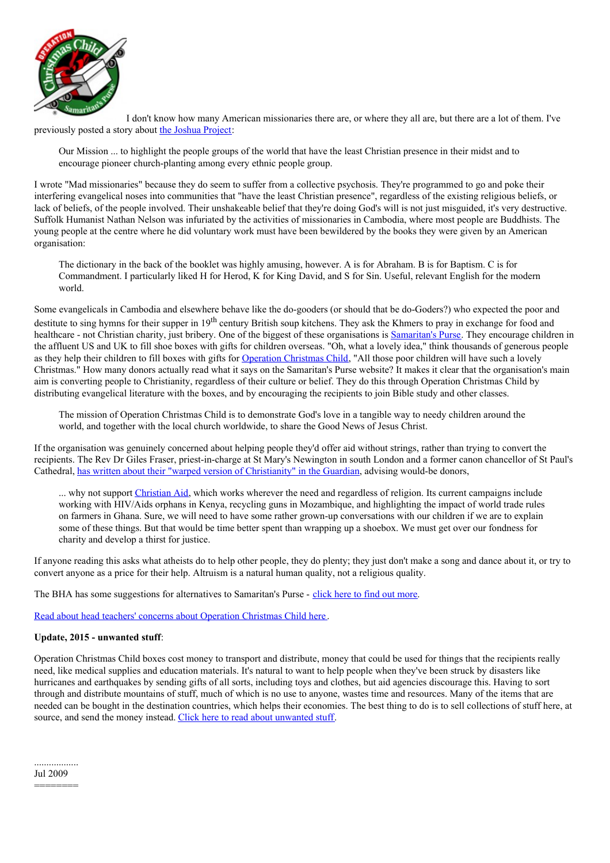

I don't know how many American missionaries there are, or where they all are, but there are a lot of them. I've previously posted a story about the Joshua [Project](http://suffolkhands.org.uk/2007/06/426/):

Our Mission ... to highlight the people groups of the world that have the least Christian presence in their midst and to encourage pioneer church-planting among every ethnic people group.

I wrote "Mad missionaries" because they do seem to suffer from a collective psychosis. They're programmed to go and poke their interfering evangelical noses into communities that "have the least Christian presence", regardless of the existing religious beliefs, or lack of beliefs, of the people involved. Their unshakeable belief that they're doing God's will is not just misguided, it's very destructive. Suffolk Humanist Nathan Nelson was infuriated by the activities of missionaries in Cambodia, where most people are Buddhists. The young people at the centre where he did voluntary work must have been bewildered by the books they were given by an American organisation:

The dictionary in the back of the booklet was highly amusing, however. A is for Abraham. B is for Baptism. C is for Commandment. I particularly liked H for Herod, K for King David, and S for Sin. Useful, relevant English for the modern world.

Some evangelicals in Cambodia and elsewhere behave like the do-gooders (or should that be do-Goders?) who expected the poor and destitute to sing hymns for their supper in 19<sup>th</sup> century British soup kitchens. They ask the Khmers to pray in exchange for food and healthcare - not Christian charity, just bribery. One of the biggest of these organisations is **[Samaritan's](http://www.samaritans-purse.org.uk/) Purse**. They encourage children in the affluent US and UK to fill shoe boxes with gifts for children overseas. "Oh, what a lovely idea," think thousands of generous people as they help their children to fill boxes with gifts for Operation [Christmas](http://www.samaritans-purse.org.uk/what-we-do/operation-christmas-child/) Child, "All those poor children will have such a lovely Christmas." How many donors actually read what it says on the Samaritan's Purse website? It makes it clear that the organisation's main aim is converting people to Christianity, regardless of their culture or belief. They do this through Operation Christmas Child by distributing evangelical literature with the boxes, and by encouraging the recipients to join Bible study and other classes.

The mission of Operation Christmas Child is to demonstrate God's love in a tangible way to needy children around the world, and together with the local church worldwide, to share the Good News of Jesus Christ.

If the organisation was genuinely concerned about helping people they'd offer aid without strings, rather than trying to convert the recipients. The Rev Dr Giles Fraser, priest-in-charge at St Mary's Newington in south London and a former canon chancellor of St Paul's Cathedral, has written about their "warped version of [Christianity"](http://www.theguardian.com/world/2003/nov/10/religion.society) in the Guardian, advising would-be donors,

... why not support [Christian](https://www.christianaid.org.uk/) Aid, which works wherever the need and regardless of religion. Its current campaigns include working with HIV/Aids orphans in Kenya, recycling guns in Mozambique, and highlighting the impact of world trade rules on farmers in Ghana. Sure, we will need to have some rather grown-up conversations with our children if we are to explain some of these things. But that would be time better spent than wrapping up a shoebox. We must get over our fondness for charity and develop a thirst for justice.

If anyone reading this asks what atheists do to help other people, they do plenty; they just don't make a song and dance about it, or try to convert anyone as a price for their help. Altruism is a natural human quality, not a religious quality.

The BHA has some suggestions for alternatives to Samaritan's Purse - [click](https://humanism.org.uk/humanism/humanism-today/humanists-doing/good-causes-and-charities/samaritans-purse/) here to find out more.

Read about head teachers' concerns about Operation [Christmas](http://www.theguardian.com/society/2002/dec/18/guardiansocietysupplement7) Child here .

# **Update, 2015 - unwanted stuff**:

Operation Christmas Child boxes cost money to transport and distribute, money that could be used for things that the recipients really need, like medical supplies and education materials. It's natural to want to help people when they've been struck by disasters like hurricanes and earthquakes by sending gifts of all sorts, including toys and clothes, but aid agencies discourage this. Having to sort through and distribute mountains of stuff, much of which is no use to anyone, wastes time and resources. Many of the items that are needed can be bought in the destination countries, which helps their economies. The best thing to do is to sell collections of stuff here, at source, and send the money instead. Click here to read about [unwanted](http://money.howstuffworks.com/10-worst-things-donate-after-disaster.htm) stuff.

.................. Jul 2009 ========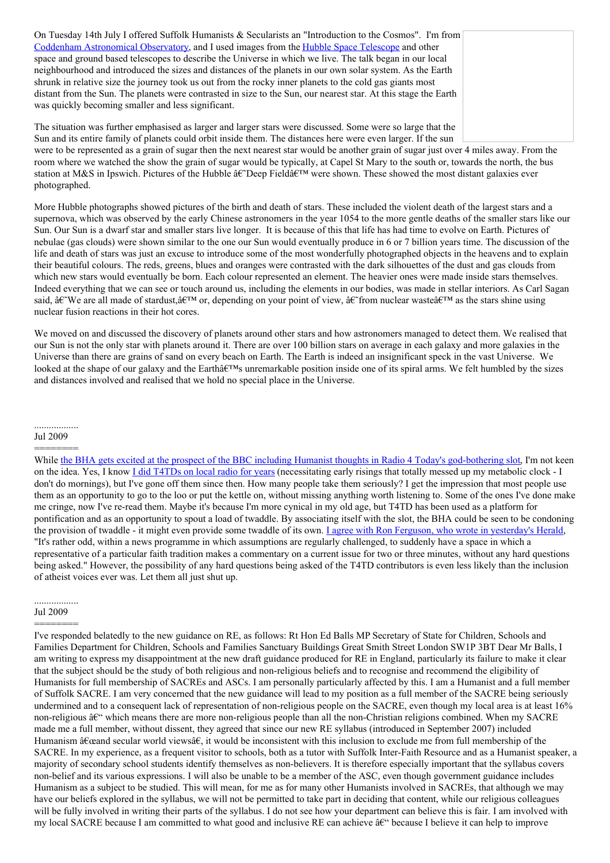On Tuesday 14th July I offered Suffolk Humanists & Secularists an "Introduction to the Cosmos". I'm from Coddenham [Astronomical](http://www.coddenhamobservatories.org) Observatory, and I used images from the Hubble Space [Telescope](http://hubblesite.org/) and other space and ground based telescopes to describe the Universe in which we live. The talk began in our local neighbourhood and introduced the sizes and distances of the planets in our own solar system. As the Earth shrunk in relative size the journey took us out from the rocky inner planets to the cold gas giants most distant from the Sun. The planets were contrasted in size to the Sun, our nearest star. At this stage the Earth was quickly becoming smaller and less significant.



The situation was further emphasised as larger and larger stars were discussed. Some were so large that the Sun and its entire family of planets could orbit inside them. The distances here were even larger. If the sun

were to be represented as a grain of sugar then the next nearest star would be another grain of sugar just over 4 miles away. From the room where we watched the show the grain of sugar would be typically, at Capel St Mary to the south or, towards the north, the bus station at M&S in Ipswich. Pictures of the Hubble †Deep Fieldâ€<sup>™</sup> were shown. These showed the most distant galaxies ever photographed.

More Hubble photographs showed pictures of the birth and death of stars. These included the violent death of the largest stars and a supernova, which was observed by the early Chinese astronomers in the year 1054 to the more gentle deaths of the smaller stars like our Sun. Our Sun is a dwarf star and smaller stars live longer. It is because of this that life has had time to evolve on Earth. Pictures of nebulae (gas clouds) were shown similar to the one our Sun would eventually produce in 6 or 7 billion years time. The discussion of the life and death of stars was just an excuse to introduce some of the most wonderfully photographed objects in the heavens and to explain their beautiful colours. The reds, greens, blues and oranges were contrasted with the dark silhouettes of the dust and gas clouds from which new stars would eventually be born. Each colour represented an element. The heavier ones were made inside stars themselves. Indeed everything that we can see or touch around us, including the elements in our bodies, was made in stellar interiors. As Carl Sagan said,  $\hat{\mathbf{a}} \in \mathbb{W}$  are all made of stardust,  $\hat{\mathbf{a}} \in \mathbb{W}$  or, depending on your point of view,  $\hat{\mathbf{a}} \in \mathbb{W}$  as the stars shine using nuclear fusion reactions in their hot cores.

We moved on and discussed the discovery of planets around other stars and how astronomers managed to detect them. We realised that our Sun is not the only star with planets around it. There are over 100 billion stars on average in each galaxy and more galaxies in the Universe than there are grains of sand on every beach on Earth. The Earth is indeed an insignificant speck in the vast Universe. We looked at the shape of our galaxy and the Earthâ $\varepsilon$ <sup>TM</sup>s unremarkable position inside one of its spiral arms. We felt humbled by the sizes and distances involved and realised that we hold no special place in the Universe.

# .................. Jul 2009 ========

While the BHA gets excited at the prospect of the BBC including Humanist thoughts in Radio 4 Today's [god-bothering](http://www.humanism.org.uk/news/view/318) slot, I'm not keen on the idea. Yes, I know I did [T4TDs](http://www.suffolkhands.org.uk/thought) on local radio for years (necessitating early risings that totally messed up my metabolic clock - I don't do mornings), but I've gone off them since then. How many people take them seriously? I get the impression that most people use them as an opportunity to go to the loo or put the kettle on, without missing anything worth listening to. Some of the ones I've done make me cringe, now I've re-read them. Maybe it's because I'm more cynical in my old age, but T4TD has been used as a platform for pontification and as an opportunity to spout a load of twaddle. By associating itself with the slot, the BHA could be seen to be condoning the provision of twaddle - it might even provide some twaddle of its own. I agree with Ron Ferguson, who wrote in [yesterday's](http://www.theherald.co.uk/features/featuresopinon/display.var.2520816.0.Religious_leaders_deserve_a_grilling_too.php) Herald, "It's rather odd, within a news programme in which assumptions are regularly challenged, to suddenly have a space in which a representative of a particular faith tradition makes a commentary on a current issue for two or three minutes, without any hard questions being asked." However, the possibility of any hard questions being asked of the T4TD contributors is even less likely than the inclusion of atheist voices ever was. Let them all just shut up.

#### .................. Jul 2009 ========

I've responded belatedly to the new guidance on RE, as follows: Rt Hon Ed Balls MP Secretary of State for Children, Schools and Families Department for Children, Schools and Families Sanctuary Buildings Great Smith Street London SW1P 3BT Dear Mr Balls, I am writing to express my disappointment at the new draft guidance produced for RE in England, particularly its failure to make it clear that the subject should be the study of both religious and non-religious beliefs and to recognise and recommend the eligibility of Humanists for full membership of SACREs and ASCs. I am personally particularly affected by this. I am a Humanist and a full member of Suffolk SACRE. I am very concerned that the new guidance will lead to my position as a full member of the SACRE being seriously undermined and to a consequent lack of representation of non-religious people on the SACRE, even though my local area is at least 16% non-religious â€" which means there are more non-religious people than all the non-Christian religions combined. When my SACRE made me a full member, without dissent, they agreed that since our new RE syllabus (introduced in September 2007) included Humanism  $\frac{\partial \mathcal{L}}{\partial x}$  are secular world views  $\frac{\partial \mathcal{L}}{\partial y}$ , it would be inconsistent with this inclusion to exclude me from full membership of the SACRE. In my experience, as a frequent visitor to schools, both as a tutor with Suffolk Inter-Faith Resource and as a Humanist speaker, a majority of secondary school students identify themselves as non-believers. It is therefore especially important that the syllabus covers non-belief and its various expressions. I will also be unable to be a member of the ASC, even though government guidance includes Humanism as a subject to be studied. This will mean, for me as for many other Humanists involved in SACREs, that although we may have our beliefs explored in the syllabus, we will not be permitted to take part in deciding that content, while our religious colleagues will be fully involved in writing their parts of the syllabus. I do not see how your department can believe this is fair. I am involved with my local SACRE because I am committed to what good and inclusive RE can achieve  $\hat{a}\varepsilon$ " because I believe it can help to improve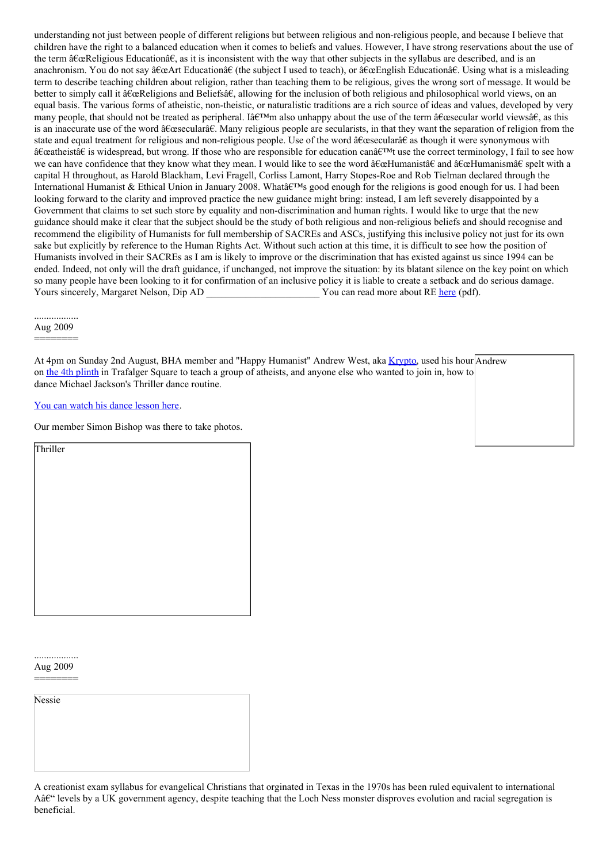understanding not just between people of different religions but between religious and non-religious people, and because I believe that children have the right to a balanced education when it comes to beliefs and values. However, I have strong reservations about the use of the term "Religious Educationâ€, as it is inconsistent with the way that other subjects in the syllabus are described, and is an anachronism. You do not say "Art Education†(the subject I used to teach), or "English Educationâ€. Using what is a misleading term to describe teaching children about religion, rather than teaching them to be religious, gives the wrong sort of message. It would be better to simply call it "Religions and Beliefsâ€, allowing for the inclusion of both religious and philosophical world views, on an equal basis. The various forms of atheistic, non-theistic, or naturalistic traditions are a rich source of ideas and values, developed by very many people, that should not be treated as peripheral. I'm also unhappy about the use of the term "secular world viewsâ€, as this is an inaccurate use of the word "secularâ€. Many religious people are secularists, in that they want the separation of religion from the state and equal treatment for religious and non-religious people. Use of the word †œsecular†as though it were synonymous with †ceatheist†is widespread, but wrong. If those who are responsible for education can't use the correct terminology, I fail to see how we can have confidence that they know what they mean. I would like to see the word  $â€$ ceHumanist†and  $â€$ ceHumanism†spelt with a capital H throughout, as Harold Blackham, Levi Fragell, Corliss Lamont, Harry Stopes-Roe and Rob Tielman declared through the International Humanist & Ethical Union in January 2008. What $\hat{\mathbf{a}} \in \mathbb{R}^N$  good enough for the religions is good enough for us. I had been looking forward to the clarity and improved practice the new guidance might bring: instead, I am left severely disappointed by a Government that claims to set such store by equality and non-discrimination and human rights. I would like to urge that the new guidance should make it clear that the subject should be the study of both religious and non-religious beliefs and should recognise and recommend the eligibility of Humanists for full membership of SACREs and ASCs, justifying this inclusive policy not just for its own sake but explicitly by reference to the Human Rights Act. Without such action at this time, it is difficult to see how the position of Humanists involved in their SACREs as I am is likely to improve or the discrimination that has existed against us since 1994 can be ended. Indeed, not only will the draft guidance, if unchanged, not improve the situation: by its blatant silence on the key point on which so many people have been looking to it for confirmation of an inclusive policy it is liable to create a setback and do serious damage. Yours sincerely, Margaret Nelson, Dip AD  $\blacksquare$  You can read more about RE [here](http://www.qcda.gov.uk/libraryAssets/media/8222-DCSF-Religious_Ed_in_Eng-consultation-FINAL.pdf) (pdf).

### .................. Aug 2009 ========

At 4pm on Sunday 2nd August, BHA member and "Happy Humanist" Andrew West, aka [Krypto](http://wongablog.co.uk/), used his hour Andrew on the 4th [plinth](http://www.oneandother.co.uk/) in Trafalger Square to teach a group of atheists, and anyone else who wanted to join in, how to dance Michael Jackson's Thriller dance routine.

You can watch his dance [lesson](http://www.oneandother.co.uk/participants/krypto) here.

Our member Simon Bishop was there to take photos.

Thriller

.................. Aug 2009 ========

Nessie

A creationist exam syllabus for evangelical Christians that orginated in Texas in the 1970s has been ruled equivalent to international  $A\hat{\mathbf{a}}\hat{\mathbf{c}}$  levels by a UK government agency, despite teaching that the Loch Ness monster disproves evolution and racial segregation is beneficial.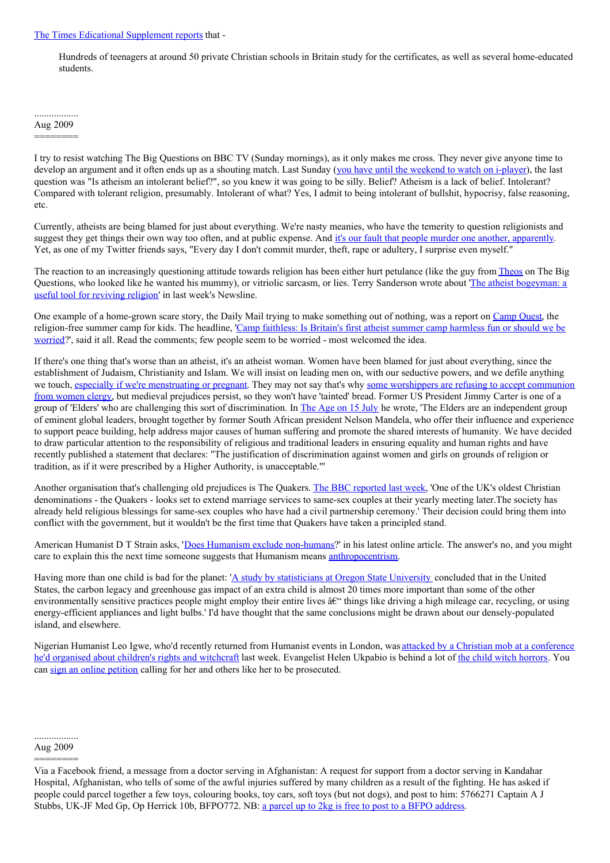## The Times Edicational [Supplement](http://www.tes.co.uk/article.aspx?storycode=6019140) reports that -

Hundreds of teenagers at around 50 private Christian schools in Britain study for the certificates, as well as several home-educated students.

#### .................. Aug 2009 ========

I try to resist watching The Big Questions on BBC TV (Sunday mornings), as it only makes me cross. They never give anyone time to develop an argument and it often ends up as a shouting match. Last Sunday (you have until the [weekend](http://www.bbc.co.uk/programmes/b007zpll) to watch on i-player), the last question was "Is atheism an intolerant belief?", so you knew it was going to be silly. Belief? Atheism is a lack of belief. Intolerant? Compared with tolerant religion, presumably. Intolerant of what? Yes, I admit to being intolerant of bullshit, hypocrisy, false reasoning, etc.

Currently, atheists are being blamed for just about everything. We're nasty meanies, who have the temerity to question religionists and suggest they get things their own way too often, and at public expense. And it's our fault that people murder one another, [apparently](http://thenewamerican.com/index.php/usnews/crime/1564). Yet, as one of my Twitter friends says, "Every day I don't commit murder, theft, rape or adultery, I surprise even myself."

The reaction to an increasingly questioning attitude towards religion has been either hurt petulance (like the guy from [Theos](http://www.theosthinktank.co.uk/) on The Big Questions, who looked like he wanted his mummy), or vitriolic sarcasm, or lies. Terry Sanderson wrote about 'The atheist [bogeyman:](http://www.secularism.org.uk/the-atheist-bogeyman-a-useful-to.html) a useful tool for reviving religion' in last week's Newsline.

One example of a home-grown scare story, the Daily Mail trying to make something out of nothing, was a report on [Camp](http://www.suffolkhands.org.uk/node/1056) Quest, the [religion-free](http://www.dailymail.co.uk/femail/article-1202810/Camp-faithless-Is-Britains-atheist-summer-camp-harmless-fun-worried.html) summer camp for kids. The headline, 'Camp faithless: Is Britain's first atheist summer camp harmless fun or should we be worried?', said it all. Read the comments; few people seem to be worried - most welcomed the idea.

If there's one thing that's worse than an atheist, it's an atheist woman. Women have been blamed for just about everything, since the establishment of Judaism, Christianity and Islam. We will insist on leading men on, with our seductive powers, and we defile anything we touch, especially if we're [menstruating](http://www.timesonline.co.uk/tol/comment/faith/article6726936.ece) or pregnant. They may not say that's why some worshippers are refusing to accept communion from women clergy, but medieval prejudices persist, so they won't have 'tainted' bread. Former US President Jimmy Carter is one of a group of 'Elders' who are challenging this sort of discrimination. In The [Age](http://www.theage.com.au/opinion/losing-my-religion-for-equality-20090714-dk0v.html?page=1) on 15 July he wrote, 'The Elders are an independent group of eminent global leaders, brought together by former South African president Nelson Mandela, who offer their influence and experience to support peace building, help address major causes of human suffering and promote the shared interests of humanity. We have decided to draw particular attention to the responsibility of religious and traditional leaders in ensuring equality and human rights and have recently published a statement that declares: "The justification of discrimination against women and girls on grounds of religion or tradition, as if it were prescribed by a Higher Authority, is unacceptable."'

Another organisation that's challenging old prejudices is The Quakers. The BBC [reported](http://news.bbc.co.uk/1/hi/uk/8177536.stm) last week, 'One of the UK's oldest Christian denominations - the Quakers - looks set to extend marriage services to same-sex couples at their yearly meeting later.The society has already held religious blessings for same-sex couples who have had a civil partnership ceremony.' Their decision could bring them into conflict with the government, but it wouldn't be the first time that Quakers have taken a principled stand.

American Humanist D T Strain asks, 'Does Humanism exclude [non-humans](http://www.examiner.com/x-8993-Houston-Humanist-Examiner~y2009m7d30-Does-humanism-exclude-nonhumans)?' in his latest online article. The answer's no, and you might care to explain this the next time someone suggests that Humanism means [anthropocentrism](http://www.suffolkhands.org.uk/node/574).

Having more than one child is bad for the planet: 'A study by [statisticians](http://www.eurekalert.org/pub_releases/2009-07/osu-fpa073109.php) at Oregon State University concluded that in the United States, the carbon legacy and greenhouse gas impact of an extra child is almost 20 times more important than some of the other environmentally sensitive practices people might employ their entire lives  $\hat{a}\in \mathcal{C}^*$  things like driving a high mileage car, recycling, or using energy-efficient appliances and light bulbs.' I'd have thought that the same conclusions might be drawn about our densely-populated island, and elsewhere.

Nigerian Humanist Leo Igwe, who'd recently returned from Humanist events in London, was attacked by a Christian mob at a [conference](http://freethinker.co.uk/2009/08/01/nigerian-atheist-attacked-by-a-mob-of-christians-at-a-child-witchcraft-conference/) he'd organised about children's rights and witchcraft last week. Evangelist Helen Ukpabio is behind a lot of the child witch [horrors](http://www.guardian.co.uk/world/2007/dec/09/tracymcveigh.theobserver). You can sign an online [petition](https://html2pdf.com/files/amuym3qno39ntekp/o_1dro0q2hv17ti9e0aedh1f1hjiq/Evangelist%20Helen%20Ukpabio) calling for her and others like her to be prosecuted.

<sup>..................</sup> Aug 2009 ========

Via a Facebook friend, a message from a doctor serving in Afghanistan: A request for support from a doctor serving in Kandahar Hospital, Afghanistan, who tells of some of the awful injuries suffered by many children as a result of the fighting. He has asked if people could parcel together a few toys, colouring books, toy cars, soft toys (but not dogs), and post to him: 5766271 Captain A J Stubbs, UK-JF Med Gp, Op Herrick 10b, BFPO772. NB: a parcel up to 2kg is free to post to a BFPO [address](http://www.bfpo.mod.uk/sendaparcel.htm).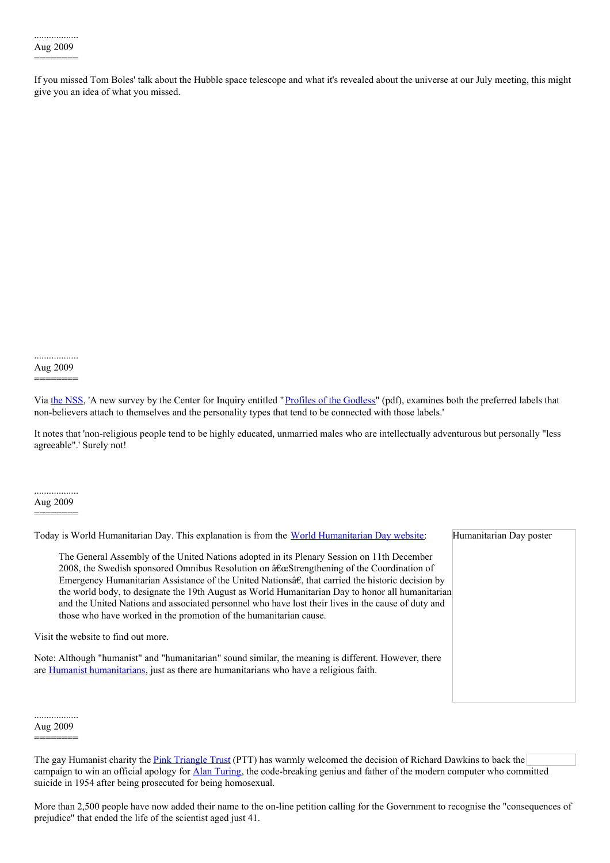If you missed Tom Boles' talk about the Hubble space telescope and what it's revealed about the universe at our July meeting, this might give you an idea of what you missed.

.................. Aug 2009

========

Via the [NSS](http://www.secularism.org.uk), 'A new survey by the Center for Inquiry entitled "Profiles of the [Godless](http://www.centerforinquiry.net/uploads/attachments/Profiles_of_the_Godless_FI_AugSept_Vol_29_No_5_pps_41-45.pdf)" (pdf), examines both the preferred labels that non-believers attach to themselves and the personality types that tend to be connected with those labels.'

It notes that 'non-religious people tend to be highly educated, unmarried males who are intellectually adventurous but personally "less agreeable".' Surely not!

.................. Aug 2009

========

Today is World Humanitarian Day. This explanation is from the World [Humanitarian](http://ochaonline.un.org/News/WorldHumanitarianDay/tabid/5677/language/en-US/Default.aspx) Day website:

The General Assembly of the United Nations adopted in its Plenary Session on 11th December 2008, the Swedish sponsored Omnibus Resolution on  $\frac{\partial \mathcal{L}_{\alpha}}{\partial \mathcal{L}_{\alpha}}$  at the Coordination of Emergency Humanitarian Assistance of the United Nationsâ€, that carried the historic decision by the world body, to designate the 19th August as World Humanitarian Day to honor all humanitarian and the United Nations and associated personnel who have lost their lives in the cause of duty and those who have worked in the promotion of the humanitarian cause.

Visit the website to find out more.

Note: Although "humanist" and "humanitarian" sound similar, the meaning is different. However, there are Humanist [humanitarians](http://www.humanism.org.uk/humanism/humanist-tradition/working-for-a-better-world), just as there are humanitarians who have a religious faith.

.................. Aug 2009 ========

The gay Humanist charity the **Pink [Triangle](http://www.pinktriangle.org.uk/) Trust** (PTT) has warmly welcomed the decision of Richard Dawkins to back the campaign to win an official apology for Alan [Turing](http://en.wikipedia.org/wiki/Alan_Turing), the code-breaking genius and father of the modern computer who committed suicide in 1954 after being prosecuted for being homosexual.

More than 2,500 people have now added their name to the on-line petition calling for the Government to recognise the "consequences of prejudice" that ended the life of the scientist aged just 41.

Humanitarian Day poster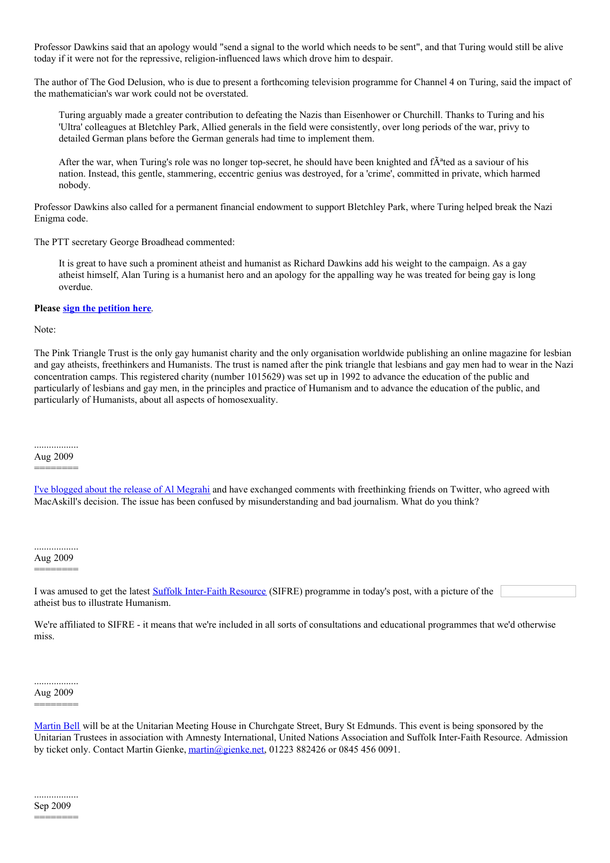Professor Dawkins said that an apology would "send a signal to the world which needs to be sent", and that Turing would still be alive today if it were not for the repressive, religion-influenced laws which drove him to despair.

The author of The God Delusion, who is due to present a forthcoming television programme for Channel 4 on Turing, said the impact of the mathematician's war work could not be overstated.

Turing arguably made a greater contribution to defeating the Nazis than Eisenhower or Churchill. Thanks to Turing and his 'Ultra' colleagues at Bletchley Park, Allied generals in the field were consistently, over long periods of the war, privy to detailed German plans before the German generals had time to implement them.

After the war, when Turing's role was no longer top-secret, he should have been knighted and fÅ<sup>a</sup>ted as a saviour of his nation. Instead, this gentle, stammering, eccentric genius was destroyed, for a 'crime', committed in private, which harmed nobody.

Professor Dawkins also called for a permanent financial endowment to support Bletchley Park, where Turing helped break the Nazi Enigma code.

The PTT secretary George Broadhead commented:

It is great to have such a prominent atheist and humanist as Richard Dawkins add his weight to the campaign. As a gay atheist himself, Alan Turing is a humanist hero and an apology for the appalling way he was treated for being gay is long overdue.

# **Please sign the [petition](http://petitions.number10.gov.uk/turing/) here**.

Note:

The Pink Triangle Trust is the only gay humanist charity and the only organisation worldwide publishing an online magazine for lesbian and gay atheists, freethinkers and Humanists. The trust is named after the pink triangle that lesbians and gay men had to wear in the Nazi concentration camps. This registered charity (number 1015629) was set up in 1992 to advance the education of the public and particularly of lesbians and gay men, in the principles and practice of Humanism and to advance the education of the public, and particularly of Humanists, about all aspects of homosexuality.

.................. Aug 2009 ========

I've blogged about the release of Al [Megrahi](http://theanswers42.blogspot.com/2009/08/mr-macaskill-mr-mueller.html) and have exchanged comments with freethinking friends on Twitter, who agreed with MacAskill's decision. The issue has been confused by misunderstanding and bad journalism. What do you think?

.................. Aug 2009 ========

I was amused to get the latest **Suffolk [Inter-Faith](http://www.sifre.co.uk) Resource** (SIFRE) programme in today's post, with a picture of the atheist bus to illustrate Humanism.

We're affiliated to SIFRE - it means that we're included in all sorts of consultations and educational programmes that we'd otherwise miss.

.................. Aug 2009

========

[Martin](http://www.guardian.co.uk/global/2007/jun/03/martinbell) Bell will be at the Unitarian Meeting House in Churchgate Street, Bury St Edmunds. This event is being sponsored by the Unitarian Trustees in association with Amnesty International, United Nations Association and Suffolk Inter-Faith Resource. Admission by ticket only. Contact Martin Gienke, [martin@gienke.net](mailto:martin@gienke.net), 01223 882426 or 0845 456 0091.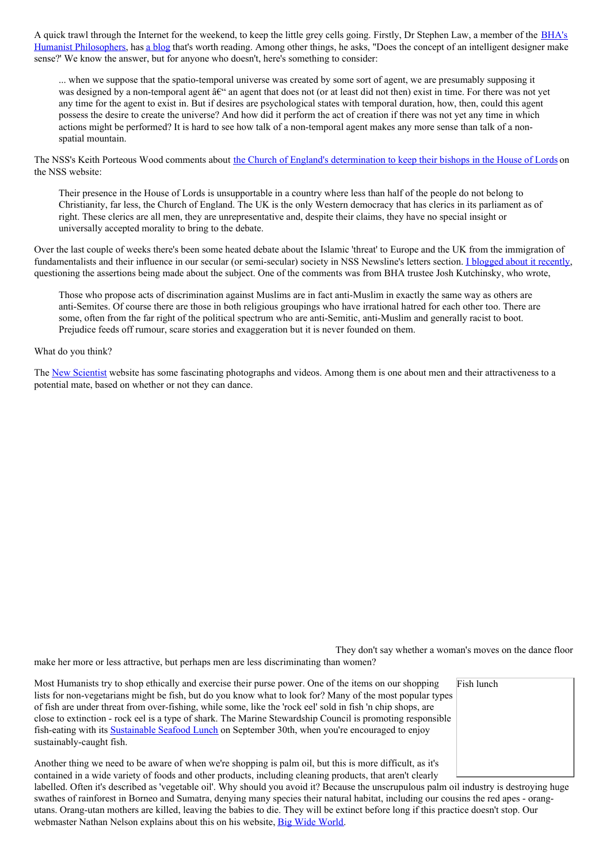A quick trawl through the Internet for the weekend, to keep the little grey cells going. Firstly, Dr Stephen Law, a member of the BHA's Humanist [Philosophers,](http://www.humanism.org.uk/about/philosophers/members) has a [blog](http://stephenlaw.blogspot.com/) that's worth reading. Among other things, he asks, "Does the concept of an intelligent designer make sense?' We know the answer, but for anyone who doesn't, here's something to consider:

... when we suppose that the spatio-temporal universe was created by some sort of agent, we are presumably supposing it was designed by a non-temporal agent  $\hat{a} \hat{\epsilon}^{\alpha}$  an agent that does not (or at least did not then) exist in time. For there was not yet any time for the agent to exist in. But if desires are psychological states with temporal duration, how, then, could this agent possess the desire to create the universe? And how did it perform the act of creation if there was not yet any time in which actions might be performed? It is hard to see how talk of a non-temporal agent makes any more sense than talk of a nonspatial mountain.

The NSS's Keith Porteous Wood comments about the Church of England's [determination](http://www.secularism.org.uk/well-fight-to-keep-our-bishops-i.html) to keep their bishops in the House of Lords on the NSS website:

Their presence in the House of Lords is unsupportable in a country where less than half of the people do not belong to Christianity, far less, the Church of England. The UK is the only Western democracy that has clerics in its parliament as of right. These clerics are all men, they are unrepresentative and, despite their claims, they have no special insight or universally accepted morality to bring to the debate.

Over the last couple of weeks there's been some heated debate about the Islamic 'threat' to Europe and the UK from the immigration of fundamentalists and their influence in our secular (or semi-secular) society in NSS Newsline's letters section. I blogged about it [recently](http://theanswers42.blogspot.com/2009/08/muslim-demographics-it-aint-necessarily.html), questioning the assertions being made about the subject. One of the comments was from BHA trustee Josh Kutchinsky, who wrote,

Those who propose acts of discrimination against Muslims are in fact anti-Muslim in exactly the same way as others are anti-Semites. Of course there are those in both religious groupings who have irrational hatred for each other too. There are some, often from the far right of the political spectrum who are anti-Semitic, anti-Muslim and generally racist to boot. Prejudice feeds off rumour, scare stories and exaggeration but it is never founded on them.

What do you think?

The New [Scientist](http://www.newscientist.com/) website has some fascinating photographs and videos. Among them is one about men and their attractiveness to a potential mate, based on whether or not they can dance.

They don't say whether a woman's moves on the dance floor

make her more or less attractive, but perhaps men are less discriminating than women?

Fish lunch Most Humanists try to shop ethically and exercise their purse power. One of the items on our shopping lists for non-vegetarians might be fish, but do you know what to look for? Many of the most popular types of fish are under threat from over-fishing, while some, like the 'rock eel' sold in fish 'n chip shops, are close to extinction - rock eel is a type of shark. The Marine Stewardship Council is promoting responsible fish-eating with its **[Sustainable](http://www.msc.org/cook-eat-enjoy/lunch) Seafood Lunch** on September 30th, when you're encouraged to enjoy sustainably-caught fish.

Another thing we need to be aware of when we're shopping is palm oil, but this is more difficult, as it's contained in a wide variety of foods and other products, including cleaning products, that aren't clearly labelled. Often it's described as 'vegetable oil'. Why should you avoid it? Because the unscrupulous palm oil industry is destroying huge swathes of rainforest in Borneo and Sumatra, denying many species their natural habitat, including our cousins the red apes - orangutans. Orang-utan mothers are killed, leaving the babies to die. They will be extinct before long if this practice doesn't stop. Our webmaster Nathan Nelson explains about this on his website, Big Wide [World](http://www.bigwideworld.org/2009/08/26/orangutans/).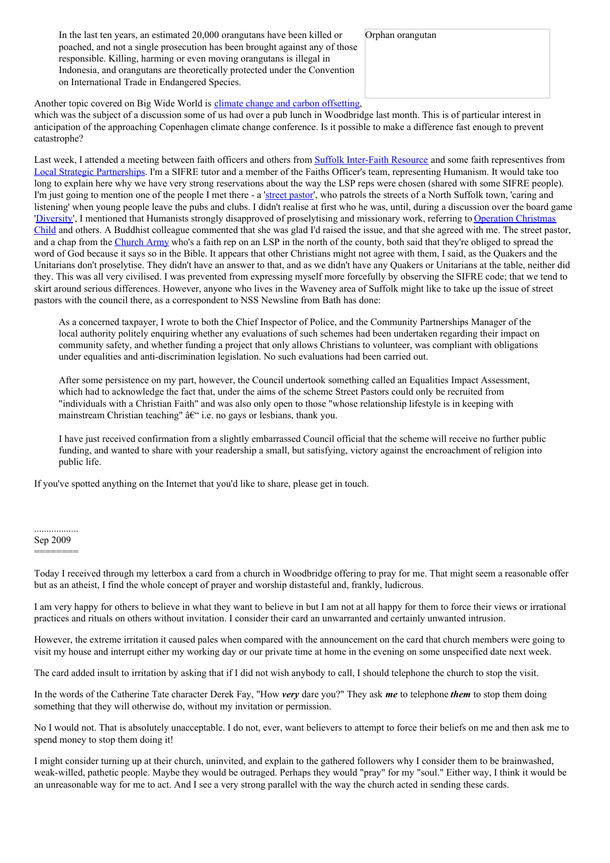In the last ten years, an estimated 20,000 orangutans have been killed or Orphan orangutan poached, and not a single prosecution has been brought against any of those responsible. Killing, harming or even moving orangutans is illegal in Indonesia, and orangutans are theoretically protected under the Convention on International Trade in Endangered Species.

Another topic covered on Big Wide World is *climate change and carbon [offsetting](http://www.bigwideworld.org/2009/08/19/eu-carbon/)*,

which was the subject of a discussion some of us had over a pub lunch in Woodbridge last month. This is of particular interest in anticipation of the approaching Copenhagen climate change conference. Is it possible to make a difference fast enough to prevent catastrophe?

Last week, I attended a meeting between faith officers and others from **Suffolk [Inter-Faith](http://www.sifre.co.uk) Resource** and some faith representives from Local Strategic [Partnerships](http://www.communities.gov.uk/localgovernment/performanceframeworkpartnerships/localstrategicpartnerships/). I'm a SIFRE tutor and a member of the Faiths Officer's team, representing Humanism. It would take too long to explain here why we have very strong reservations about the way the LSP reps were chosen (shared with some SIFRE people). I'm just going to mention one of the people I met there - a 'street [pastor](http://www.streetpastors.co.uk/)', who patrols the streets of a North Suffolk town, 'caring and listening' when young people leave the pubs and clubs. I didn't realise at first who he was, until, during a discussion over the board game ['Diversity](http://www.sifre.co.uk/index2.htm)', I mentioned that Humanists strongly disapproved of [proselytising](http://www.suffolkhands.org.uk/node/549) and missionary work, referring to Operation Christmas Child and others. A Buddhist colleague commented that she was glad I'd raised the issue, and that she agreed with me. The street pastor, and a chap from the [Church](http://www.churcharmy.org.uk/pub/home.asp) Army who's a faith rep on an LSP in the north of the county, both said that they're obliged to spread the word of God because it says so in the Bible. It appears that other Christians might not agree with them, I said, as the Quakers and the Unitarians don't proselytise. They didn't have an answer to that, and as we didn't have any Quakers or Unitarians at the table, neither did they. This was all very civilised. I was prevented from expressing myself more forcefully by observing the SIFRE code; that we tend to skirt around serious differences. However, anyone who lives in the Waveney area of Suffolk might like to take up the issue of street pastors with the council there, as a correspondent to NSS Newsline from Bath has done:

As a concerned taxpayer, I wrote to both the Chief Inspector of Police, and the Community Partnerships Manager of the local authority politely enquiring whether any evaluations of such schemes had been undertaken regarding their impact on community safety, and whether funding a project that only allows Christians to volunteer, was compliant with obligations under equalities and anti-discrimination legislation. No such evaluations had been carried out.

After some persistence on my part, however, the Council undertook something called an Equalities Impact Assessment, which had to acknowledge the fact that, under the aims of the scheme Street Pastors could only be recruited from "individuals with a Christian Faith" and was also only open to those "whose relationship lifestyle is in keeping with mainstream Christian teaching"  $\hat{a} \in \hat{C}$  i.e. no gays or lesbians, thank you.

I have just received confirmation from a slightly embarrassed Council official that the scheme will receive no further public funding, and wanted to share with your readership a small, but satisfying, victory against the encroachment of religion into public life.

If you've spotted anything on the Internet that you'd like to share, please get in touch.

.................. Sep 2009 ========

Today I received through my letterbox a card from a church in Woodbridge offering to pray for me. That might seem a reasonable offer but as an atheist, I find the whole concept of prayer and worship distasteful and, frankly, ludicrous.

I am very happy for others to believe in what they want to believe in but I am not at all happy for them to force their views or irrational practices and rituals on others without invitation. I consider their card an unwarranted and certainly unwanted intrusion.

However, the extreme irritation it caused pales when compared with the announcement on the card that church members were going to visit my house and interrupt either my working day or our private time at home in the evening on some unspecified date next week.

The card added insult to irritation by asking that if I did not wish anybody to call, I should telephone the church to stop the visit.

In the words of the Catherine Tate character Derek Fay, "How *very* dare you?" They ask *me* to telephone *them* to stop them doing something that they will otherwise do, without my invitation or permission.

No I would not. That is absolutely unacceptable. I do not, ever, want believers to attempt to force their beliefs on me and then ask me to spend money to stop them doing it!

I might consider turning up at their church, uninvited, and explain to the gathered followers why I consider them to be brainwashed, weak-willed, pathetic people. Maybe they would be outraged. Perhaps they would "pray" for my "soul." Either way, I think it would be an unreasonable way for me to act. And I see a very strong parallel with the way the church acted in sending these cards.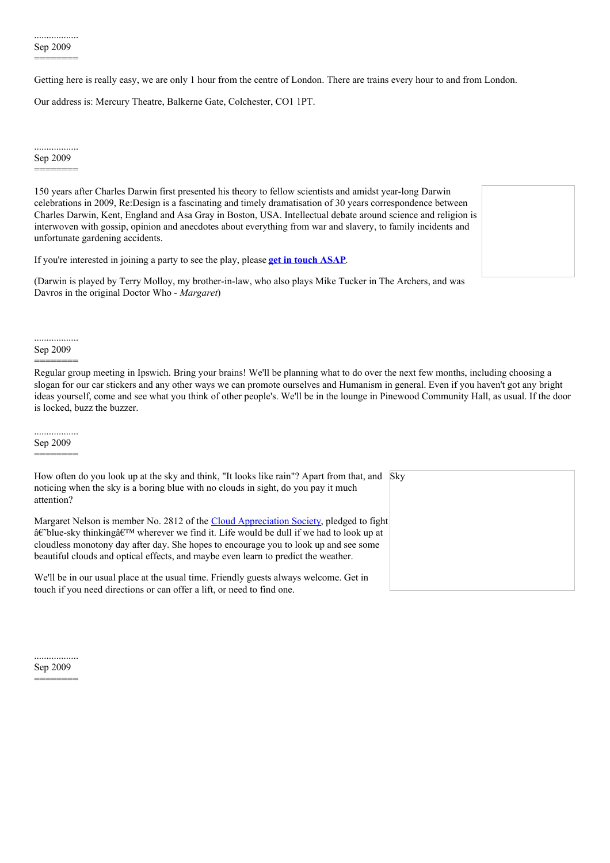## .................. Sep 2009 ========

Getting here is really easy, we are only 1 hour from the centre of London. There are trains every hour to and from London.

Our address is: Mercury Theatre, Balkerne Gate, Colchester, CO1 1PT.

.................. Sep 2009 ========

150 years after Charles Darwin first presented his theory to fellow scientists and amidst year-long Darwin celebrations in 2009, Re:Design is a fascinating and timely dramatisation of 30 years correspondence between Charles Darwin, Kent, England and Asa Gray in Boston, USA. Intellectual debate around science and religion is interwoven with gossip, opinion and anecdotes about everything from war and slavery, to family incidents and unfortunate gardening accidents.

If you're interested in joining a party to see the play, please **get in touch [ASAP](mailto:margaret@suffolkhands.org.uk)**.

(Darwin is played by Terry Molloy, my brother-in-law, who also plays Mike Tucker in The Archers, and was Davros in the original Doctor Who - *Margaret*)

#### .................. Sep 2009 ========

Regular group meeting in Ipswich. Bring your brains! We'll be planning what to do over the next few months, including choosing a slogan for our car stickers and any other ways we can promote ourselves and Humanism in general. Even if you haven't got any bright ideas yourself, come and see what you think of other people's. We'll be in the lounge in Pinewood Community Hall, as usual. If the door is locked, buzz the buzzer.

.................. Sep 2009

# ========

How often do you look up at the sky and think, "It looks like rain"? Apart from that, an noticing when the sky is a boring blue with no clouds in sight, do you pay it much attention?

Margaret Nelson is member No. 2812 of the Cloud [Appreciation](http://cloudappreciationsociety.org/) Society, pledged to fight  $\hat{a} \in \hat{C}$ blue-sky thinking $\hat{a} \in \mathbb{N}$  wherever we find it. Life would be dull if we had to look up cloudless monotony day after day. She hopes to encourage you to look up and see some beautiful clouds and optical effects, and maybe even learn to predict the weather.

We'll be in our usual place at the usual time. Friendly guests always welcome. Get in touch if you need directions or can offer a lift, or need to find one.

|           | nd Sky |
|-----------|--------|
|           |        |
| ght<br>at |        |
| e         |        |
|           |        |
|           |        |

.................. Sep 2009

========

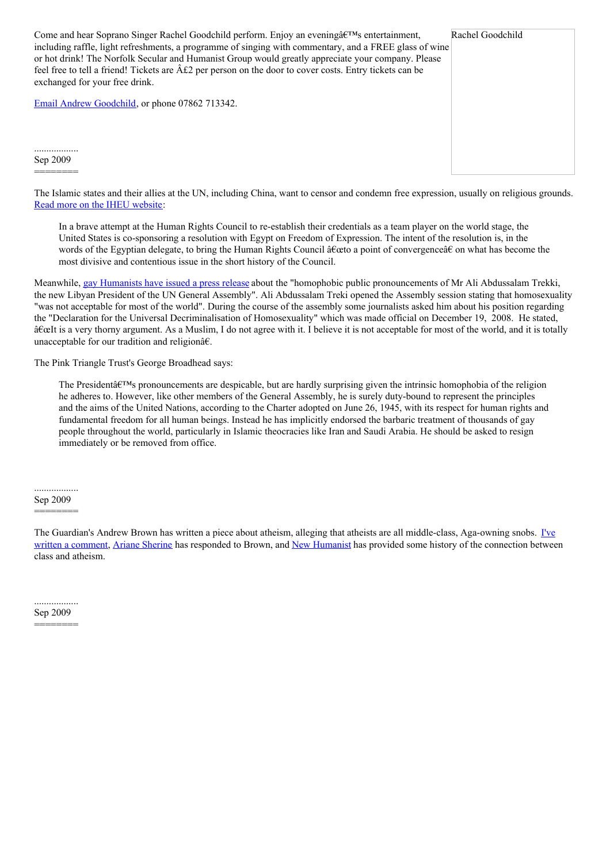Come and hear Soprano Singer Rachel Goodchild perform. Enjoy an evening's entertainment, Rachel Goodchild including raffle, light refreshments, a programme of singing with commentary, and a FREE glass of wine or hot drink! The Norfolk Secular and Humanist Group would greatly appreciate your company. Please feel free to tell a friend! Tickets are  $\hat{A} \hat{L}$  per person on the door to cover costs. Entry tickets can be exchanged for your free drink.

Email Andrew [Goodchild](mailto:goodchild_66@hotmail.com), or phone 07862 713342.

.................. Sep 2009

========



The Islamic states and their allies at the UN, including China, want to censor and condemn free expression, usually on religious grounds. Read more on the IHEU [website](http://www.iheu.org/freedom-expression-trial-again-un):

In a brave attempt at the Human Rights Council to re-establish their credentials as a team player on the world stage, the United States is co-sponsoring a resolution with Egypt on Freedom of Expression. The intent of the resolution is, in the words of the Egyptian delegate, to bring the Human Rights Council  $â$ €œto a point of convergence†on what has become the most divisive and contentious issue in the short history of the Council.

Meanwhile, gay [Humanists](http://ptt-blog.blogspot.com/2009/09/ptt-news-release-on-muslim-homophobe.html) have issued a press release about the "homophobic public pronouncements of Mr Ali Abdussalam Trekki, the new Libyan President of the UN General Assembly". Ali Abdussalam Treki opened the Assembly session stating that homosexuality "was not acceptable for most of the world". During the course of the assembly some journalists asked him about his position regarding the "Declaration for the Universal Decriminalisation of Homosexuality" which was made official on December 19, 2008. He stated, "It is a very thorny argument. As a Muslim, I do not agree with it. I believe it is not acceptable for most of the world, and it is totally unacceptable for our tradition and religionâ€.

The Pink Triangle Trust's George Broadhead says:

The President $\hat{\mathfrak{a}} \in \mathbb{R}^N$  pronouncements are despicable, but are hardly surprising given the intrinsic homophobia of the religion he adheres to. However, like other members of the General Assembly, he is surely duty-bound to represent the principles and the aims of the United Nations, according to the Charter adopted on June 26, 1945, with its respect for human rights and fundamental freedom for all human beings. Instead he has implicitly endorsed the barbaric treatment of thousands of gay people throughout the world, particularly in Islamic theocracies like Iran and Saudi Arabia. He should be asked to resign immediately or be removed from office.

.................. Sep 2009

========

The Guardian's Andrew Brown has written a piece about atheism, alleging that atheists are all [middle-class,](http://www.guardian.co.uk/commentisfree/andrewbrown/2009/sep/25/religion-atheism?commentid=55a921e4-329e-4940-af5b-bdd3374004f5) Aga-owning snobs. I've written a comment, Ariane [Sherine](http://www.guardian.co.uk/commentisfree/belief/2009/sep/29/atheist-guide-christmas-religion) has responded to Brown, and New [Humanist](http://blog.newhumanist.org.uk/2009/09/atheist-class-wars.html) has provided some history of the connection between class and atheism.

.................. Sep 2009

========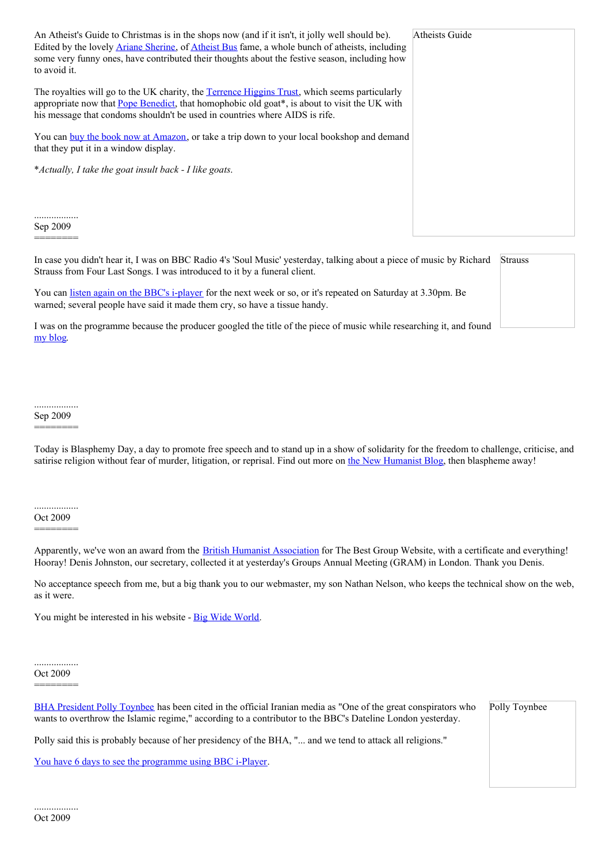An Atheist's Guide to Christmas is in the shops now (and if it isn't, it jolly well should be). Edited by the lovely **Ariane [Sherine](http://arianesherine.blogspot.com/)**, of **[Atheist](http://www.atheistbus.org.uk/) Bus** fame, a whole bunch of atheists, including some very funny ones, have contributed their thoughts about the festive season, including how to avoid it.

The royalties will go to the UK charity, the [Terrence](http://www.tht.org.uk/) Higgins Trust, which seems particularly appropriate now that Pope [Benedict](http://www.secularism.org.uk/pope-to-visit-britain-but-not-ev.html), that homophobic old goat\*, is about to visit the UK with his message that condoms shouldn't be used in countries where AIDS is rife.

You can buy the book now at [Amazon](http://www.amazon.co.uk/Atheists-Guide-Christmas-Ariane-Sherine/dp/0007322615/ref=sr_1_1?ie=UTF8&s=books&qid=1254241986&sr=1-1), or take a trip down to your local bookshop and demand that they put it in a window display.

\**Actually, I take the goat insult back - I like goats*.

.................. Sep 2009

========

In case you didn't hear it, I was on BBC Radio 4's 'Soul Music' yesterday, talking about a piece of music by Richard Strauss from Four Last Songs. I was introduced to it by a funeral client.

You can listen again on the BBC's [i-player](http://www.bbc.co.uk/programmes/b00mw5v5) for the next week or so, or it's repeated on Saturday at 3.30pm. Be warned; several people have said it made them cry, so have a tissue handy.

I was on the programme because the producer googled the title of the piece of music while researching it, and found my [blog](http://theanswers42.blogspot.com/2009/08/this-morning-someone-on-twitter-asked.html).

.................. Sep 2009

========

Today is Blasphemy Day, a day to promote free speech and to stand up in a show of solidarity for the freedom to challenge, criticise, and satirise religion without fear of murder, litigation, or reprisal. Find out more on the New [Humanist](http://blog.newhumanist.org.uk/2009/09/blasphemy-day-2009.html) Blog, then blaspheme away!

.................. Oct 2009

========

Apparently, we've won an award from the British Humanist [Association](http://www.humanism.org.uk) for The Best Group Website, with a certificate and everything! Hooray! Denis Johnston, our secretary, collected it at yesterday's Groups Annual Meeting (GRAM) in London. Thank you Denis.

No acceptance speech from me, but a big thank you to our webmaster, my son Nathan Nelson, who keeps the technical show on the web, as it were.

You might be interested in his website - Big Wide [World](http://www.bigwideworld.org/).

.................. Oct 2009

========

BHA [President](http://www.humanism.org.uk/about/people/president-toynbee) Polly Toynbee has been cited in the official Iranian media as "One of the great conspirators who wants to overthrow the Islamic regime," according to a contributor to the BBC's Dateline London yesterday.

Polly Toynbee

Polly said this is probably because of her presidency of the BHA, "... and we tend to attack all religions."

You have 6 days to see the [programme](http://www.bbc.co.uk/programmes/b006m93g) using BBC i-Player.

| nard Strauss |  |
|--------------|--|

Atheists Guide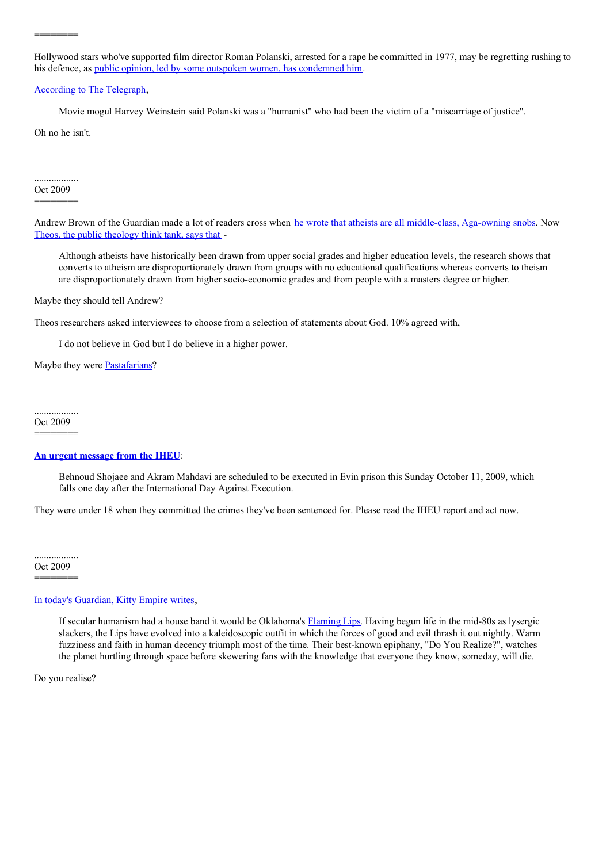Hollywood stars who've supported film director Roman Polanski, arrested for a rape he committed in 1977, may be regretting rushing to his defence, as public opinion, led by some outspoken women, has [condemned](http://www.guardian.co.uk/film/2009/oct/04/roman-polanski-sex-case-backlash) him.

# [According](http://www.telegraph.co.uk/culture/film/roman-polanski/6245219/Roman-Polanski-backlash-as-Whoopi-Goldberg-says-director-didnt-commit-rape-rape.html) to The Telegraph,

Movie mogul Harvey Weinstein said Polanski was a "humanist" who had been the victim of a "miscarriage of justice".

Oh no he isn't.

========

Oct 2009 ========

Andrew Brown of the Guardian made a lot of readers cross when he wrote that atheists are all [middle-class,](http://www.suffolkhands.org.uk/node/1087) Aga-owning snobs. Now Theos, the public [theology](http://www.theosthinktank.co.uk/Atheism,_class_and_education.aspx?ArticleID=3445&PageID=14&RefPageID=5) think tank, says that -

Although atheists have historically been drawn from upper social grades and higher education levels, the research shows that converts to atheism are disproportionately drawn from groups with no educational qualifications whereas converts to theism are disproportionately drawn from higher socio-economic grades and from people with a masters degree or higher.

Maybe they should tell Andrew?

Theos researchers asked interviewees to choose from a selection of statements about God. 10% agreed with,

I do not believe in God but I do believe in a higher power.

Maybe they were [Pastafarians](http://www.venganza.org/)?

.................. Oct 2009 ========

# **An urgent [message](http://www.iheu.org/appeal-save-juveniles-due-be-executed-within-three-days-iran) from the IHEU**:

Behnoud Shojaee and Akram Mahdavi are scheduled to be executed in Evin prison this Sunday October 11, 2009, which falls one day after the International Day Against Execution.

They were under 18 when they committed the crimes they've been sentenced for. Please read the IHEU report and act now.

#### .................. Oct 2009

========

# In today's [Guardian,](http://www.guardian.co.uk/music/2009/oct/11/flaming-lips-embyonic-cd-review) Kitty Empire writes,

If secular humanism had a house band it would be Oklahoma's [Flaming](http://www.flaminglips.com/embryonic/) Lips. Having begun life in the mid-80s as lysergic slackers, the Lips have evolved into a kaleidoscopic outfit in which the forces of good and evil thrash it out nightly. Warm fuzziness and faith in human decency triumph most of the time. Their best-known epiphany, "Do You Realize?", watches the planet hurtling through space before skewering fans with the knowledge that everyone they know, someday, will die.

Do you realise?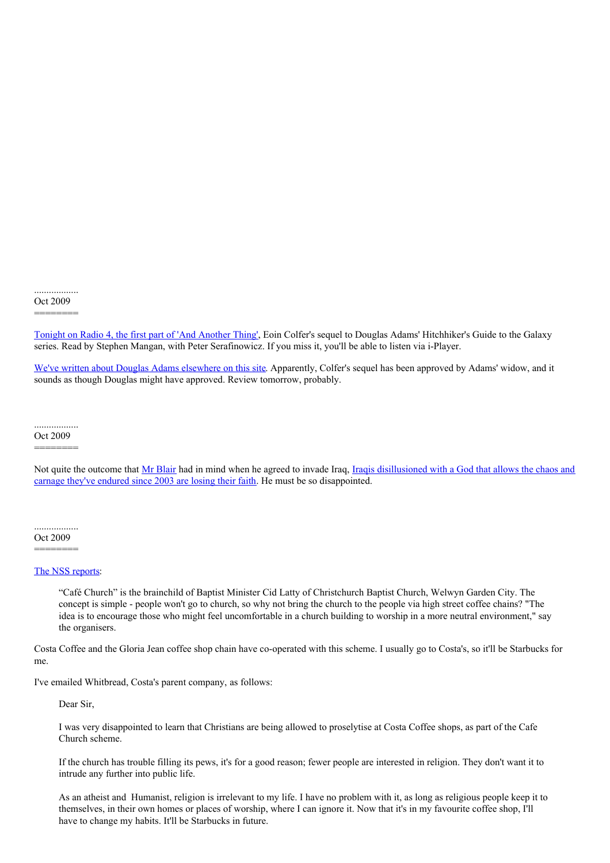.................. Oct 2009

========

Tonight on Radio 4, the first part of 'And [Another](http://www.bbc.co.uk/programmes/b00n4z16) Thing', Eoin Colfer's sequel to Douglas Adams' Hitchhiker's Guide to the Galaxy series. Read by Stephen Mangan, with Peter Serafinowicz. If you miss it, you'll be able to listen via i-Player.

We've written about Douglas Adams [elsewhere](http://www.suffolkhands.org.uk/node/731) on this site. Apparently, Colfer's sequel has been approved by Adams' widow, and it sounds as though Douglas might have approved. Review tomorrow, probably.

.................. Oct 2009 ========

Not quite the outcome that Mr [Blair](http://www.tonyblairfaithfoundation.org/) had in mind when he agreed to invade Iraq, Iraqis [disillusioned](http://www.islamonline.net/servlet/Satellite?c=Article_C&cid=1254573498385&pagename=Zone-English-News/NWELayout) with a God that allows the chaos and carnage they've endured since 2003 are losing their faith. He must be so disappointed.

.................. Oct 2009

========

# The NSS [reports](http://www.secularism.org.uk/fancy-a-coffee-look-out-the-evan.html):

"Café Church" is the brainchild of Baptist Minister Cid Latty of Christchurch Baptist Church, Welwyn Garden City. The concept is simple - people won't go to church, so why not bring the church to the people via high street coffee chains? "The idea is to encourage those who might feel uncomfortable in a church building to worship in a more neutral environment," say the organisers.

Costa Coffee and the Gloria Jean coffee shop chain have co-operated with this scheme. I usually go to Costa's, so it'll be Starbucks for me.

I've emailed Whitbread, Costa's parent company, as follows:

Dear Sir,

I was very disappointed to learn that Christians are being allowed to proselytise at Costa Coffee shops, as part of the Cafe Church scheme.

If the church has trouble filling its pews, it's for a good reason; fewer people are interested in religion. They don't want it to intrude any further into public life.

As an atheist and Humanist, religion is irrelevant to my life. I have no problem with it, as long as religious people keep it to themselves, in their own homes or places of worship, where I can ignore it. Now that it's in my favourite coffee shop, I'll have to change my habits. It'll be Starbucks in future.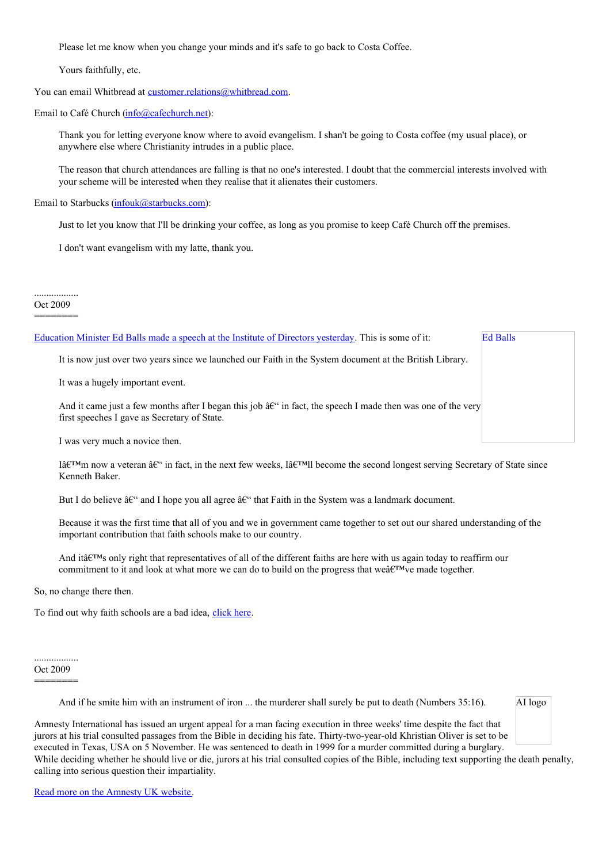Please let me know when you change your minds and it's safe to go back to Costa Coffee.

Yours faithfully, etc.

You can email Whitbread at [customer.relations@whitbread.com](mailto:customer.relations@whitbread.com).

Email to Café Church [\(info@cafechurch.net](mailto:info@cafechurch.net)):

Thank you for letting everyone know where to avoid evangelism. I shan't be going to Costa coffee (my usual place), or anywhere else where Christianity intrudes in a public place.

The reason that church attendances are falling is that no one's interested. I doubt that the commercial interests involved with your scheme will be interested when they realise that it alienates their customers.

Email to Starbucks [\(infouk@starbucks.com](mailto:infouk@starbucks.com)):

Just to let you know that I'll be drinking your coffee, as long as you promise to keep Café Church off the premises.

I don't want evangelism with my latte, thank you.

..................

Oct 2009 ========

### [Education](http://www.dcsf.gov.uk/speeches/search_detail.cfm?ID=938) Minister Ed Balls made a speech at the Institute of Directors yesterday. This is some of it:

It is now just over two years since we launched our Faith in the System document at the British Library.

It was a hugely important event.

And it came just a few months after I began this job  $\hat{a} \in \hat{\mathfrak{m}}$  in fact, the speech I made then was one of the very first speeches I gave as Secretary of State.

I was very much a novice then.

I $\hat{H}$  m now a veteran  $\hat{H}$ <sup>e</sup> in fact, in the next few weeks, I $\hat{H}$ <sup>eTM</sup>ll become the second longest serving Secretary of State since Kenneth Baker.

But I do believe  $\hat{a} \in \hat{a}$  and I hope you all agree  $\hat{a} \in \hat{a}$  that Faith in the System was a landmark document.

Because it was the first time that all of you and we in government came together to set out our shared understanding of the important contribution that faith schools make to our country.

And it $\hat{\mathbf{a}} \in \mathbb{R}^{T}$  only right that representatives of all of the different faiths are here with us again today to reaffirm our commitment to it and look at what more we can do to build on the progress that we $\hat{\mathbf{a}} \in \mathbb{N}$  we made together.

So, no change there then.

To find out why faith schools are a bad idea, [click](http://www.suffolkhands.org.uk/node/65) here.

.................. Oct 2009 ========

And if he smite him with an instrument of iron ... the murderer shall surely be put to death (Numbers 35:16).

AI logo

Ed Balls

Amnesty International has issued an urgent appeal for a man facing execution in three weeks' time despite the fact that jurors at his trial consulted passages from the Bible in deciding his fate. Thirty-two-year-old Khristian Oliver is set to be executed in Texas, USA on 5 November. He was sentenced to death in 1999 for a murder committed during a burglary. While deciding whether he should live or die, jurors at his trial consulted copies of the Bible, including text supporting the death penalty, calling into serious question their impartiality.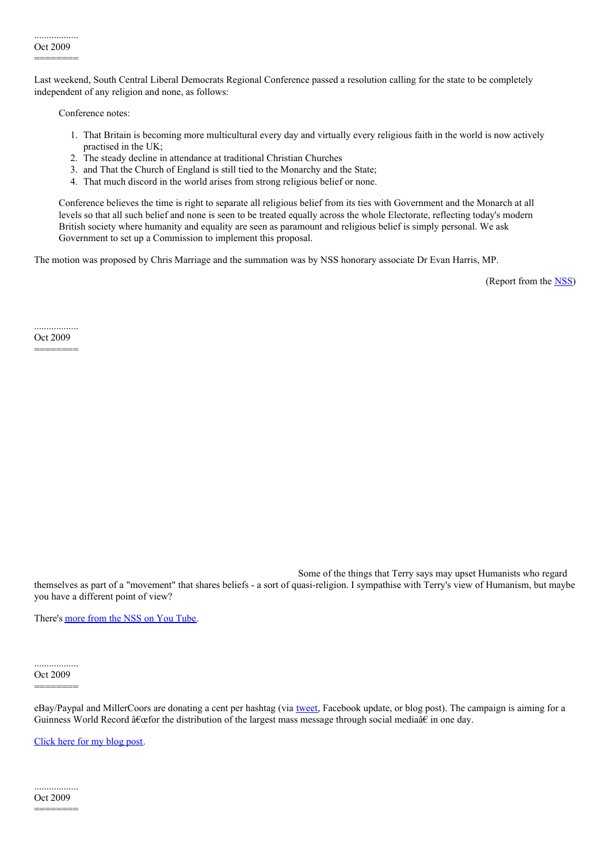Last weekend, South Central Liberal Democrats Regional Conference passed a resolution calling for the state to be completely independent of any religion and none, as follows:

Conference notes:

- 1. That Britain is becoming more multicultural every day and virtually every religious faith in the world is now actively practised in the UK;
- 2. The steady decline in attendance at traditional Christian Churches
- 3. and That the Church of England is still tied to the Monarchy and the State;
- 4. That much discord in the world arises from strong religious belief or none.

Conference believes the time is right to separate all religious belief from its ties with Government and the Monarch at all levels so that all such belief and none is seen to be treated equally across the whole Electorate, reflecting today's modern British society where humanity and equality are seen as paramount and religious belief is simply personal. We ask Government to set up a Commission to implement this proposal.

The motion was proposed by Chris Marriage and the summation was by NSS honorary associate Dr Evan Harris, MP.

(Report from the [NSS](http://www.secularism.org.uk/))

.................. Oct 2009 ========

Some of the things that Terry says may upset Humanists who regard themselves as part of a "movement" that shares beliefs - a sort of quasi-religion. I sympathise with Terry's view of Humanism, but maybe you have a different point of view?

There's [more](http://www.youtube.com/user/SecularismOrgUK#p/a/0/dq9VurMH9Fc) from the NSS on You Tube.

.................. Oct 2009 ========

eBay/Paypal and MillerCoors are donating a cent per hashtag (via [tweet,](http://twitter.com/#search?q=%2523beatcancer) Facebook update, or blog post). The campaign is aiming for a Guinness World Record  $â$ Eœfor the distribution of the largest mass message through social media†in one day.

[Click](http://theanswers42.blogspot.com/2009/10/cancer.html) here for my blog post.

.................. Oct 2009 ========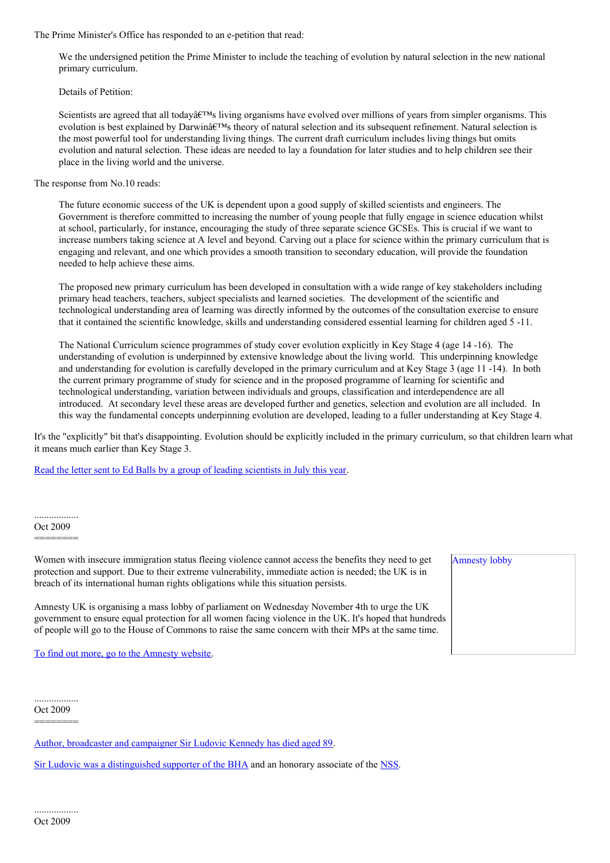The Prime Minister's Office has responded to an e-petition that read:

We the undersigned petition the Prime Minister to include the teaching of evolution by natural selection in the new national primary curriculum.

Details of Petition:

Scientists are agreed that all today $\hat{\mathfrak{g}} \in \mathbb{N}$  living organisms have evolved over millions of years from simpler organisms. This evolution is best explained by Darwin $\hat{\mathbf{a}} \in \mathbb{M}$  theory of natural selection and its subsequent refinement. Natural selection is the most powerful tool for understanding living things. The current draft curriculum includes living things but omits evolution and natural selection. These ideas are needed to lay a foundation for later studies and to help children see their place in the living world and the universe.

The response from No.10 reads:

The future economic success of the UK is dependent upon a good supply of skilled scientists and engineers. The Government is therefore committed to increasing the number of young people that fully engage in science education whilst at school, particularly, for instance, encouraging the study of three separate science GCSEs. This is crucial if we want to increase numbers taking science at A level and beyond. Carving out a place for science within the primary curriculum that is engaging and relevant, and one which provides a smooth transition to secondary education, will provide the foundation needed to help achieve these aims.

The proposed new primary curriculum has been developed in consultation with a wide range of key stakeholders including primary head teachers, teachers, subject specialists and learned societies. The development of the scientific and technological understanding area of learning was directly informed by the outcomes of the consultation exercise to ensure that it contained the scientific knowledge, skills and understanding considered essential learning for children aged 5 -11.

The National Curriculum science programmes of study cover evolution explicitly in Key Stage 4 (age 14 -16). The understanding of evolution is underpinned by extensive knowledge about the living world. This underpinning knowledge and understanding for evolution is carefully developed in the primary curriculum and at Key Stage 3 (age 11 -14). In both the current primary programme of study for science and in the proposed programme of learning for scientific and technological understanding, variation between individuals and groups, classification and interdependence are all introduced. At secondary level these areas are developed further and genetics, selection and evolution are all included. In this way the fundamental concepts underpinning evolution are developed, leading to a fuller understanding at Key Stage 4.

It's the "explicitly" bit that's disappointing. Evolution should be explicitly included in the primary curriculum, so that children learn what it means much earlier than Key Stage 3.

Read the letter sent to Ed Balls by a group of leading [scientists](http://www.humanism.org.uk/_uploads/documents/BHA-Scientists-letter-to-DCSF-FINAL.pdf) in July this year.

.................. Oct 2009 ========

Women with insecure immigration status fleeing violence cannot access the benefits they need to get protection and support. Due to their extreme vulnerability, immediate action is needed; the UK is in breach of its international human rights obligations while this situation persists.

Amnesty UK is organising a mass lobby of parliament on Wednesday November 4th to urge the UK government to ensure equal protection for all women facing violence in the UK. It's hoped that hundreds of people will go to the House of Commons to raise the same concern with their MPs at the same time.

To find out more, go to the [Amnesty](http://www.amnesty.org.uk/events_details.asp?ID=1378) website.

.................. Oct 2009 ========

Author, broadcaster and [campaigner](http://news.bbc.co.uk/1/hi/uk/8314778.stm) Sir Ludovic Kennedy has died aged 89.

Sir Ludovic was a [distinguished](http://www.humanism.org.uk/news/view/373) supporter of the BHA and an honorary associate of the [NSS](http://www.secularism.org.uk/).

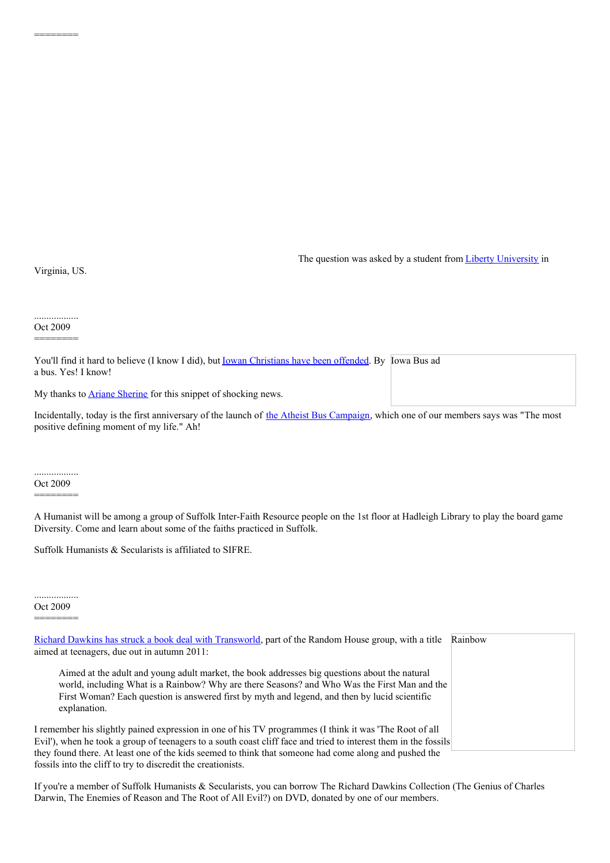The question was asked by a student from Liberty [University](http://www.liberty.edu/) in

Virginia, US.

========

### .................. Oct 2009 ========

You'll find it hard to believe (I know I did), but <u>Iowan [Christians](http://www.mediawatchwatch.org.uk/2009/08/18/breaking-news-christians-offended/) have been offended</u>. By Iowa Bus ad a bus. Yes! I know!

My thanks to **Ariane [Sherine](http://arianesherine.blogspot.com/)** for this snippet of shocking news.

Incidentally, today is the first anniversary of the launch of the Atheist Bus [Campaign,](http://www.atheistbus.org.uk/) which one of our members says was "The most positive defining moment of my life." Ah!

.................. Oct 2009

========

A Humanist will be among a group of Suffolk Inter-Faith Resource people on the 1st floor at Hadleigh Library to play the board game Diversity. Come and learn about some of the faiths practiced in Suffolk.

Suffolk Humanists & Secularists is affiliated to SIFRE.

.................. Oct 2009 ========

| Richard Dawkins has struck a book deal with Transworld, part of the Random House group, with a title<br>aimed at teenagers, due out in autumn 2011:                                                                                                                                                            | Rainbow |
|----------------------------------------------------------------------------------------------------------------------------------------------------------------------------------------------------------------------------------------------------------------------------------------------------------------|---------|
| Aimed at the adult and young adult market, the book addresses big questions about the natural<br>world, including What is a Rainbow? Why are there Seasons? and Who Was the First Man and the<br>First Woman? Each question is answered first by myth and legend, and then by lucid scientific<br>explanation. |         |
| I remember his slightly pained expression in one of his TV programmes (I think it was 'The Root of all                                                                                                                                                                                                         |         |
| Evil'), when he took a group of teenagers to a south coast cliff face and tried to interest them in the fossils                                                                                                                                                                                                |         |
| they found there. At least one of the kids seemed to think that someone had come along and pushed the                                                                                                                                                                                                          |         |

fossils into the cliff to try to discredit the creationists.

If you're a member of Suffolk Humanists & Secularists, you can borrow The Richard Dawkins Collection (The Genius of Charles Darwin, The Enemies of Reason and The Root of All Evil?) on DVD, donated by one of our members.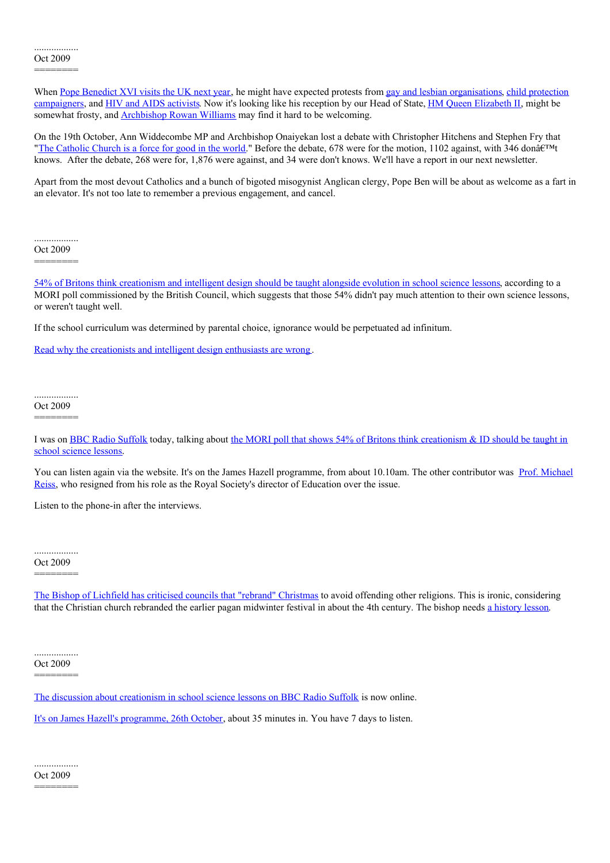## .................. Oct 2009 ========

When Pope [Benedict](http://news.bbc.co.uk/1/hi/uk/8271556.stm) XVI visits the UK next year, he might have expected protests from gay and lesbian [organisations,](http://news.bbc.co.uk/1/hi/8059826.stm) child protection campaigners, and HIV and AIDS [activists](http://www.guardian.co.uk/world/2009/mar/17/pope-africa-condoms-aids). Now it's looking like his reception by our Head of State, HM Queen [Elizabeth](http://www.telegraph.co.uk/comment/6418941/The-Queen-will-stand-up-to-Pope-Benedict.html) II, might be somewhat frosty, and **[Archbishop](http://www.secularism.org.uk/bigot-rustling-is-the-popes-late.html) Rowan Williams** may find it hard to be welcoming.

On the 19th October, Ann Widdecombe MP and Archbishop Onaiyekan lost a debate with Christopher Hitchens and Stephen Fry that "The [Catholic](http://freethinker.co.uk/2009/10/20/catholic-church-humiliated-by-fry-and-hitchens-in-an-historic-london-debate/) Church is a force for good in the world." Before the debate, 678 were for the motion, 1102 against, with 346 donat<sup>TM</sup>t knows. After the debate, 268 were for, 1,876 were against, and 34 were don't knows. We'll have a report in our next newsletter.

Apart from the most devout Catholics and a bunch of bigoted misogynist Anglican clergy, Pope Ben will be about as welcome as a fart in an elevator. It's not too late to remember a previous engagement, and cancel.

.................. Oct 2009

========

54% of Britons think [creationism](http://www.guardian.co.uk/science/2009/oct/25/teach-evolution-creationism-britons) and intelligent design should be taught alongside evolution in school science lessons, according to a MORI poll commissioned by the British Council, which suggests that those 54% didn't pay much attention to their own science lessons, or weren't taught well.

If the school curriculum was determined by parental choice, ignorance would be perpetuated ad infinitum.

Read why the [creationists](http://www.suffolkhands.org.uk/monkeys) and intelligent design enthusiasts are wrong .

.................. Oct 2009

========

I was on BBC Radio [Suffolk](http://news.bbc.co.uk/local/suffolk/hi/tv_and_radio/) today, talking about the MORI poll that shows 54% of Britons think [creationism](http://www.suffolkhands.org.uk/node/1119) & ID should be taught in school science lessons.

You can listen again via the website. It's on the James Hazell [programme,](http://www.timesonline.co.uk/tol/news/science/article4768820.ece) from about 10.10am. The other contributor was Prof. Michael Reiss, who resigned from his role as the Royal Society's director of Education over the issue.

Listen to the phone-in after the interviews.

.................. Oct 2009

========

The Bishop of Lichfield has criticised councils that "rebrand" [Christmas](http://news.bbc.co.uk/1/hi/england/8324820.stm) to avoid offending other religions. This is ironic, considering that the Christian church rebranded the earlier pagan midwinter festival in about the 4th century. The bishop needs a [history](http://www.bandoli.no/christmas.htm) lesson.

.................. Oct 2009 ========

The discussion about [creationism](http://www.suffolkhands.org.uk/node/1120) in school science lessons on BBC Radio Suffolk is now online.

It's on James Hazell's [programme,](http://www.bbc.co.uk/programmes/p001d7yd) 26th October, about 35 minutes in. You have 7 days to listen.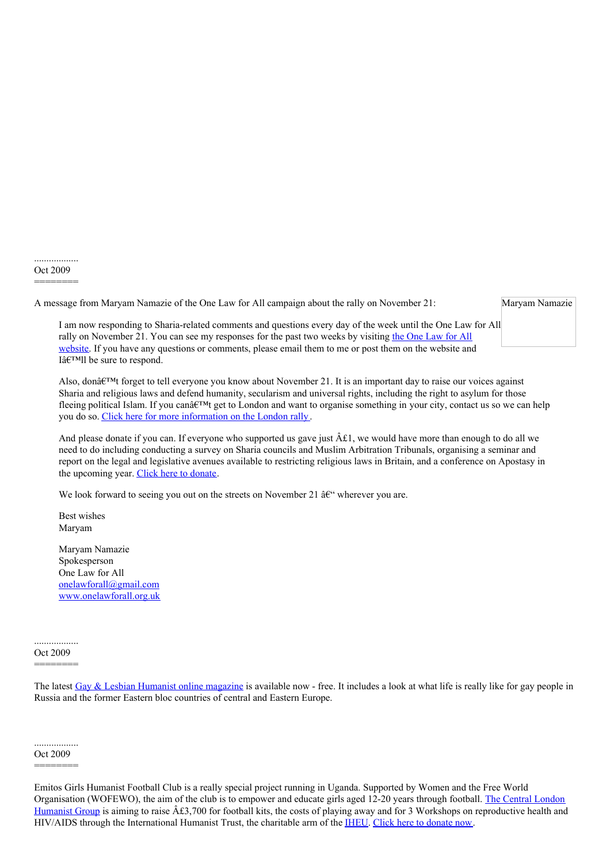.................. Oct 2009 ========

A message from Maryam Namazie of the One Law for All campaign about the rally on November 21:

I am now responding to Sharia-related comments and questions every day of the week until the One Law for All rally on November 21. You can see my responses for the past two weeks by visiting the One Law for All website. If you have any questions or [comments,](http://www.onelawforall.org.uk/about/faq/) please email them to me or post them on the website and I $\hat{a} \in$ <sup>TM</sup>II be sure to respond.

Also, don $\hat{\mathfrak{a}} \in \mathbb{R}^{M}$ t forget to tell everyone you know about November 21. It is an important day to raise our voices against Sharia and religious laws and defend humanity, secularism and universal rights, including the right to asylum for those fleeing political Islam. If you can $\hat{\mathbf{a}} \in \mathbb{R}^{n}$  get to London and want to organise something in your city, contact us so we can help you do so. Click here for more [information](http://www.onelawforall.org.uk/universal-childrens-day-and-international-day-for-the-elimination-of-violence-against-women/) on the London rally .

And please donate if you can. If everyone who supported us gave just  $\hat{A}t1$ , we would have more than enough to do all we need to do including conducting a survey on Sharia councils and Muslim Arbitration Tribunals, organising a seminar and report on the legal and legislative avenues available to restricting religious laws in Britain, and a conference on Apostasy in the upcoming year. Click here to [donate.](http://www.onelawforall.org.uk/donate/)

We look forward to seeing you out on the streets on November 21  $\hat{a}\hat{\epsilon}$  wherever you are.

Best wishes Maryam

Maryam Namazie Spokesperson One Law for All [onelawforall@gmail.com](mailto:onelawforall@gmail.com) [www.onelawforall.org.uk](http://www.onelawforall.org.uk)

.................. Oct 2009 ========

The latest Gay & Lesbian [Humanist](http://www.gayandlesbianhumanist.org/) online magazine is available now - free. It includes a look at what life is really like for gay people in Russia and the former Eastern bloc countries of central and Eastern Europe.

.................. Oct 2009

========

Emitos Girls Humanist Football Club is a really special project running in Uganda. Supported by Women and the Free World Organisation [\(WOFEWO\),](http://www.centrallondonhumanists.org/) the aim of the club is to empower and educate girls aged 12-20 years through football. The Central London Humanist Group is aiming to raise  $\hat{A} \hat{t}$ 3,700 for football kits, the costs of playing away and for 3 Workshops on reproductive health and HIV/AIDS through the International Humanist Trust, the charitable arm of the [IHEU](http://www.iheu.org/). Click here to [donate](http://www.charitygiving.co.uk/emitos) now.

Maryam Namazie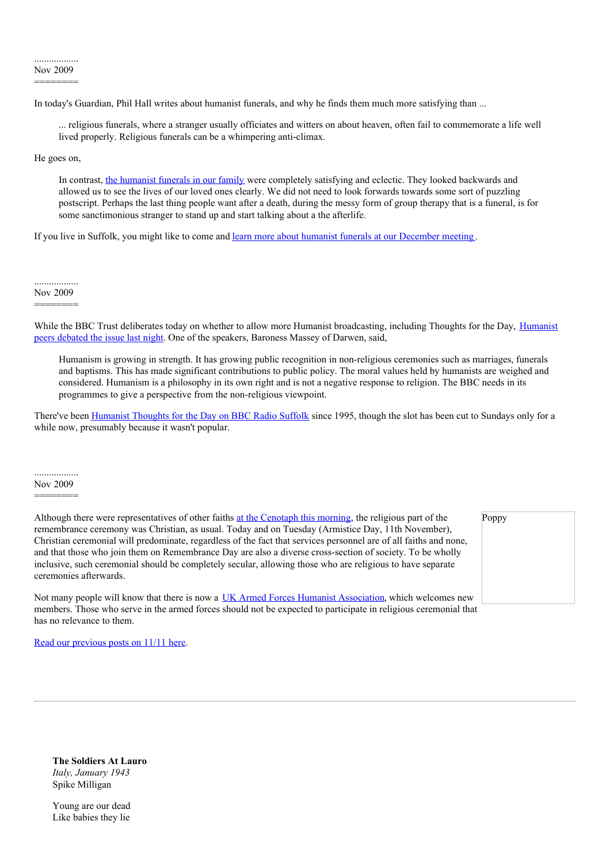#### .................. Nov 2009

========

In today's Guardian, Phil Hall writes about humanist funerals, and why he finds them much more satisfying than ...

... religious funerals, where a stranger usually officiates and witters on about heaven, often fail to commemorate a life well lived properly. Religious funerals can be a whimpering anti-climax.

He goes on,

In contrast, the [humanist](http://xuitlacoche.blogspot.com/2009/06/eve-hall-la-petite-geante.html) funerals in our family were completely satisfying and eclectic. They looked backwards and allowed us to see the lives of our loved ones clearly. We did not need to look forwards towards some sort of puzzling postscript. Perhaps the last thing people want after a death, during the messy form of group therapy that is a funeral, is for some sanctimonious stranger to stand up and start talking about a the afterlife.

If you live in Suffolk, you might like to come and learn more about humanist funerals at our [December](http://www.suffolkhands.org.uk/node/1013) meeting.

.................. Nov 2009 ========

While the BBC Trust deliberates today on whether to allow more Humanist [broadcasting,](http://www.humanism.org.uk/news/view/385) including Thoughts for the Day, Humanist peers debated the issue last night. One of the speakers, Baroness Massey of Darwen, said,

Humanism is growing in strength. It has growing public recognition in non-religious ceremonies such as marriages, funerals and baptisms. This has made significant contributions to public policy. The moral values held by humanists are weighed and considered. Humanism is a philosophy in its own right and is not a negative response to religion. The BBC needs in its programmes to give a perspective from the non-religious viewpoint.

There've been [Humanist](http://www.suffolkhands.org.uk/thought) Thoughts for the Day on BBC Radio Suffolk since 1995, though the slot has been cut to Sundays only for a while now, presumably because it wasn't popular.

.................. Nov 2009

========

Although there were representatives of other faiths at the [Cenotaph](http://news.bbc.co.uk/1/hi/uk/8348225.stm) this morning, the religious part of the remembrance ceremony was Christian, as usual. Today and on Tuesday (Armistice Day, 11th November), Christian ceremonial will predominate, regardless of the fact that services personnel are of all faiths and none, and that those who join them on Remembrance Day are also a diverse cross-section of society. To be wholly inclusive, such ceremonial should be completely secular, allowing those who are religious to have separate ceremonies afterwards.

Not many people will know that there is now a UK Armed Forces Humanist [Association](http://www.armedforceshumanists.org.uk/), which welcomes new members. Those who serve in the armed forces should not be expected to participate in religious ceremonial that has no relevance to them.



Read our [previous](http://www.suffolkhands.org.uk/search/node/11/11) posts on 11/11 here.

**The Soldiers At Lauro** *Italy, January 1943* Spike Milligan

Young are our dead Like babies they lie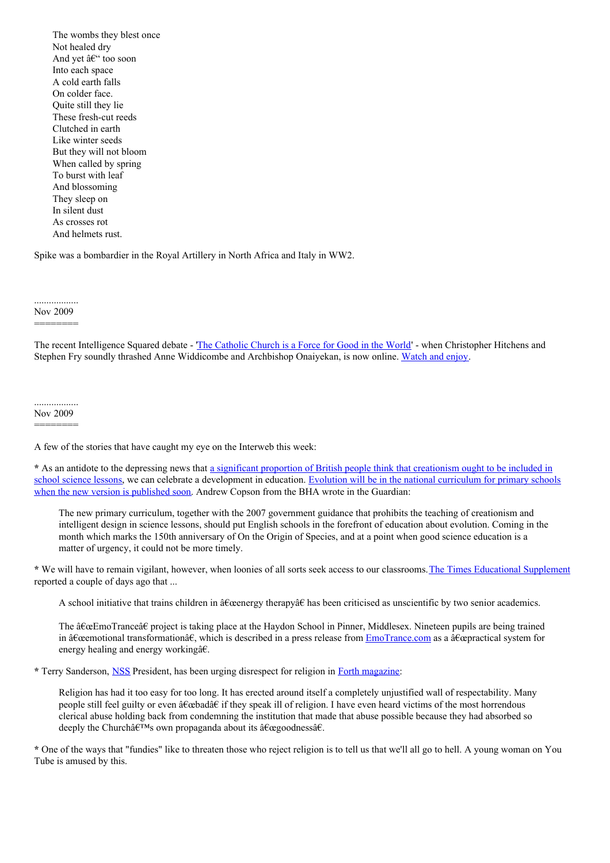The wombs they blest once Not healed dry And yet – too soon Into each space A cold earth falls On colder face. Quite still they lie These fresh-cut reeds Clutched in earth Like winter seeds But they will not bloom When called by spring To burst with leaf And blossoming They sleep on In silent dust As crosses rot And helmets rust.

Spike was a bombardier in the Royal Artillery in North Africa and Italy in WW2.

#### .................. Nov 2009

========

The recent Intelligence Squared debate - 'The [Catholic](http://freethinker.co.uk/2009/10/20/catholic-church-humiliated-by-fry-and-hitchens-in-an-historic-london-debate/) Church is a Force for Good in the World' - when Christopher Hitchens and Stephen Fry soundly thrashed Anne Widdicombe and Archbishop Onaiyekan, is now online. [Watch](http://freethinker.co.uk/2009/11/08/hitchens-and-fry-v-the-catholic-church/) and enjoy.

.................. Nov 2009 ========

A few of the stories that have caught my eye on the Interweb this week:

**\*** As an antidote to the depressing news that a significant proportion of British people think that creationism ought to be included in school science lessons, we can celebrate a [development](http://www.guardian.co.uk/commentisfree/belief/2009/nov/09/evolution-primary-schools-science) in education. Evolution will be in the national curriculum for primary schools when the new version is published soon. Andrew Copson from the BHA wrote in the Guardian:

The new primary curriculum, together with the 2007 government guidance that prohibits the teaching of creationism and intelligent design in science lessons, should put English schools in the forefront of education about evolution. Coming in the month which marks the 150th anniversary of On the Origin of Species, and at a point when good science education is a matter of urgency, it could not be more timely.

**\*** We will have to remain vigilant, however, when loonies of all sorts seek access to our classrooms.The Times [Educational](http://www.timeshighereducation.co.uk/story.asp?sectioncode=26&storycode=409054&c=2) Supplement reported a couple of days ago that ...

A school initiative that trains children in  $\hat{a}$  Eccenergy therapy $\hat{a}$  E has been criticised as unscientific by two senior academics.

The  $\hat{\alpha} \in \mathbb{R}$  Trance $\hat{\alpha} \in \mathbb{R}$  project is taking place at the Haydon School in Pinner, Middlesex. Nineteen pupils are being trained in "emotional transformationâ€, which is described in a press release from [EmoTrance.com](http://emotrance.com/) as a "practical system for energy healing and energy workingâ€.

**\*** Terry Sanderson, [NSS](http://www.secularism.org.uk/) President, has been urging disrespect for religion in Forth [magazine](http://forth.ie/index.php/content/article/new_atheists_are_not_so_new/#axzz0Wdfuv6oi):

Religion has had it too easy for too long. It has erected around itself a completely unjustified wall of respectability. Many people still feel guilty or even  $\hat{a}\in \hat{c}$  exercide if they speak ill of religion. I have even heard victims of the most horrendous clerical abuse holding back from condemning the institution that made that abuse possible because they had absorbed so deeply the Church $\hat{a} \in \mathbb{R}^m$ s own propaganda about its  $\hat{a} \in \mathbb{C}$ egoodness $\hat{a} \in \mathbb{C}$ .

**\*** One of the ways that "fundies" like to threaten those who reject religion is to tell us that we'll all go to hell. A young woman on You Tube is amused by this.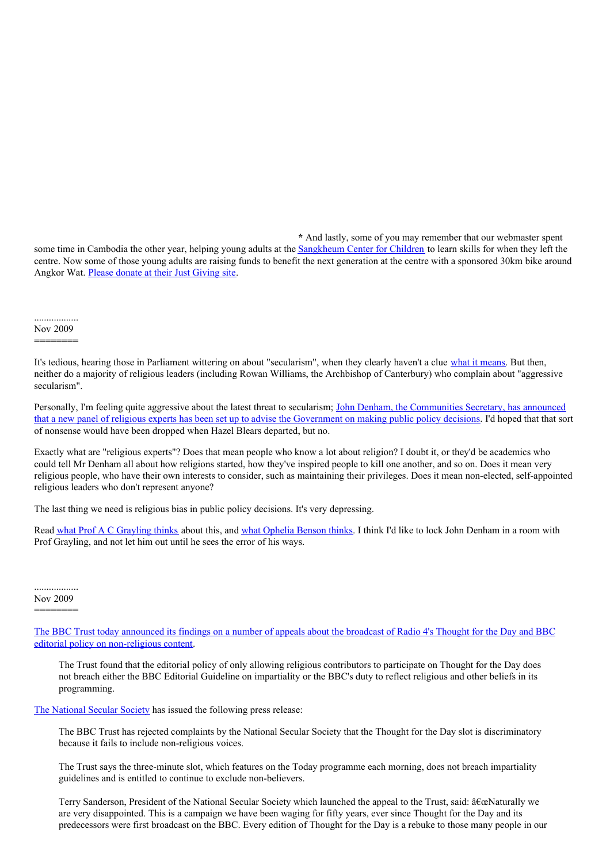**\*** And lastly, some of you may remember that our webmaster spent some time in Cambodia the other year, helping young adults at the [Sangkheum](http://www.sangkheum.org/) Center for Children to learn skills for when they left the centre. Now some of those young adults are raising funds to benefit the next generation at the centre with a sponsored 30km bike around Angkor Wat. Please donate at their Just [Giving](http://www.justgiving.com/Sangkheum-YAP) site.

.................. Nov 2009

========

It's tedious, hearing those in Parliament wittering on about "secularism", when they clearly haven't a clue what it [means](http://www.suffolkhands.org.uk/secularism). But then, neither do a majority of religious leaders (including Rowan Williams, the Archbishop of Canterbury) who complain about "aggressive secularism".

Personally, I'm feeling quite aggressive about the latest threat to secularism; John Denham, the [Communities](http://www.telegraph.co.uk/news/newstopics/religion/6569144/Faith-groups-to-be-key-policy-advisers.html) Secretary, has announced that a new panel of religious experts has been set up to advise the Government on making public policy decisions. I'd hoped that that sort of nonsense would have been dropped when Hazel Blears departed, but no.

Exactly what are "religious experts"? Does that mean people who know a lot about religion? I doubt it, or they'd be academics who could tell Mr Denham all about how religions started, how they've inspired people to kill one another, and so on. Does it mean very religious people, who have their own interests to consider, such as maintaining their privileges. Does it mean non-elected, self-appointed religious leaders who don't represent anyone?

The last thing we need is religious bias in public policy decisions. It's very depressing.

Read what Prof A C [Grayling](http://www.guardian.co.uk/commentisfree/2009/nov/16/john-denham-faith-groups) thinks about this, and what [Ophelia](http://www.butterfliesandwheels.com/notesarchive.php?id=2993) Benson thinks. I think I'd like to lock John Denham in a room with Prof Grayling, and not let him out until he sees the error of his ways.

.................. Nov 2009 ========

The BBC Trust today announced its findings on a number of appeals about the broadcast of Radio 4's Thought for the Day and BBC editorial policy on [non-religious](http://www.bbc.co.uk/bbctrust/news/press_releases/november/tftd.shtml) content.

The Trust found that the editorial policy of only allowing religious contributors to participate on Thought for the Day does not breach either the BBC Editorial Guideline on impartiality or the BBC's duty to reflect religious and other beliefs in its programming.

The [National](http://www.secularism.org.uk/) Secular Society has issued the following press release:

The BBC Trust has rejected complaints by the National Secular Society that the Thought for the Day slot is discriminatory because it fails to include non-religious voices.

The Trust says the three-minute slot, which features on the Today programme each morning, does not breach impartiality guidelines and is entitled to continue to exclude non-believers.

Terry Sanderson, President of the National Secular Society which launched the appeal to the Trust, said:  $\hat{a}\epsilon \infty$ Naturally we are very disappointed. This is a campaign we have been waging for fifty years, ever since Thought for the Day and its predecessors were first broadcast on the BBC. Every edition of Thought for the Day is a rebuke to those many people in our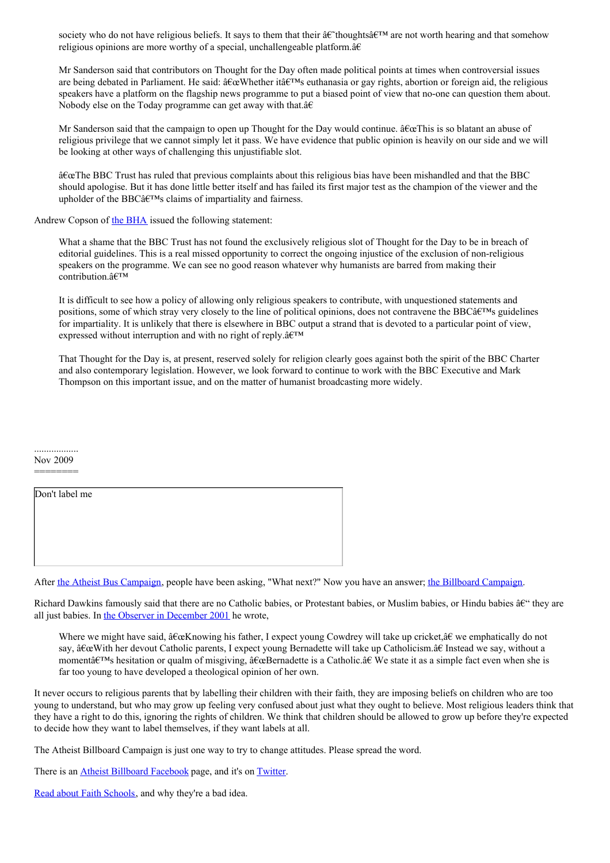society who do not have religious beliefs. It says to them that their  $\hat{\mathbf{a}} \in \mathbb{C}^{\mathsf{TM}}$  are not worth hearing and that somehow religious opinions are more worthy of a special, unchallengeable platform.â€

Mr Sanderson said that contributors on Thought for the Day often made political points at times when controversial issues are being debated in Parliament. He said:  $\frac{\partial \mathcal{L}}{\partial x}$  at  $\frac{\partial \mathcal{L}}{\partial y}$  euthanasia or gay rights, abortion or foreign aid, the religious speakers have a platform on the flagship news programme to put a biased point of view that no-one can question them about. Nobody else on the Today programme can get away with that.â€

Mr Sanderson said that the campaign to open up Thought for the Day would continue.  $\frac{\partial \mathcal{L}}{\partial \mathbf{r}}$  and  $\frac{\partial \mathcal{L}}{\partial \mathbf{r}}$  and  $\frac{\partial \mathcal{L}}{\partial \mathbf{r}}$ religious privilege that we cannot simply let it pass. We have evidence that public opinion is heavily on our side and we will be looking at other ways of challenging this unjustifiable slot.

 $\hat{\alpha}$ E $\alpha$ The BBC Trust has ruled that previous complaints about this religious bias have been mishandled and that the BBC should apologise. But it has done little better itself and has failed its first major test as the champion of the viewer and the upholder of the BBC $\hat{a} \in \mathbb{R}^N$ s claims of impartiality and fairness.

Andrew Copson of the [BHA](http://www.humanism.org.uk/) issued the following statement:

What a shame that the BBC Trust has not found the exclusively religious slot of Thought for the Day to be in breach of editorial guidelines. This is a real missed opportunity to correct the ongoing injustice of the exclusion of non-religious speakers on the programme. We can see no good reason whatever why humanists are barred from making their contribution. $\hat{a}\in$ <sup>TM</sup>

It is difficult to see how a policy of allowing only religious speakers to contribute, with unquestioned statements and positions, some of which stray very closely to the line of political opinions, does not contravene the BBC $\hat{a}\in\mathbb{R}^{n}$  guidelines for impartiality. It is unlikely that there is elsewhere in BBC output a strand that is devoted to a particular point of view, expressed without interruption and with no right of reply. $\hat{a} \in T^M$ 

That Thought for the Day is, at present, reserved solely for religion clearly goes against both the spirit of the BBC Charter and also contemporary legislation. However, we look forward to continue to work with the BBC Executive and Mark Thompson on this important issue, and on the matter of humanist broadcasting more widely.

.................. Nov 2009 ========

Don't label me

After the Atheist Bus [Campaign](http://www.humanism.org.uk/billboards), people have been asking, "What next?" Now you have an answer; the Billboard Campaign.

Richard Dawkins famously said that there are no Catholic babies, or Protestant babies, or Muslim babies, or Hindu babies â€" they are all just babies. In the Observer in [December](http://www.guardian.co.uk/education/2001/dec/30/schools.religion) 2001 he wrote,

Where we might have said,  $êc$ eKnowing his father, I expect young Cowdrey will take up cricket,†we emphatically do not say, "With her devout Catholic parents, I expect young Bernadette will take up Catholicism.†Instead we say, without a moment's hesitation or qualm of misgiving, "Bernadette is a Catholic.†We state it as a simple fact even when she is far too young to have developed a theological opinion of her own.

It never occurs to religious parents that by labelling their children with their faith, they are imposing beliefs on children who are too young to understand, but who may grow up feeling very confused about just what they ought to believe. Most religious leaders think that they have a right to do this, ignoring the rights of children. We think that children should be allowed to grow up before they're expected to decide how they want to label themselves, if they want labels at all.

The Atheist Billboard Campaign is just one way to try to change attitudes. Please spread the word.

There is an Atheist [Billboard](http://www.facebook.com/group.php?gid=347810175444) Facebook page, and it's on [Twitter](https://twitter.com/PlsDontLabelMe).

Read about Faith [Schools](http://www.suffolkhands.org.uk/node/65), and why they're a bad idea.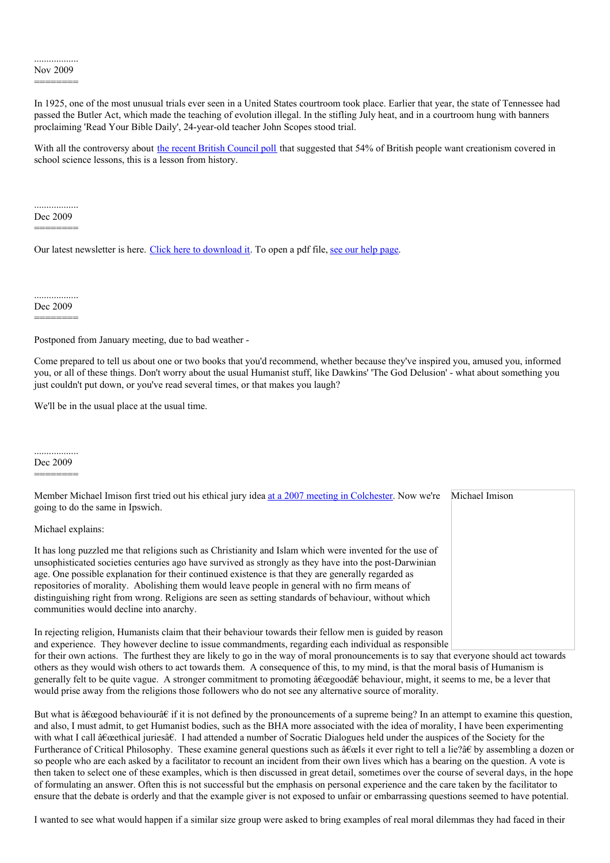#### .................. Nov 2009

In 1925, one of the most unusual trials ever seen in a United States courtroom took place. Earlier that year, the state of Tennessee had passed the Butler Act, which made the teaching of evolution illegal. In the stifling July heat, and in a courtroom hung with banners proclaiming 'Read Your Bible Daily', 24-year-old teacher John Scopes stood trial.

With all the controversy about the recent British [Council](http://www.suffolkhands.org.uk/node/1119) poll that suggested that 54% of British people want creationism covered in school science lessons, this is a lesson from history.

.................. Dec 2009 ========

Our latest newsletter is here. Click here to [download](http://www.suffolkhands.org.uk/files/1/SH&S%20News%20Dec%202009.pdf) it. To open a pdf file, see our help [page](http://www.suffolkhands.org.uk/node/40).

.................. Dec 2009 ========

Postponed from January meeting, due to bad weather -

Come prepared to tell us about one or two books that you'd recommend, whether because they've inspired you, amused you, informed you, or all of these things. Don't worry about the usual Humanist stuff, like Dawkins' 'The God Delusion' - what about something you just couldn't put down, or you've read several times, or that makes you laugh?

We'll be in the usual place at the usual time.

.................. Dec 2009

========

| Member Michael Imison first tried out his ethical jury idea at a 2007 meeting in Colchester. Now we're<br>going to do the same in Ipswich.                                                                                                                                                                                                                                                                                                                                                                                                                                  | Michael Imison |
|-----------------------------------------------------------------------------------------------------------------------------------------------------------------------------------------------------------------------------------------------------------------------------------------------------------------------------------------------------------------------------------------------------------------------------------------------------------------------------------------------------------------------------------------------------------------------------|----------------|
| Michael explains:                                                                                                                                                                                                                                                                                                                                                                                                                                                                                                                                                           |                |
| It has long puzzled me that religions such as Christianity and Islam which were invented for the use of<br>unsophisticated societies centuries ago have survived as strongly as they have into the post-Darwinian<br>age. One possible explanation for their continued existence is that they are generally regarded as<br>repositories of morality. Abolishing them would leave people in general with no firm means of<br>distinguishing right from wrong. Religions are seen as setting standards of behaviour, without which<br>communities would decline into anarchy. |                |
| In rejecting religion, Humanists claim that their behaviour towards their fellow men is guided by reason                                                                                                                                                                                                                                                                                                                                                                                                                                                                    |                |

and experience. They however decline to issue commandments, regarding each individual as responsible for their own actions. The furthest they are likely to go in the way of moral pronouncements is to say that everyone should act towards others as they would wish others to act towards them. A consequence of this, to my mind, is that the moral basis of Humanism is generally felt to be quite vague. A stronger commitment to promoting "good†behaviour, might, it seems to me, be a lever that

would prise away from the religions those followers who do not see any alternative source of morality.

But what is  $\hat{\alpha} \in \hat{\alpha}$  behaviour $\hat{\alpha} \in \hat{\alpha}$  if it is not defined by the pronouncements of a supreme being? In an attempt to examine this question, and also, I must admit, to get Humanist bodies, such as the BHA more associated with the idea of morality, I have been experimenting with what I call "ethical juriesâ€. I had attended a number of Socratic Dialogues held under the auspices of the Society for the Furtherance of Critical Philosophy. These examine general questions such as "Is it ever right to tell a lie?†by assembling a dozen or so people who are each asked by a facilitator to recount an incident from their own lives which has a bearing on the question. A vote is then taken to select one of these examples, which is then discussed in great detail, sometimes over the course of several days, in the hope of formulating an answer. Often this is not successful but the emphasis on personal experience and the care taken by the facilitator to ensure that the debate is orderly and that the example giver is not exposed to unfair or embarrassing questions seemed to have potential.

I wanted to see what would happen if a similar size group were asked to bring examples of real moral dilemmas they had faced in their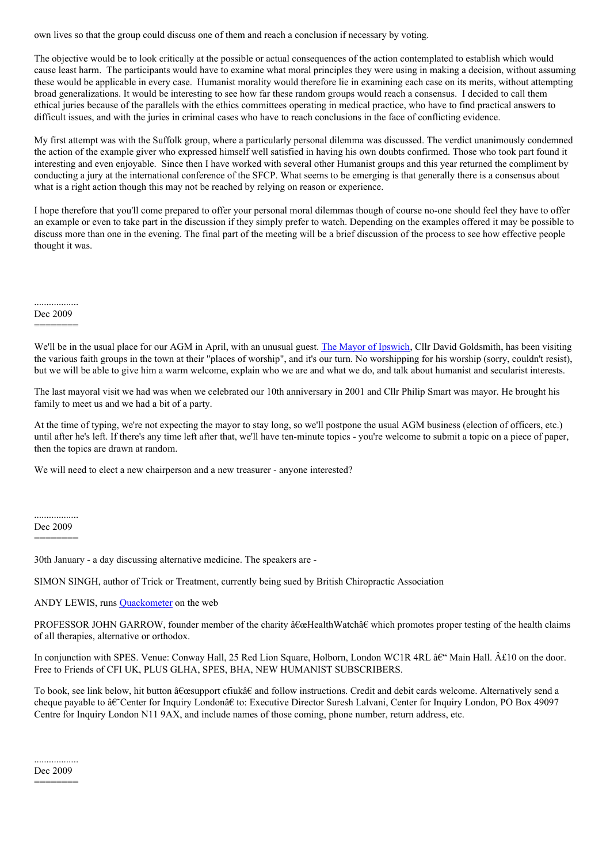own lives so that the group could discuss one of them and reach a conclusion if necessary by voting.

The objective would be to look critically at the possible or actual consequences of the action contemplated to establish which would cause least harm. The participants would have to examine what moral principles they were using in making a decision, without assuming these would be applicable in every case. Humanist morality would therefore lie in examining each case on its merits, without attempting broad generalizations. It would be interesting to see how far these random groups would reach a consensus. I decided to call them ethical juries because of the parallels with the ethics committees operating in medical practice, who have to find practical answers to difficult issues, and with the juries in criminal cases who have to reach conclusions in the face of conflicting evidence.

My first attempt was with the Suffolk group, where a particularly personal dilemma was discussed. The verdict unanimously condemned the action of the example giver who expressed himself well satisfied in having his own doubts confirmed. Those who took part found it interesting and even enjoyable. Since then I have worked with several other Humanist groups and this year returned the compliment by conducting a jury at the international conference of the SFCP. What seems to be emerging is that generally there is a consensus about what is a right action though this may not be reached by relying on reason or experience.

I hope therefore that you'll come prepared to offer your personal moral dilemmas though of course no-one should feel they have to offer an example or even to take part in the discussion if they simply prefer to watch. Depending on the examples offered it may be possible to discuss more than one in the evening. The final part of the meeting will be a brief discussion of the process to see how effective people thought it was.

.................. Dec 2009

========

We'll be in the usual place for our AGM in April, with an unusual guest. The Mayor of [Ipswich](http://www.ipswich.gov.uk/site/scripts/documents_info.php?documentID=354), Cllr David Goldsmith, has been visiting the various faith groups in the town at their "places of worship", and it's our turn. No worshipping for his worship (sorry, couldn't resist), but we will be able to give him a warm welcome, explain who we are and what we do, and talk about humanist and secularist interests.

The last mayoral visit we had was when we celebrated our 10th anniversary in 2001 and Cllr Philip Smart was mayor. He brought his family to meet us and we had a bit of a party.

At the time of typing, we're not expecting the mayor to stay long, so we'll postpone the usual AGM business (election of officers, etc.) until after he's left. If there's any time left after that, we'll have ten-minute topics - you're welcome to submit a topic on a piece of paper, then the topics are drawn at random.

We will need to elect a new chairperson and a new treasurer - anyone interested?

.................. Dec 2009 ========

30th January - a day discussing alternative medicine. The speakers are -

SIMON SINGH, author of Trick or Treatment, currently being sued by British Chiropractic Association

ANDY LEWIS, runs [Quackometer](http://www.quackometer.net/) on the web

PROFESSOR JOHN GARROW, founder member of the charity  $\frac{\partial \mathcal{L}}{\partial x}$ HealthWatchâ $\epsilon$  which promotes proper testing of the health claims of all therapies, alternative or orthodox.

In conjunction with SPES. Venue: Conway Hall, 25 Red Lion Square, Holborn, London WC1R 4RL â€" Main Hall. £10 on the door. Free to Friends of CFI UK, PLUS GLHA, SPES, BHA, NEW HUMANIST SUBSCRIBERS.

To book, see link below, hit button  $â€$ œsupport cfiuk†and follow instructions. Credit and debit cards welcome. Alternatively send a cheque payable to 'Center for Inquiry Londonâ€ to: Executive Director Suresh Lalvani, Center for Inquiry London, PO Box 49097 Centre for Inquiry London N11 9AX, and include names of those coming, phone number, return address, etc.

Dec 2009 ========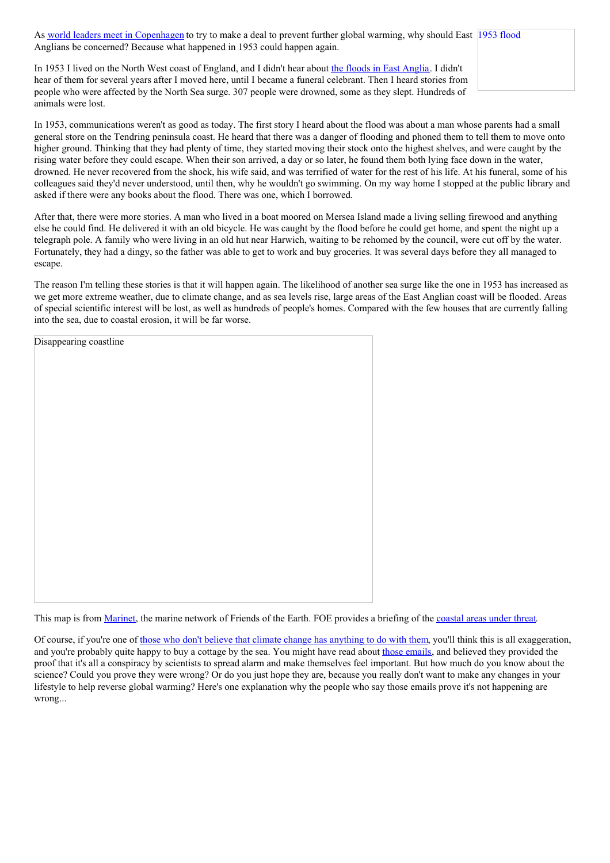| As world leaders meet in Copenhagen to try to make a deal to prevent further global warming, why should East 1953 flood<br>Anglians be concerned? Because what happened in 1953 could happen again. |  |
|-----------------------------------------------------------------------------------------------------------------------------------------------------------------------------------------------------|--|
| In 1953 I lived on the North West coast of England, and I didn't hear about the floods in East Anglia. I didn't                                                                                     |  |
| hear of them for several years after I moved here, until I became a funeral celebrant. Then I heard stories from                                                                                    |  |
| people who were affected by the North Sea surge. 307 people were drowned, some as they slept. Hundreds of                                                                                           |  |

In 1953, communications weren't as good as today. The first story I heard about the flood was about a man whose parents had a small general store on the Tendring peninsula coast. He heard that there was a danger of flooding and phoned them to tell them to move onto higher ground. Thinking that they had plenty of time, they started moving their stock onto the highest shelves, and were caught by the rising water before they could escape. When their son arrived, a day or so later, he found them both lying face down in the water, drowned. He never recovered from the shock, his wife said, and was terrified of water for the rest of his life. At his funeral, some of his colleagues said they'd never understood, until then, why he wouldn't go swimming. On my way home I stopped at the public library and asked if there were any books about the flood. There was one, which I borrowed.

After that, there were more stories. A man who lived in a boat moored on Mersea Island made a living selling firewood and anything else he could find. He delivered it with an old bicycle. He was caught by the flood before he could get home, and spent the night up a telegraph pole. A family who were living in an old hut near Harwich, waiting to be rehomed by the council, were cut off by the water. Fortunately, they had a dingy, so the father was able to get to work and buy groceries. It was several days before they all managed to escape.

The reason I'm telling these stories is that it will happen again. The likelihood of another sea surge like the one in 1953 has increased as we get more extreme weather, due to climate change, and as sea levels rise, large areas of the East Anglian coast will be flooded. Areas of special scientific interest will be lost, as well as hundreds of people's homes. Compared with the few houses that are currently falling into the sea, due to coastal erosion, it will be far worse.

| Disappearing coastline |  |
|------------------------|--|
|                        |  |
|                        |  |
|                        |  |
|                        |  |
|                        |  |
|                        |  |
|                        |  |
|                        |  |
|                        |  |
|                        |  |
|                        |  |
|                        |  |
|                        |  |
|                        |  |
|                        |  |

animals were lost.

This map is from [Marinet](http://www.marinet.org.uk/mad/disappearingcoastline.html), the marine network of Friends of the Earth. FOE provides a briefing of the [coastal](http://www.foe.co.uk/resource/briefings/uk_coastal_habitats.html) areas under threat.

Of course, if you're one of those who don't believe that climate change has [anything](http://www.dailymail.co.uk/news/article-1227745/Most-Britons-dont-believe-climate-change-man-made.html) to do with them, you'll think this is all exaggeration, and you're probably quite happy to buy a cottage by the sea. You might have read about those [emails](http://www.dailymail.co.uk/news/article-1229740/Hackers-expose-global-warming-Claims-leaked-emails-reveal-research-centre-massaged-temperature-data.html), and believed they provided the proof that it's all a conspiracy by scientists to spread alarm and make themselves feel important. But how much do you know about the science? Could you prove they were wrong? Or do you just hope they are, because you really don't want to make any changes in your lifestyle to help reverse global warming? Here's one explanation why the people who say those emails prove it's not happening are wrong...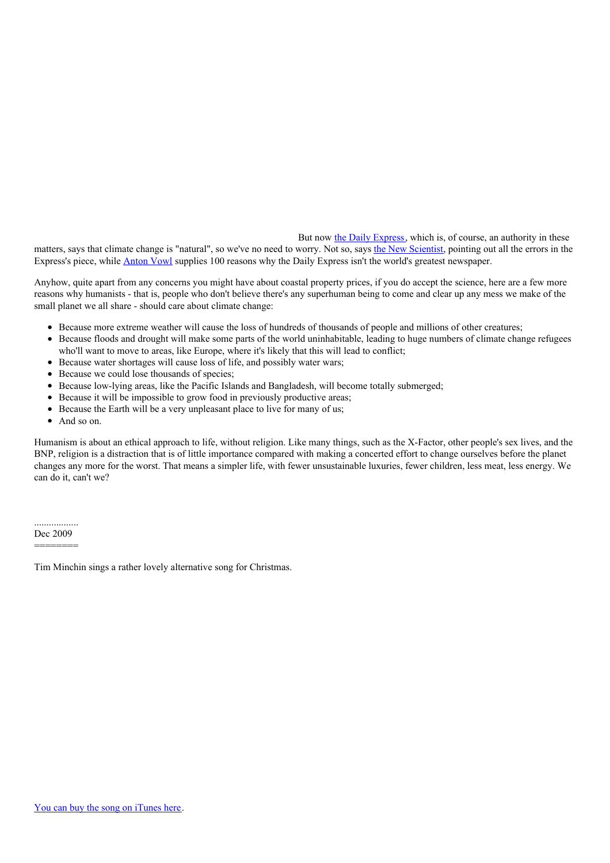But now the Daily [Express](http://www.dailyexpress.co.uk/posts/view/146138), which is, of course, an authority in these matters, says that climate change is "natural", so we've no need to worry. Not so, says the New [Scientist](http://www.newscientist.com/blogs/shortsharpscience/2009/12/50-reasons-why-global-warming.html), pointing out all the errors in the Express's piece, while [Anton](http://enemiesofreason.blogspot.com/2009/12/100-reasons-why-daily-express-isnt.html) Vowl supplies 100 reasons why the Daily Express isn't the world's greatest newspaper.

Anyhow, quite apart from any concerns you might have about coastal property prices, if you do accept the science, here are a few more reasons why humanists - that is, people who don't believe there's any superhuman being to come and clear up any mess we make of the small planet we all share - should care about climate change:

- Because more extreme weather will cause the loss of hundreds of thousands of people and millions of other creatures;
- Because floods and drought will make some parts of the world uninhabitable, leading to huge numbers of climate change refugees who'll want to move to areas, like Europe, where it's likely that this will lead to conflict;
- Because water shortages will cause loss of life, and possibly water wars;
- Because we could lose thousands of species;
- Because low-lying areas, like the Pacific Islands and Bangladesh, will become totally submerged;
- Because it will be impossible to grow food in previously productive areas;
- Because the Earth will be a very unpleasant place to live for many of us;
- $\bullet$ And so on.

Humanism is about an ethical approach to life, without religion. Like many things, such as the X-Factor, other people's sex lives, and the BNP, religion is a distraction that is of little importance compared with making a concerted effort to change ourselves before the planet changes any more for the worst. That means a simpler life, with fewer unsustainable luxuries, fewer children, less meat, less energy. We can do it, can't we?

.................. Dec 2009 ========

Tim Minchin sings a rather lovely alternative song for Christmas.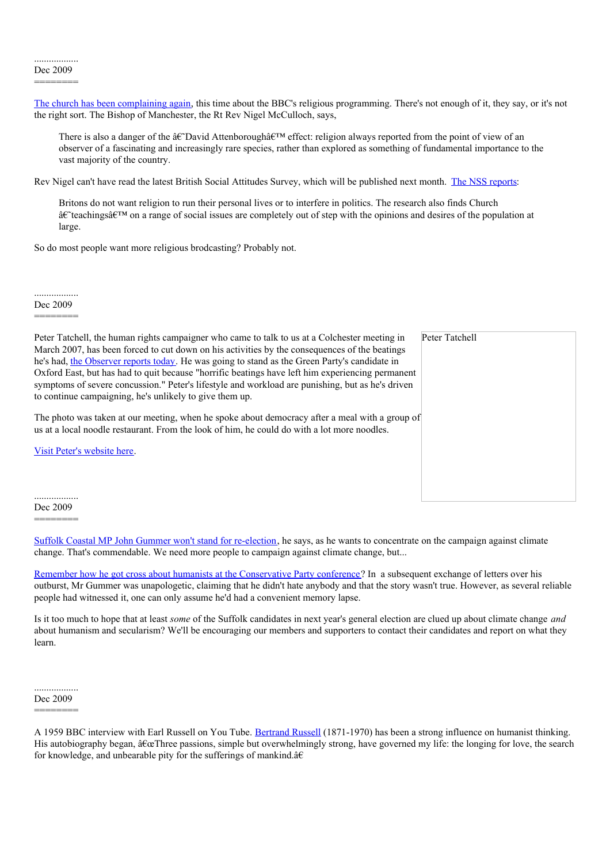#### .................. Dec 2009

========

The church has been [complaining](http://www.telegraph.co.uk/news/newstopics/religion/6834498/BBC-treats-religion-like-rare-species-to-be-studied-by-Attenborough-says-Church.html) again, this time about the BBC's religious programming. There's not enough of it, they say, or it's not the right sort. The Bishop of Manchester, the Rt Rev Nigel McCulloch, says,

There is also a danger of the  $\hat{a} \in \text{David}$  Attenborough $\hat{a} \in \text{M}$  effect: religion always reported from the point of view of an observer of a fascinating and increasingly rare species, rather than explored as something of fundamental importance to the vast majority of the country.

Rev Nigel can't have read the latest British Social Attitudes Survey, which will be published next month. The NSS [reports](http://www.secularism.org.uk/definitive-study-confirms-that-b.html):

Britons do not want religion to run their personal lives or to interfere in politics. The research also finds Church  $\hat{\mathbf{a}} \in \hat{\mathbf{c}}$  reachings $\hat{\mathbf{a}} \in \mathbb{N}$  on a range of social issues are completely out of step with the opinions and desires of the population at large.

So do most people want more religious brodcasting? Probably not.

..................

## Dec 2009 ========

Peter Tatchell, the human rights campaigner who came to talk to us at a Colchester meeting in March 2007, has been forced to cut down on his activities by the consequences of the beatings he's had, the [Observer](http://www.guardian.co.uk/world/2009/dec/20/peter-tatchell-retires-interview) reports today. He was going to stand as the Green Party's candidate in Oxford East, but has had to quit because "horrific beatings have left him experiencing permanent symptoms of severe concussion." Peter's lifestyle and workload are punishing, but as he's driven to continue campaigning, he's unlikely to give them up.

The photo was taken at our meeting, when he spoke about democracy after a meal with a group of us at a local noodle restaurant. From the look of him, he could do with a lot more noodles.

Visit Peter's [website](http://www.petertatchell.net/) here.

Peter Tatchell

.................. Dec 2009 ========

Suffolk Coastal MP John Gummer won't stand for [re-election](http://news.bbc.co.uk/1/hi/uk_politics/8434735.stm), he says, as he wants to concentrate on the campaign against climate change. That's commendable. We need more people to campaign against climate change, but...

Remember how he got cross about humanists at the [Conservative](http://www.suffolkhands.org.uk/node/515) Party conference? In a subsequent exchange of letters over his outburst, Mr Gummer was unapologetic, claiming that he didn't hate anybody and that the story wasn't true. However, as several reliable people had witnessed it, one can only assume he'd had a convenient memory lapse.

Is it too much to hope that at least *some* of the Suffolk candidates in next year's general election are clued up about climate change *and* about humanism and secularism? We'll be encouraging our members and supporters to contact their candidates and report on what they learn.

.................. Dec 2009

========

A 1959 BBC interview with Earl Russell on You Tube. [Bertrand](http://www.humanism.org.uk/humanism/humanist-tradition/20century/bertrand-russell) Russell (1871-1970) has been a strong influence on humanist thinking. His autobiography began,  $\frac{\partial \mathbf{c}}{\partial x}$  and  $\frac{\partial \mathbf{c}}{\partial y}$  and  $\frac{\partial \mathbf{c}}{\partial y}$  but overwhelmingly strong, have governed my life: the longing for love, the search for knowledge, and unbearable pity for the sufferings of mankind.â $\epsilon$